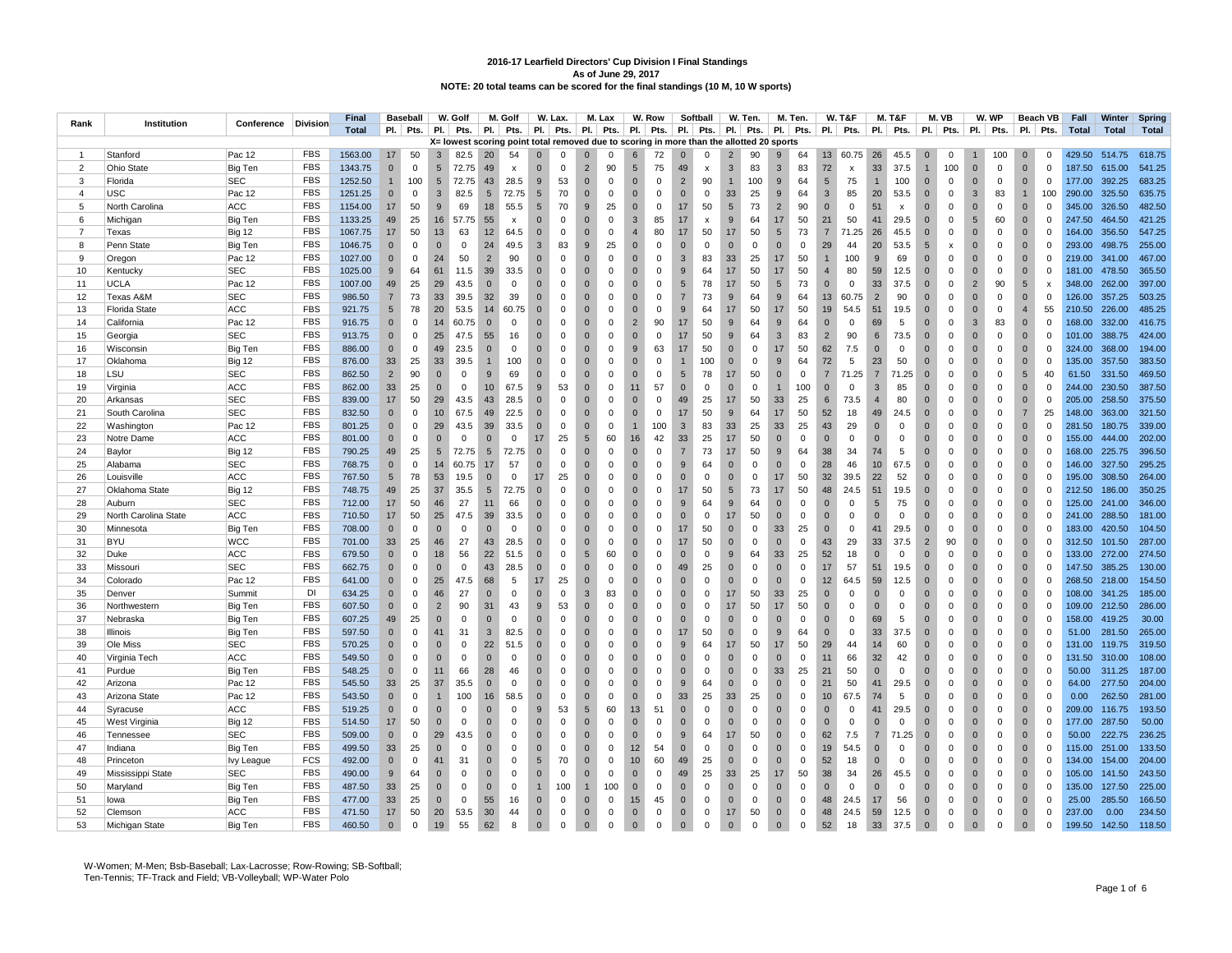| Rank           | Institution          | Conference    | <b>Division</b> | <b>Final</b> |                 | <b>Baseball</b> |                | W. Golf                                                                                  |                 | M. Golf      |                 | W. Lax.     |                | M. Lax      |                  | W. Row      |                | Softball                  |              | W. Ten.     |                 | M. Ten.     |                | <b>W. T&amp;F</b>         |                | M. T&F                    |                | M. VB               |                | W. WP       |                 | Beach VB                  | Fall         | Winter       | Spring       |
|----------------|----------------------|---------------|-----------------|--------------|-----------------|-----------------|----------------|------------------------------------------------------------------------------------------|-----------------|--------------|-----------------|-------------|----------------|-------------|------------------|-------------|----------------|---------------------------|--------------|-------------|-----------------|-------------|----------------|---------------------------|----------------|---------------------------|----------------|---------------------|----------------|-------------|-----------------|---------------------------|--------------|--------------|--------------|
|                |                      |               |                 | <b>Total</b> |                 | $PI.$ Pts.      | PI.            | Pts.                                                                                     | PI.             | Pts.         | PI.             | Pts.        | PI.            | Pts.        | <b>PI.</b>       | Pts.        | PI.            | Pts.                      | PI.          | Pts.        | PI.             | Pts.        |                | $PI.$ Pts.                | PI.            | Pts.                      | PI.            | Pts.                | <b>PI.</b>     | Pts.        | PI.             | Pts.                      | <b>Total</b> | <b>Total</b> | <b>Total</b> |
|                |                      |               |                 |              |                 |                 |                | X= lowest scoring point total removed due to scoring in more than the allotted 20 sports |                 |              |                 |             |                |             |                  |             |                |                           |              |             |                 |             |                |                           |                |                           |                |                     |                |             |                 |                           |              |              |              |
| $\overline{1}$ | Stanford             | Pac 12        | <b>FBS</b>      | 1563.00      | 17              | 50              | $\overline{3}$ | 82.5                                                                                     | 20              | 54           | $\Omega$        | $\Omega$    | $\Omega$       | $\Omega$    | 6                | 72          | $\Omega$       | $\Omega$                  |              | 90          | 9               | 64          | 13             | 60.75                     | 26             | 45.5                      | $\mathbf 0$    | $\Omega$            |                | 100         | $\mathbf{0}$    | $\mathbf 0$               | 429.50       | 514.75       | 618.75       |
| $\overline{2}$ | <b>Ohio State</b>    | Big Ten       | <b>FBS</b>      | 1343.75      | $\mathbf{0}$    | $\Omega$        | 5              | 72.75                                                                                    | 49              | x            | $\mathbf{0}$    | $\mathsf 0$ | $\overline{2}$ | 90          | $5\phantom{.0}$  | 75          | 49             | $\boldsymbol{\mathsf{x}}$ | 3            | 83          | 3               | 83          | 72             | $\boldsymbol{\mathsf{x}}$ | 33             | 37.5                      | $\mathbf{1}$   | 100                 | $\overline{0}$ | $\mathbf 0$ | $\mathbf{0}$    | $\mathbf 0$               | 187.50       | 615.00       | 541.25       |
| 3              | Florida              | SEC           | FBS             | 1252.50      | $\mathbf{1}$    | 100             | 5              | 72.75                                                                                    | 43              | 28.5         | 9               | 53          | $\mathbf 0$    | $\mathbf 0$ | $\Omega$         | $\mathbf 0$ | $\overline{2}$ | 90                        | $\mathbf{1}$ | 100         | 9               | 64          | 5              | 75                        | $\overline{1}$ | 100                       | $\mathbf{0}$   | $\mathbf 0$         | $\overline{0}$ | $\mathbf 0$ | $\mathbf{0}$    | $\mathbf 0$               | 177.00       | 392.25       | 683.25       |
| $\overline{4}$ | <b>USC</b>           | Pac 12        | <b>FBS</b>      | 1251.25      | $\Omega$        | $\mathbf 0$     | 3              | 82.5                                                                                     | 5               | 72.75        | 5               | 70          | $\Omega$       | $\mathbf 0$ | $\Omega$         | $\Omega$    | $\Omega$       | $\mathbf{0}$              | 33           | 25          | 9               | 64          | 3              | 85                        | 20             | 53.5                      | $\Omega$       | $\mathbf 0$         | 3              | 83          |                 | 100                       | 290.00       | 325.50       | 635.75       |
| 5              | North Carolina       | ACC           | <b>FBS</b>      | 1154.00      | 17              | 50              | 9              | 69                                                                                       | 18              | 55.5         | $5\phantom{.0}$ | 70          | $9\,$          | 25          | $\mathbf{0}$     | $\mathbf 0$ | 17             | 50                        | 5            | 73          | $\overline{2}$  | 90          | $\mathbf{0}$   | $\mathbf 0$               | 51             | $\boldsymbol{\mathsf{x}}$ | $\mathbf 0$    | $\Omega$            | $\overline{0}$ | 0           | $\Omega$        | $\mathbf 0$               | 345.00       | 326.50       | 482.50       |
| 6              | Michigan             | Big Ten       | <b>FBS</b>      | 1133.25      | 49              | 25              | 16             | 57.75                                                                                    | 55              | $\,$ X       | $\mathbf{0}$    | $\mathsf 0$ | $\mathbf 0$    | $\mathbf 0$ | $\mathbf{3}$     | 85          | 17             | $\pmb{\mathsf{x}}$        | 9            | 64          | 17              | 50          | 21             | 50                        | 41             | 29.5                      | $\mathbf 0$    | $\mathsf{O}\xspace$ | 5              | 60          | $\mathbf{0}$    | $\mathbf 0$               | 247.50       | 464.50       | 421.25       |
| $\overline{7}$ | Texas                | <b>Big 12</b> | <b>FBS</b>      | 1067.75      | 17              | 50              | 13             | 63                                                                                       | 12              | 64.5         | $\Omega$        | $\Omega$    | $\overline{0}$ | $\Omega$    | $\overline{4}$   | 80          | 17             | 50                        | 17           | 50          | 5               | 73          | $\overline{7}$ | 71.25                     | 26             | 45.5                      | $\Omega$       | $\Omega$            | $\Omega$       | $\mathbf 0$ | $\Omega$        | $\Omega$                  | 164.00       | 356.50       | 547.25       |
| -8             | Penn State           | Big Ten       | FBS             | 1046.75      | $\mathbf 0$     | $\Omega$        | $\mathbf 0$    | 0                                                                                        | 24              | 49.5         | $\mathbf{3}$    | 83          | $\,9$          | 25          | $\mathbf{0}$     | 0           | $\Omega$       | $\mathbf 0$               | $\Omega$     | $\Omega$    | $\Omega$        | $\mathbf 0$ | 29             | 44                        | 20             | 53.5                      | 5              | x                   | $\overline{0}$ | 0           | $\Omega$        | $\overline{0}$            | 293.00       | 498.75       | 255.00       |
| 9              | Oregon               | Pac 12        | <b>FBS</b>      | 1027.00      | $\mathbf{0}$    | $\mathbf 0$     | 24             | 50                                                                                       | $\overline{2}$  | 90           | $\mathbf{0}$    | $\mathsf 0$ | $\overline{0}$ | $\mathbf 0$ | $\Omega$         | $\mathbf 0$ | 3              | 83                        | 33           | 25          | 17              | 50          | $\overline{1}$ | 100                       | 9              | 69                        | $\mathbf{0}$   | $\mathbf 0$         | $\overline{0}$ | $\mathbf 0$ | $\mathbf{0}$    | $\overline{0}$            | 219.00       | 341.00       | 467.00       |
| 10             | Kentucky             | <b>SEC</b>    | <b>FBS</b>      | 1025.00      | 9               | 64              | 61             | 11.5                                                                                     | 39              | 33.5         | $\Omega$        | $\mathbf 0$ | $\overline{0}$ | $\Omega$    | $\Omega$         | 0           | 9              | 64                        | 17           | 50          | 17              | 50          | $\overline{4}$ | 80                        | 59             | 12.5                      | $\Omega$       | $\Omega$            | $\overline{0}$ | $^{\circ}$  | $\Omega$        | $\overline{0}$            | 181.00       | 478.50       | 365.50       |
| 11             | <b>UCLA</b>          | Pac 12        | FBS             | 1007.00      | 49              | 25              | 29             | 43.5                                                                                     | $\mathbf{0}$    | $\mathbf 0$  | $\mathbf 0$     | $\mathbf 0$ | $\mathbf 0$    | $\mathbf 0$ | $\mathbf{0}$     | $\mathbf 0$ | 5              | 78                        | 17           | 50          | $5\phantom{.0}$ | 73          | $\mathbf 0$    | $\mathbf 0$               | 33             | 37.5                      | $\mathbf 0$    | $\mathsf{O}\xspace$ | $\overline{2}$ | 90          | $5\phantom{.0}$ | $\boldsymbol{\mathsf{x}}$ | 348.00       | 262.00       | 397.00       |
| 12             | Texas A&M            | <b>SEC</b>    | <b>FBS</b>      | 986.50       | $\overline{7}$  | 73              | 33             | 39.5                                                                                     | 32              | 39           | $\mathbf{0}$    | $\mathbf 0$ | $\overline{0}$ | $\mathbf 0$ | $\Omega$         | $\mathbf 0$ | $\overline{7}$ | 73                        | 9            | 64          | 9               | 64          | 13             | 60.75                     | $\overline{2}$ | 90                        | $\mathbf{0}$   | $\mathbf 0$         | $\overline{0}$ | $\mathbf 0$ | $\mathbf{0}$    | $\mathbf 0$               | 126.00       | 357.25       | 503.25       |
| 13             | <b>Florida State</b> | ACC           | <b>FBS</b>      | 921.75       | 5               | 78              | 20             | 53.5                                                                                     | 14              | 60.75        | $\mathbf 0$     | $\mathbf 0$ | $\overline{0}$ | $\Omega$    | $\Omega$         | $\mathbf 0$ | 9              | 64                        | 17           | 50          | 17              | 50          | 19             | 54.5                      | 51             | 19.5                      | $\overline{0}$ | $\Omega$            | $\overline{0}$ | $\mathbf 0$ | $\overline{4}$  | 55                        | 210.50       | 226.00       | 485.25       |
| 14             | California           | Pac 12        | <b>FBS</b>      | 916.75       | $\Omega$        | $\Omega$        | 14             | 60.75                                                                                    | $\mathbf{0}$    | $\Omega$     | $\Omega$        | $\Omega$    | $\mathbf 0$    | $\mathbf 0$ | $\overline{2}$   | 90          | 17             | 50                        | 9            | 64          | 9               | 64          | $\Omega$       | $\mathbf 0$               | 69             | 5                         | $\mathbf 0$    | $\mathbf 0$         | $\overline{3}$ | 83          | $\Omega$        | $\mathbf 0$               | 168.00       | 332.00       | 416.75       |
| 15             | Georgia              | <b>SEC</b>    | <b>FBS</b>      | 913.75       | $\mathbf 0$     | $\Omega$        | 25             | 47.5                                                                                     | 55              | 16           | $\Omega$        | $\mathbf 0$ | $\overline{0}$ | $\Omega$    | $\Omega$         | $\mathbf 0$ | 17             | 50                        | 9            | 64          | 3               | 83          | $\overline{2}$ | 90                        | 6              | 73.5                      | $\mathbf{0}$   | $\Omega$            | $\overline{0}$ | $\mathbf 0$ | $\Omega$        | $\mathbf 0$               | 101.00       | 388.75       | 424.00       |
| 16             | Wisconsin            | Big Ten       | <b>FBS</b>      | 886.00       | $\mathbf 0$     | $\mathsf 0$     | 49             | 23.5                                                                                     | $\mathbf{0}$    | $\mathbf 0$  | $\mathbf{0}$    | $\mathbf 0$ | $\mathbf 0$    | $\mathbf 0$ | 9                | 63          | 17             | 50                        | $\Omega$     | $\mathbf 0$ | 17              | 50          | 62             | 7.5                       | $\mathbf 0$    | $\mathbf 0$               | $\mathbf 0$    | $\mathbf 0$         | $\overline{0}$ | $\mathbf 0$ | $\mathbf{0}$    | $\mathbf 0$               | 324.00       | 368.00       | 194.00       |
| 17             | Oklahoma             | <b>Big 12</b> | <b>FBS</b>      | 876.00       | 33              | 25              | 33             | 39.5                                                                                     | $\overline{1}$  | 100          | $\mathbf 0$     | $\mathsf 0$ | $\mathbf 0$    | $\mathbf 0$ | $\mathbf{0}$     | $\mathbf 0$ |                | 100                       | $\mathbf{0}$ | $\mathbf 0$ | 9               | 64          | 72             | 5                         | 23             | 50                        | $\mathbf{0}$   | $\mathbf 0$         | $\overline{0}$ | $\mathbf 0$ | $\mathbf{0}$    | $\mathbf 0$               | 135.00       | 357.50       | 383.50       |
| 18             | LSU                  | <b>SEC</b>    | <b>FBS</b>      | 862.50       | $\overline{2}$  | 90              | $\overline{0}$ | $\Omega$                                                                                 | 9               | 69           | $\overline{0}$  | $\mathbf 0$ | $\overline{0}$ | $\mathbf 0$ | $\Omega$         | $\mathbf 0$ | 5              | 78                        | 17           | 50          | $\mathbf{0}$    | $\mathbf 0$ | $\overline{7}$ | 71.25                     | $\overline{7}$ | 71.25                     | $\mathbf{0}$   | $\Omega$            | $\overline{0}$ | $\mathsf 0$ | 5               | 40                        | 61.50        | 331.50       | 469.50       |
| 19             | Virginia             | ACC           | <b>FBS</b>      | 862.00       | 33              | 25              | $\overline{0}$ | $\mathbf 0$                                                                              | 10              | 67.5         | 9               | 53          | $\overline{0}$ | $\Omega$    | 11               | 57          | $\Omega$       | $\mathbf 0$               | $\Omega$     | $\Omega$    | $\mathbf{1}$    | 100         | $\Omega$       | $\Omega$                  | 3              | 85                        | $\Omega$       | $\Omega$            | $\overline{0}$ | $\mathbf 0$ | $\Omega$        | $\mathbf 0$               | 244.00       | 230.50       | 387.50       |
| 20             | Arkansas             | SEC           | FBS             | 839.00       | 17              | 50              | 29             | 43.5                                                                                     | 43              | 28.5         | $\mathbf{0}$    | $\mathsf 0$ | $\mathbf 0$    | $\mathbf 0$ | $\mathbf{0}$     | $\mathbf 0$ | 49             | 25                        | 17           | 50          | 33              | 25          | 6              | 73.5                      | $\overline{4}$ | 80                        | $\mathbf{0}$   | $\mathbf 0$         | $\overline{0}$ | $\mathbf 0$ | $\mathbf{0}$    | $\mathbf 0$               | 205.00       | 258.50       | 375.50       |
| 21             | South Carolina       | <b>SEC</b>    | <b>FBS</b>      | 832.50       | $\Omega$        | $\Omega$        | 10             | 67.5                                                                                     | 49              | 22.5         | $\Omega$        | $\Omega$    | $\Omega$       | $\Omega$    | $\Omega$         | $\Omega$    | 17             | 50                        | 9            | 64          | 17              | 50          | 52             | 18                        | 49             | 24.5                      | $\Omega$       | $\Omega$            | $\Omega$       | $\mathbf 0$ | $\overline{7}$  | 25                        | 148.00       | 363.00       | 321.50       |
| 22             | Washington           | Pac 12        | <b>FBS</b>      | 801.25       | $\mathbf 0$     | $\mathbf 0$     | 29             | 43.5                                                                                     | 39              | 33.5         | $\mathbf{0}$    | $\mathbf 0$ | $\overline{0}$ | $\Omega$    | $\mathbf{1}$     | 100         | 3              | 83                        | 33           | 25          | 33              | 25          | 43             | 29                        | $\overline{0}$ | 0                         | $\mathbf 0$    | $\mathbf 0$         | $\overline{0}$ | 0           | $\mathbf{0}$    | $\mathbf 0$               | 281.50       | 180.75       | 339.00       |
| 23             | Notre Dame           | <b>ACC</b>    | <b>FBS</b>      | 801.00       | $\mathbf{0}$    | $\mathbf 0$     | $\overline{0}$ | $\mathbf 0$                                                                              | $\mathbf{0}$    | $\mathbf 0$  | 17              | 25          | $\sqrt{5}$     | 60          | 16               | 42          | 33             | 25                        | 17           | 50          | $\mathbf{0}$    | $\mathbf 0$ | $\mathbf{0}$   | $\mathbf 0$               | $\mathbf 0$    | $\mathbf 0$               | $\mathbf{0}$   | $\mathbf 0$         | $\overline{0}$ | $\mathbf 0$ | $\mathbf{0}$    | $\mathbf 0$               | 155.00       | 444.00       | 202.00       |
| 24             | Baylor               | <b>Big 12</b> | <b>FBS</b>      | 790.25       | 49              | 25              | 5              | 72.75                                                                                    | $5\overline{5}$ | 72.75        | $\Omega$        | $\Omega$    | $\Omega$       | $\Omega$    | $\Omega$         | $\Omega$    | $\overline{7}$ | 73                        | 17           | 50          | 9               | 64          | 38             | 34                        | 74             | 5                         | $\Omega$       | $\Omega$            | $\Omega$       | $\Omega$    | $\Omega$        | $\Omega$                  | 168.00       | 225.75       | 396.50       |
| 25             | Alabama              | SEC           | <b>FBS</b>      | 768.75       | $\mathbf 0$     | $\mathbf 0$     | 14             | 60.75                                                                                    | 17              | 57           | $\mathbf 0$     | $\mathbf 0$ | $\overline{0}$ | $\mathbf 0$ | $\Omega$         | 0           | 9              | 64                        | $\Omega$     | $\mathbf 0$ | $\mathbf 0$     | $\mathbf 0$ | 28             | 46                        | 10             | 67.5                      | $\mathbf 0$    | $\mathbf 0$         | $\overline{0}$ | 0           | $\mathbf{0}$    | $\mathbf 0$               | 146.00       | 327.50       | 295.25       |
| 26             | Louisville           | ACC           | <b>FBS</b>      | 767.50       | $5\phantom{.0}$ | 78              | 53             | 19.5                                                                                     | $\Omega$        | $\mathbf 0$  | 17              | 25          | $\mathbf 0$    | $\mathbf 0$ | $\Omega$         | $\Omega$    | $\Omega$       | $\mathbf{0}$              | $\Omega$     | $\Omega$    | 17              | 50          | 32             | 39.5                      | 22             | 52                        | $\Omega$       | $\Omega$            | $\Omega$       | $\mathbf 0$ | $\Omega$        | $\overline{0}$            | 195.00       | 308.50       | 264.00       |
| 27             | Oklahoma State       | <b>Big 12</b> | <b>FBS</b>      | 748.75       | 49              | 25              | 37             | 35.5                                                                                     | $5\phantom{.0}$ | 72.75        | $\Omega$        | $\Omega$    | $\overline{0}$ | $\Omega$    | $\Omega$         | $\mathbf 0$ | 17             | 50                        | 5            | 73          | 17              | 50          | 48             | 24.5                      | 51             | 19.5                      | $\mathbf{0}$   | $\Omega$            | $\overline{0}$ | $\Omega$    | $\Omega$        | $\mathbf 0$               | 212.50       | 186.00       | 350.25       |
| 28             | Auburn               | <b>SEC</b>    | <b>FBS</b>      | 712.00       | 17              | 50              | 46             | 27                                                                                       | 11              | 66           | $\mathbf 0$     | $\mathbf 0$ | $\overline{0}$ | $\mathbf 0$ | $\mathbf{0}$     | $\mathbf 0$ | 9              | 64                        | 9            | 64          | $\mathbf{0}$    | $\mathbf 0$ | $\mathbf 0$    | $\mathbf 0$               | 5              | 75                        | $\mathbf{0}$   | $\mathbf 0$         | $\overline{0}$ | $\mathbf 0$ | $\mathbf{0}$    | $\mathbf 0$               | 125.00       | 241.00       | 346.00       |
| 29             | North Carolina State | ACC           | <b>FBS</b>      | 710.50       | 17              | 50              | 25             | 47.5                                                                                     | 39              | 33.5         | $\Omega$        | $\Omega$    | $\mathbf{0}$   | $\mathbf 0$ | $\Omega$         | $\Omega$    | $\Omega$       | $\mathbf 0$               | 17           | 50          | $\mathbf{0}$    | $\mathbf 0$ | $\Omega$       | $\Omega$                  | $\Omega$       | $\mathbf 0$               | $\Omega$       | $\Omega$            | $\Omega$       | $\mathbf 0$ | $\Omega$        | $\Omega$                  | 241.00       | 288.50       | 181.00       |
| 30             | Minnesota            | Big Ten       | <b>FBS</b>      | 708.00       | $\mathbf 0$     | $\mathbf 0$     | $\overline{0}$ | $\mathbf 0$                                                                              | $\Omega$        | $\mathbf{0}$ | $\mathbf 0$     | $\mathbf 0$ | $\overline{0}$ | $\Omega$    | $\Omega$         | $\mathbf 0$ | 17             | 50                        | $\Omega$     | $\mathbf 0$ | 33              | 25          | $\mathbf 0$    | $\mathbf 0$               | 41             | 29.5                      | $\mathbf{0}$   | $\mathbf 0$         | $\overline{0}$ | $^{\circ}$  | $\Omega$        | $\mathbf 0$               | 183.00       | 420.50       | 104.50       |
| 31             | <b>BYU</b>           | <b>WCC</b>    | <b>FBS</b>      | 701.00       | 33              | 25              | 46             | 27                                                                                       | 43              | 28.5         | $\Omega$        | $\Omega$    | $\overline{0}$ | $\mathbf 0$ | $\Omega$         | $\mathbf 0$ | 17             | 50                        | $\Omega$     | $\Omega$    | $\mathbf{0}$    | $\mathbf 0$ | 43             | 29                        | 33             | 37.5                      | $\overline{2}$ | 90                  | $\overline{0}$ | $\mathbf 0$ | $\Omega$        | $\mathbf 0$               | 312.50       | 101.50       | 287.00       |
| 32             | Duke                 | <b>ACC</b>    | <b>FBS</b>      | 679.50       | $\mathbf 0$     | $\Omega$        | 18             | 56                                                                                       | 22              | 51.5         | $\mathbf{0}$    | $\mathbf 0$ | $\sqrt{5}$     | 60          | $\mathbf{0}$     | $\mathbf 0$ | $\Omega$       | $\mathbf 0$               | 9            | 64          | 33              | 25          | 52             | 18                        | $\overline{0}$ | $\mathbf 0$               | $\Omega$       | $\Omega$            | $\overline{0}$ | $\mathbf 0$ | $\Omega$        | $\mathbf 0$               | 133.00       | 272.00       | 274.50       |
| 33             | Missouri             | <b>SEC</b>    | <b>FBS</b>      | 662.75       | $\mathbf{0}$    | $\mathsf 0$     | $\mathbf 0$    | $\mathsf 0$                                                                              | 43              | 28.5         | $\mathbf{0}$    | $\mathsf 0$ | $\overline{0}$ | $\mathbf 0$ | $\Omega$         | $\mathbf 0$ | 49             | 25                        | $\Omega$     | $\mathbf 0$ | $\mathbf{0}$    | $\mathbf 0$ | 17             | 57                        | 51             | 19.5                      | $\mathbf{0}$   | $\Omega$            | $\overline{0}$ | $\mathbf 0$ | $\mathbf{0}$    | $\mathbf 0$               | 147.50       | 385.25       | 130.00       |
| 34             | Colorado             | Pac 12        | <b>FBS</b>      | 641.00       | $\mathbf{0}$    | $\Omega$        | 25             | 47.5                                                                                     | 68              | 5            | 17              | 25          | $\overline{0}$ | $\Omega$    | $\Omega$         | $\mathbf 0$ | $\Omega$       | $\mathbf 0$               | $\Omega$     | $\Omega$    | $\mathbf{0}$    | $\mathbf 0$ | 12             | 64.5                      | 59             | 12.5                      | $\mathbf 0$    | $\Omega$            | $\overline{0}$ | $\mathbf 0$ | $\mathbf{0}$    | $\mathbf 0$               | 268.50       | 218.00       | 154.50       |
| 35             | Denver               | Summit        | <b>DI</b>       | 634.25       | $\mathbf 0$     | $\mathbf 0$     | 46             | 27                                                                                       | $\mathbf{0}$    | $\Omega$     | $\mathbf{0}$    | $\mathsf 0$ | $\mathbf{3}$   | 83          | $\mathbf{0}$     | $\mathbf 0$ | $\mathbf{0}$   | $\mathbf 0$               | 17           | 50          | 33              | 25          | $\overline{0}$ | $\mathbf 0$               | $\Omega$       | $\mathbf 0$               | $\mathbf{0}$   | $\Omega$            | $\overline{0}$ | $\mathbf 0$ | $\mathbf{0}$    | $\mathbf 0$               | 108.00       | 341.25       | 185.00       |
| 36             | Northwestern         | Big Ten       | <b>FBS</b>      | 607.50       | $\mathbf{0}$    | $\mathbf 0$     | $\overline{2}$ | 90                                                                                       | 31              | 43           | 9               | 53          | $\Omega$       | $\mathbf 0$ | $\Omega$         | $\mathbf 0$ | $\Omega$       | $\Omega$                  | 17           | 50          | 17              | 50          | $\Omega$       | $\Omega$                  | $\Omega$       | $\mathbf 0$               | $\Omega$       | $\Omega$            | $\Omega$       | $\mathbf 0$ | $\Omega$        | $\mathbf{0}$              | 109.00       | 212.50       | 286.00       |
| 37             | Nebraska             | Big Ten       | <b>FBS</b>      | 607.25       | 49              | 25              | $\overline{0}$ | $\mathbf 0$                                                                              | $\mathbf{0}$    | $\mathbf 0$  | $\mathbf{0}$    | $\mathbf 0$ | $\overline{0}$ | $\mathbf 0$ | $\Omega$         | 0           | $\Omega$       | $\mathbf 0$               | $\Omega$     | $\mathbf 0$ | $\mathbf{0}$    | $\mathbf 0$ | $\mathbf 0$    | $\mathbf 0$               | 69             | 5                         | $\mathbf 0$    | $\Omega$            | $\overline{0}$ | 0           | $\mathbf{0}$    | $\mathbf 0$               | 158.00       | 419.25       | 30.00        |
| 38             | Illinois             | Big Ten       | <b>FBS</b>      | 597.50       | $\mathbf 0$     | $\mathbf 0$     | 41             | 31                                                                                       | $\mathbf{3}$    | 82.5         | $\mathbf 0$     | $\mathsf 0$ | $\overline{0}$ | $\mathbf 0$ | $\mathbf{0}$     | $\mathbf 0$ | 17             | 50                        | $\mathbf{0}$ | $\mathbf 0$ | 9               | 64          | $\mathbf 0$    | $\mathbf 0$               | 33             | 37.5                      | $\mathbf 0$    | $\mathsf 0$         | $\overline{0}$ | $\mathsf 0$ | $\mathbf 0$     | $\mathbf 0$               | 51.00        | 281.50       | 265.00       |
| 39             | Ole Miss             | <b>SEC</b>    | <b>FBS</b>      | 570.25       | $\mathbf 0$     | $\Omega$        | $\Omega$       | $\Omega$                                                                                 | 22              | 51.5         | $\Omega$        | $\mathbf 0$ | $\overline{0}$ | $\Omega$    | $\Omega$         | $\mathbf 0$ | 9              | 64                        | 17           | 50          | 17              | 50          | 29             | 44                        | 14             | 60                        | $\Omega$       | $\Omega$            | $\Omega$       | $\Omega$    | $\Omega$        | $\overline{0}$            | 131.00       | 119.75       | 319.50       |
| 40             | Virginia Tech        | ACC           | <b>FBS</b>      | 549.50       | $\mathbf{0}$    | $\mathbf 0$     | $\mathbf 0$    | $\mathbf 0$                                                                              | $\mathbf{0}$    | $\mathbf 0$  | $\mathbf 0$     | $\mathbf 0$ | $\mathbf 0$    | $\mathbf 0$ | $\mathbf{0}$     | $\mathbf 0$ | $\Omega$       | $\mathbf 0$               | $\Omega$     | $\Omega$    | $\mathbf{0}$    | $\mathbf 0$ | 11             | 66                        | 32             | 42                        | $\mathbf{0}$   | $\Omega$            | $\overline{0}$ | $\mathbf 0$ | $\Omega$        | $\mathbf 0$               | 131.50       | 310.00       | 108.00       |
| 41             | Purdue               | Big Ten       | <b>FBS</b>      | 548.25       | $\mathbf{0}$    | $\mathbf 0$     | 11             | 66                                                                                       | 28              | 46           | $\mathbf{0}$    | $\Omega$    | $\mathbf 0$    | $\mathbf 0$ | $\Omega$         | $\mathbf 0$ | $\mathbf{0}$   | $\mathbf 0$               | $\Omega$     | $\mathbf 0$ | 33              | 25          | 21             | 50                        | $\mathbf{0}$   | $\mathbf 0$               | $\mathbf{0}$   | $\mathbf 0$         | $\overline{0}$ | $\mathbf 0$ | $\mathbf{0}$    | $\mathbf 0$               | 50.00        | 311.25       | 187.00       |
| 42             | Arizona              | Pac 12        | <b>FBS</b>      | 545.50       | 33              | 25              | 37             | 35.5                                                                                     | $\Omega$        | $\Omega$     | $\Omega$        | $\mathbf 0$ | $\overline{0}$ | $\Omega$    | $\Omega$         | 0           | 9              | 64                        | $\Omega$     | $\Omega$    | $\mathbf{0}$    | $\mathbf 0$ | 21             | 50                        | 41             | 29.5                      | $\Omega$       | $\Omega$            | $\overline{0}$ | $^{\circ}$  | $\Omega$        | $\mathbf 0$               | 64.00        | 277.50       | 204.00       |
| 43             | Arizona State        | Pac 12        | FBS             | 543.50       | $\mathbf{0}$    | $\mathbf 0$     | $\overline{1}$ | 100                                                                                      | 16              | 58.5         | $\overline{0}$  | $\mathsf 0$ | $\mathbf 0$    | $\mathbf 0$ | $\mathbf 0$      | 0           | 33             | 25                        | 33           | 25          | $\mathbf 0$     | $\mathbf 0$ | 10             | 67.5                      | 74             | 5                         | $\mathbf 0$    | $\mathbf 0$         | $\overline{0}$ | $\mathbf 0$ | $\mathbf{0}$    | $\mathbf 0$               | 0.00         | 262.50       | 281.00       |
| 44             | Syracuse             | ACC           | <b>FBS</b>      | 519.25       | $\mathbf{0}$    | $\mathbf 0$     | $\overline{0}$ | $\mathbf 0$                                                                              | $\mathbf{0}$    | $\mathbf 0$  | 9               | 53          | $5\phantom{1}$ | 60          | 13               | 51          | $\mathbf{0}$   | $\mathbf 0$               | $\mathbf{0}$ | $\mathbf 0$ | $\mathbf{0}$    | $\mathbf 0$ | $\mathbf{0}$   | $\mathbf 0$               | 41             | 29.5                      | $\mathbf 0$    | $\mathbf 0$         | $\overline{0}$ | $\mathbf 0$ | $\mathbf{0}$    | $\mathbf 0$               | 209.00       | 116.75       | 193.50       |
| 45             | <b>West Virginia</b> | <b>Big 12</b> | <b>FBS</b>      | 514.50       | 17              | 50              | $\overline{0}$ | $\mathbf 0$                                                                              | $\Omega$        | $\mathbf 0$  | $\overline{0}$  | $\mathbf 0$ | $\overline{0}$ | $\mathbf 0$ | $\Omega$         | $\mathbf 0$ | $\Omega$       | $\mathbf 0$               | $\Omega$     | $\mathbf 0$ | $\mathbf{0}$    | $\mathbf 0$ | $\overline{0}$ | $\mathbf 0$               | $\mathbf{0}$   | $\mathbf 0$               | $\overline{0}$ | $\Omega$            | $\overline{0}$ | $\mathbf 0$ | $\mathbf{0}$    | $\overline{0}$            | 177.00       | 287.50       | 50.00        |
| 46             | Tennessee            | SEC           | <b>FBS</b>      | 509.00       | $\mathbf 0$     | $\mathbf 0$     | 29             | 43.5                                                                                     | $\Omega$        | $\mathbf 0$  | $\mathbf 0$     | $\mathbf 0$ | $\mathbf 0$    | $\Omega$    | $\mathbf{0}$     | $\mathbf 0$ | 9              | 64                        | 17           | 50          | $\mathbf{0}$    | $\mathbf 0$ | 62             | 7.5                       | $\overline{7}$ | 71.25                     | $\mathbf{0}$   | $\mathbf 0$         | $\overline{0}$ | $\mathbf 0$ | $\Omega$        | $\mathbf 0$               | 50.00        | 222.75       | 236.25       |
| 47             | Indiana              | Big Ten       | <b>FBS</b>      | 499.50       | 33              | 25              | $\overline{0}$ | $\mathbf 0$                                                                              | $\mathbf{0}$    | 0            | $\mathbf{0}$    | $\mathsf 0$ | $\overline{0}$ | $\mathbf 0$ | 12               | 54          | $\mathbf{0}$   | $\mathbf 0$               | $\mathbf{0}$ | $\mathbf 0$ | $\mathbf{0}$    | $\mathbf 0$ | 19             | 54.5                      | $\overline{0}$ | $\mathbf 0$               | $\mathbf 0$    | $\Omega$            | $\overline{0}$ | $\mathbf 0$ | $\mathbf{0}$    | $\mathbf 0$               | 115.00       | 251.00       | 133.50       |
| 48             | Princeton            | lvy League    | FCS             | 492.00       | $\Omega$        | $\Omega$        | 41             | 31                                                                                       | $\Omega$        | $\Omega$     | 5               | 70          | $\overline{0}$ | $\Omega$    | 10 <sup>10</sup> | 60          | 49             | 25                        | $\Omega$     | $\Omega$    | $\Omega$        | $\mathbf 0$ | 52             | 18                        | $\Omega$       | $\mathbf 0$               | $\Omega$       | $\Omega$            | $\Omega$       | $\mathbf 0$ | $\Omega$        | $\Omega$                  | 134.00       | 154.00       | 204.00       |
| 49             | Mississippi State    | SEC           | <b>FBS</b>      | 490.00       | 9               | 64              | $\overline{0}$ | 0                                                                                        | $\Omega$        | $\mathbf 0$  | $\mathbf 0$     | $\mathbf 0$ | $\mathbf 0$    | $\mathbf 0$ | $\mathbf{0}$     | 0           | 49             | 25                        | 33           | 25          | 17              | 50          | 38             | 34                        | 26             | 45.5                      | $\mathbf{0}$   | $\mathbf 0$         | $\overline{0}$ | $\mathbf 0$ | $\mathbf{0}$    | $\mathbf 0$               | 105.00       | 141.50       | 243.50       |
| 50             | Maryland             | Big Ten       | <b>FBS</b>      | 487.50       | 33              | 25              | $\overline{0}$ | $\mathbf 0$                                                                              | $\mathbf{0}$    | $\mathbf 0$  | $\mathbf{1}$    | 100         | $\overline{1}$ | 100         | $\mathbf 0$      | $\mathbf 0$ | $\Omega$       | $\mathbf 0$               | $\mathbf{0}$ | $\mathbf 0$ | $\mathbf{0}$    | $\mathbf 0$ | $\mathbf{0}$   | $\mathbf 0$               | $\overline{0}$ | $\mathbf 0$               | $\mathbf{0}$   | $\Omega$            | $\overline{0}$ | $\mathbf 0$ | $\mathbf{0}$    | $\mathbf 0$               | 135.00       | 127.50       | 225.00       |
| 51             | lowa                 | Big Ten       | <b>FBS</b>      | 477.00       | 33              | 25              | $\overline{0}$ | $\mathbf 0$                                                                              | 55              | 16           | $\mathbf{0}$    | $\mathbf 0$ | $\overline{0}$ | $\mathbf 0$ | 15               | 45          | $\mathbf{0}$   | $\mathbf 0$               | $\Omega$     | $\mathbf 0$ | $\mathbf{0}$    | $\mathbf 0$ | 48             | 24.5                      | 17             | 56                        | $\mathbf 0$    | $\mathbf 0$         | $\overline{0}$ | $\mathbf 0$ | $\mathbf{0}$    | $\mathbf 0$               | 25.00        | 285.50       | 166.50       |
| 52             | Clemson              | ACC           | <b>FBS</b>      | 471.50       | 17              | 50              | 20             | 53.5                                                                                     | 30              | 44           | $\mathbf{0}$    | $\mathsf 0$ | $\mathbf 0$    | $\mathbf 0$ | $\mathbf 0$      | $\mathbf 0$ | $\mathbf{0}$   | $\mathbf 0$               | 17           | 50          | $\mathbf 0$     | $\mathsf 0$ | 48             | 24.5                      | 59             | 12.5                      | $\mathbf 0$    | $\mathbf 0$         | $\mathbf 0$    | $\mathbf 0$ | $\mathbf{0}$    | $\mathbf 0$               | 237.00       | 0.00         | 234.50       |
| 53             | Michigan State       | Big Ten       | <b>FBS</b>      | 460.50       | $\Omega$        | $\Omega$        | 19             | 55                                                                                       | 62              | 8            | $\Omega$        | $\Omega$    | $\Omega$       | $\Omega$    | $\Omega$         | $\Omega$    | $\Omega$       | $\Omega$                  | $\Omega$     | $\Omega$    | $\Omega$        | $\Omega$    | 52             | 18                        | 33             | 37.5                      | $\Omega$       | $\Omega$            | $\Omega$       | $\Omega$    | $\Omega$        | $\Omega$                  | 199.50       | 142.50       | 118.50       |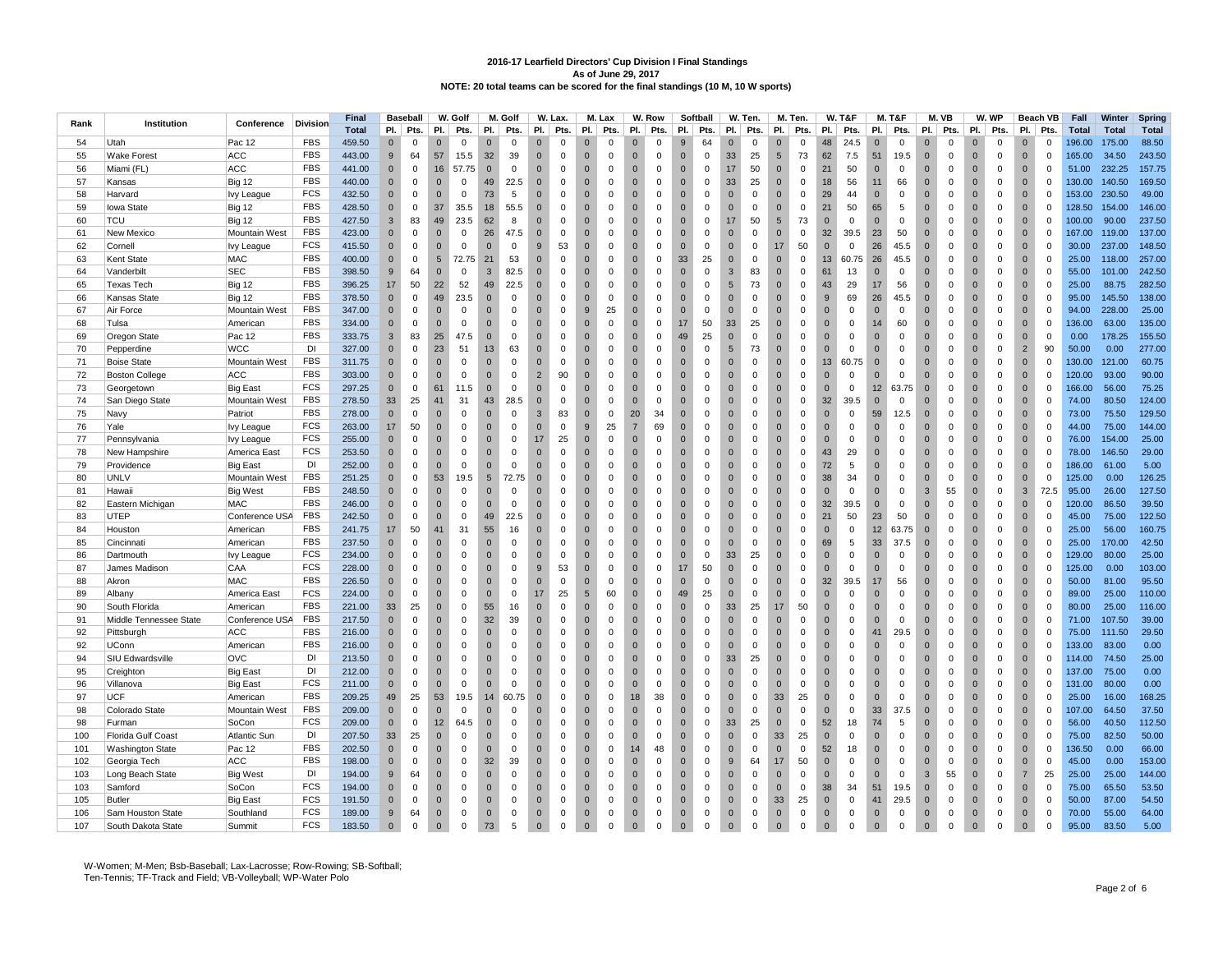|      |                           |                      |                 | <b>Final</b> |              | <b>Baseball</b> |                | W. Golf     |                | M. Golf     |                | W. Lax.             |                | M. Lax       |                | W. Row      |                | Softball     |                | W. Ten.             |                | M. Ten.     |              | <b>W. T&amp;F</b> |                | M. T&F      |                | M. VB       |                | W. WP               |                | <b>Beach VB</b> | Fall         | Winter       | Spring       |
|------|---------------------------|----------------------|-----------------|--------------|--------------|-----------------|----------------|-------------|----------------|-------------|----------------|---------------------|----------------|--------------|----------------|-------------|----------------|--------------|----------------|---------------------|----------------|-------------|--------------|-------------------|----------------|-------------|----------------|-------------|----------------|---------------------|----------------|-----------------|--------------|--------------|--------------|
| Rank | Institution               | Conference           | <b>Division</b> | <b>Total</b> | PI.          | Pts.            | PI.            | Pts.        | PI.            | Pts.        | PI.            | Pts.                | PI.            | Pts.         | PI.            | Pts.        | PI.            | Pts.         | PI.            | Pts.                | PI.            | Pts.        | PI.          | Pts.              | PI.            | Pts.        | PI.            | Pts.        | PI.            | Pts.                | PI.            | Pts.            | <b>Total</b> | <b>Total</b> | <b>Total</b> |
| 54   | Utah                      | Pac 12               | <b>FBS</b>      | 459.50       | $\mathbf{0}$ | $\Omega$        | $\mathbf 0$    | $\Omega$    | $\mathbf{0}$   | $\mathbf 0$ | $\mathbf 0$    | $\Omega$            | $\mathbf 0$    | $^{\circ}$   | $\mathbf{0}$   | $\Omega$    | 9              | 64           | $\mathbf 0$    | $\mathbf 0$         | $\mathbf 0$    | $\Omega$    | 48           | 24.5              | $\mathbf 0$    | $\mathbf 0$ | $\mathbf{0}$   | $\Omega$    |                | $\Omega$            | $\mathbf 0$    | $\Omega$        | 196.00       | 175.00       | 88.50        |
| 55   | <b>Wake Forest</b>        | ACC                  | <b>FBS</b>      | 443.00       | 9            | 64              | 57             | 15.5        | 32             | 39          | $\overline{0}$ | $\mathbf 0$         | $\overline{0}$ | $\mathbf 0$  | $\mathbf 0$    | $\mathbf 0$ | $\overline{0}$ | $\mathsf 0$  | 33             | 25                  | 5              | 73          | 62           | 7.5               | 51             | 19.5        | $\overline{0}$ | $\mathbf 0$ | $\Omega$       | $\mathbf 0$         | $\overline{0}$ | $\mathbf 0$     | 165.00       | 34.50        | 243.50       |
| 56   | Miami (FL                 | <b>ACC</b>           | <b>FBS</b>      | 441.00       | $\Omega$     | $\mathbf 0$     | 16             | 57.75       | $\Omega$       | $\mathbf 0$ | $\mathbf{0}$   | $\mathbf 0$         | $\overline{0}$ | $\mathbf 0$  | $\Omega$       | $\mathbf 0$ | $\Omega$       | $\mathbf 0$  | 17             | 50                  | $\mathbf{0}$   | $\Omega$    | 21           | 50                | $\Omega$       | $\Omega$    | $\Omega$       | $\Omega$    | $\Omega$       | $\mathbf 0$         | $\Omega$       | $\Omega$        | 51.00        | 232.25       | 157.75       |
| 57   | Kansas                    | <b>Big 12</b>        | <b>FBS</b>      | 440.00       | $\mathbf{0}$ | $\mathbf 0$     | $\mathbf 0$    | $\mathbf 0$ | 49             | 22.5        | $\mathbf 0$    | $\mathbf 0$         | $\overline{0}$ | $\mathbf 0$  | $\mathbf 0$    | $\mathbf 0$ | $\overline{0}$ | $\mathbf 0$  | 33             | 25                  | $\overline{0}$ | 0           | 18           | 56                | 11             | 66          | $\overline{0}$ | $\mathbf 0$ | $\Omega$       | $\mathbf 0$         | $\overline{0}$ | $\Omega$        | 130.00       | 140.50       | 169.50       |
|      |                           |                      | <b>FCS</b>      |              | $\mathbf 0$  | $\mathbf 0$     | $\overline{0}$ | $\mathbf 0$ | 73             | 5           |                | $\mathbf 0$         | $\overline{0}$ | $\mathbf 0$  | $\mathbf 0$    | $\mathbf 0$ | $\overline{0}$ | $\mathbf 0$  | $\overline{0}$ | $\mathsf 0$         | $\overline{0}$ | $\mathbf 0$ | 29           |                   | $\overline{0}$ | $\mathbf 0$ | $\mathbf{0}$   | $\mathbf 0$ | $\Omega$       | $\mathbf 0$         | $\overline{0}$ | $\mathbf 0$     |              |              | 49.00        |
| 58   | Harvard                   | lvy League           | <b>FBS</b>      | 432.50       |              |                 |                |             |                |             | $\mathbf{0}$   |                     |                |              |                |             |                |              |                |                     |                |             |              | 44                |                |             |                |             |                |                     |                |                 | 153.00       | 230.50       |              |
| 59   | <b>lowa State</b>         | <b>Big 12</b>        |                 | 428.50       | $\mathbf{0}$ | $\mathbf 0$     | 37             | 35.5        | 18             | 55.5        | $\mathbf{0}$   | $\mathbf 0$         | $\overline{0}$ | $\mathbf 0$  | $\mathbf{0}$   | $\mathbf 0$ | $\Omega$       | $\mathbf 0$  | $\mathbf{0}$   | $\mathbf 0$         | $\mathbf{0}$   | $\mathbf 0$ | 21           | 50                | 65             | 5           | $\mathbf{0}$   | $\mathbf 0$ | $\Omega$       | $\mathbf 0$         | $\mathbf{0}$   | $\Omega$        | 128.50       | 154.00       | 146.00       |
| 60   | <b>TCU</b>                | <b>Big 12</b>        | <b>FBS</b>      | 427.50       | 3            | 83              | 49             | 23.5        | 62             | 8           | $\mathbf 0$    | $\Omega$            | $\overline{0}$ | $\Omega$     | $\mathbf 0$    | $\mathbf 0$ | $\overline{0}$ | $\mathsf 0$  | 17             | 50                  | 5              | 73          | $\mathbf 0$  | $\mathsf 0$       | $\mathbf{0}$   | $\mathbf 0$ | $\overline{0}$ | $\mathbf 0$ | $\mathbf{0}$   | $\mathsf 0$         | $\overline{0}$ | $\Omega$        | 100.00       | 90.00        | 237.50       |
| 61   | New Mexico                | Mountain West        | <b>FBS</b>      | 423.00       | $\Omega$     | $\Omega$        | $\Omega$       | $\mathbf 0$ | 26             | 47.5        | $\Omega$       | $\Omega$            | $\Omega$       | $\Omega$     | $\Omega$       | $\Omega$    | $\Omega$       | $\mathbf 0$  | $\Omega$       | $\mathbf 0$         | $\overline{0}$ | $\Omega$    | 32           | 39.5              | 23             | 50          | $\Omega$       | $\Omega$    | $\Omega$       | $\mathbf 0$         | $\Omega$       | $\Omega$        | 167.00       | 119.00       | 137.00       |
| 62   | Cornell                   | lvy League           | FCS             | 415.50       | $\Omega$     | $\mathbf 0$     | $\mathbf{0}$   | $\mathbf 0$ | $\Omega$       | $\mathbf 0$ | 9              | 53                  | $\overline{0}$ | $\mathbf 0$  | $\mathbf{0}$   | $\mathbf 0$ | $\mathbf{0}$   | $\mathbf 0$  | $\mathbf{0}$   | $\mathbf 0$         | 17             | 50          | $\mathbf{0}$ | $\mathbf 0$       | 26             | 45.5        | $\overline{0}$ | $\mathbf 0$ | $\Omega$       | $\mathbf 0$         | $\mathbf{0}$   | $\Omega$        | 30.00        | 237.00       | 148.50       |
| 63   | Kent State                | MAC                  | <b>FBS</b>      | 400.00       | $\mathbf{0}$ | $\mathbf 0$     | 5              | 72.75       | 21             | 53          | $\mathbf{0}$   | $\mathbf 0$         | $\overline{0}$ | $\mathbf 0$  | $\mathbf 0$    | $\mathbf 0$ | 33             | 25           | $\mathbf{0}$   | $\mathsf 0$         | $\overline{0}$ | $\mathbf 0$ | 13           | 60.75             | 26             | 45.5        | $\mathbf{0}$   | $\mathbf 0$ | $\mathbf{0}$   | $\mathsf 0$         | $\overline{0}$ | $\mathbf 0$     | 25.00        | 118.00       | 257.00       |
| 64   | Vanderbilt                | <b>SEC</b>           | <b>FBS</b>      | 398.50       | 9            | 64              | $\Omega$       | $\mathbf 0$ | 3              | 82.5        | $\Omega$       | $\Omega$            | $\Omega$       | $\Omega$     | $\Omega$       | $\mathbf 0$ | $\overline{0}$ | $\mathbf 0$  | 3              | 83                  | $\overline{0}$ | $\Omega$    | 61           | 13                | $\Omega$       | $\Omega$    | $\Omega$       | $\Omega$    | $\Omega$       | $\mathbf 0$         | $\Omega$       | $\Omega$        | 55.00        | 101.00       | 242.50       |
| 65   | <b>Texas Tech</b>         | <b>Big 12</b>        | <b>FBS</b>      | 396.25       | 17           | 50              | 22             | 52          | 49             | 22.5        | $\mathbf 0$    | $\mathbf 0$         | $\overline{0}$ | $\mathbf 0$  | $\mathbf{0}$   | 0           | $\mathbf{0}$   | $\mathbf 0$  | 5              | 73                  | $\bf{0}$       | 0           | 43           | 29                | 17             | 56          | $\mathbf{0}$   | $\mathbf 0$ | $\mathbf{0}$   | $\mathbf 0$         | $\mathbf{0}$   | $\Omega$        | 25.00        | 88.75        | 282.50       |
| 66   | Kansas State              | <b>Big 12</b>        | <b>FBS</b>      | 378.50       | $\Omega$     | $\Omega$        | 49             | 23.5        | $\Omega$       | $\Omega$    | $\Omega$       | $\Omega$            | $\Omega$       | $\Omega$     | $\Omega$       | $\Omega$    | $\Omega$       | $\Omega$     | $\Omega$       | $\mathbf 0$         | $\Omega$       | $\Omega$    | 9            | 69                | 26             | 45.5        | $\Omega$       | $\Omega$    | $\Omega$       | $\Omega$            | $\Omega$       | $\Omega$        | 95.00        | 145.50       | 138.00       |
| 67   | Air Force                 | Mountain West        | FBS             | 347.00       | $\mathbf{0}$ | $\mathbf 0$     | $\overline{0}$ | $\mathbf 0$ | $\mathbf{0}$   | 0           | $\mathbf 0$    | $\mathbf 0$         | 9              | 25           | $\mathbf{0}$   | $\mathbf 0$ | $\overline{0}$ | $\mathbf 0$  | $\mathbf{0}$   | $\mathbf 0$         | $\overline{0}$ | $\mathbf 0$ | $\Omega$     | $\mathbf 0$       | $\overline{0}$ | $\mathbf 0$ | $\overline{0}$ | $\mathbf 0$ | $\Omega$       | $\mathbf 0$         | $\overline{0}$ | $\Omega$        | 94.00        | 228.00       | 25.00        |
| 68   | Tulsa                     | American             | <b>FBS</b>      | 334.00       | $\mathbf 0$  | $\Omega$        | $\overline{0}$ | $\mathbf 0$ | $\mathbf{0}$   | $\mathbf 0$ | $\mathbf{0}$   | $\mathsf{O}\xspace$ | $\overline{0}$ | $\mathsf 0$  | $\mathbf 0$    | $\mathbf 0$ | 17             | 50           | 33             | 25                  | $\overline{0}$ | $\mathbf 0$ | $\mathbf{0}$ | $\mathsf 0$       | 14             | 60          | $\overline{0}$ | $\mathbf 0$ | $\mathbf{0}$   | $\mathsf{O}\xspace$ | $\overline{0}$ | $\mathbf 0$     | 136.00       | 63.00        | 135.00       |
| 69   | Oregon State              | Pac 12               | <b>FBS</b>      | 333.75       | 3            | 83              | 25             | 47.5        | $\Omega$       | $\Omega$    | $\Omega$       | $\Omega$            | $\Omega$       | $\Omega$     | $\Omega$       | $\Omega$    | 49             | 25           | $\Omega$       | $\mathbf 0$         | $\Omega$       | $\Omega$    | $\Omega$     | $\Omega$          | $\Omega$       | $\Omega$    | $\Omega$       | $\Omega$    | $\Omega$       | $\Omega$            | $\Omega$       | $\Omega$        | 0.00         | 178.25       | 155.50       |
| 70   | Pepperdine                | <b>WCC</b>           | DI              | 327.00       | $\mathbf 0$  | $\mathbf 0$     | 23             | 51          | 13             | 63          | $\mathbf 0$    | $\mathbf 0$         | $\overline{0}$ | $\mathbf 0$  | $\mathbf{0}$   | $\mathbf 0$ | $\overline{0}$ | 0            | 5              | 73                  | $\overline{0}$ | $\mathbf 0$ | $\mathbf{0}$ | $\mathbf 0$       | $\overline{0}$ | $\mathbf 0$ | $\overline{0}$ | $\mathbf 0$ | $\mathbf{0}$   | $\mathbf 0$         | $\overline{2}$ | 90              | 50.00        | 0.00         | 277.00       |
| 71   | <b>Boise State</b>        | Mountain West        | <b>FBS</b>      | 311.75       | $\mathbf 0$  | $\mathsf 0$     | $\overline{0}$ | $\mathbf 0$ | $\mathbf{0}$   | $\mathbf 0$ | $\mathbf{0}$   | $\mathsf{O}\xspace$ | $\overline{0}$ | $\mathsf 0$  | $\mathbf 0$    | $\mathbf 0$ | $\overline{0}$ | $\mathsf 0$  | $\mathbf{0}$   | $\mathsf{O}\xspace$ | $\overline{0}$ | $\mathbf 0$ | 13           | 60.75             | $\overline{0}$ | $\mathbf 0$ | $\overline{0}$ | $\mathbf 0$ | $\mathbf{0}$   | $\mathsf{O}\xspace$ | $\overline{0}$ | $\mathbf 0$     | 130.00       | 121.00       | 60.75        |
| 72   | <b>Boston College</b>     | <b>ACC</b>           | <b>FBS</b>      | 303.00       | $\Omega$     | $\Omega$        | $\Omega$       | $\Omega$    | $\Omega$       | $\Omega$    | $\overline{2}$ | 90                  | $\Omega$       | $\Omega$     | $\Omega$       | $\Omega$    | $\Omega$       | $\Omega$     | $\Omega$       | $\mathbf 0$         | $\overline{0}$ | $\Omega$    | $\Omega$     | $\Omega$          | $\Omega$       | $\Omega$    | $\Omega$       | $\Omega$    | $\Omega$       | $\Omega$            | $\Omega$       | $\Omega$        | 120.00       | 93.00        | 90.00        |
| 73   | Georgetown                | <b>Big East</b>      | <b>FCS</b>      | 297.25       | $\mathbf 0$  | $\mathsf 0$     | 61             | 11.5        | $\mathbf{0}$   | $\mathbf 0$ | $\mathbf{0}$   | $\Omega$            | $\mathbf 0$    | $\mathbf 0$  | $\mathbf 0$    | $\mathbf 0$ | $\mathbf 0$    | $\mathbf 0$  | $\mathbf{0}$   | $\mathsf{O}\xspace$ | $\overline{0}$ | $\mathbf 0$ | $\mathbf{0}$ | $\mathsf 0$       | 12             | 63.75       | $\overline{0}$ | $\mathbf 0$ | $\mathbf{0}$   | $\mathbf 0$         | $\overline{0}$ | $\mathbf 0$     | 166.00       | 56.00        | 75.25        |
| 74   | San Diego State           | <b>Mountain West</b> | <b>FBS</b>      | 278.50       | 33           | 25              | 41             | 31          | 43             | 28.5        | $\Omega$       | $\Omega$            | $\Omega$       | $\mathbf 0$  | $\Omega$       | $\mathbf 0$ | $\Omega$       | $\mathbf 0$  | $\Omega$       | $\mathbf 0$         | $\overline{0}$ | $\mathbf 0$ | 32           | 39.5              | $\Omega$       | $\Omega$    | $\Omega$       | $\Omega$    | $\Omega$       | $\mathbf 0$         | $\Omega$       | $\Omega$        | 74.00        | 80.50        | 124.00       |
| 75   | Navy                      | Patriot              | <b>FBS</b>      | 278.00       | $\Omega$     | $\Omega$        | $\overline{0}$ | $\Omega$    | $\Omega$       | $\Omega$    | 3              | 83                  | $\overline{0}$ | $\Omega$     | 20             | 34          | $\Omega$       | $\Omega$     | $\Omega$       | $\mathbf 0$         | $\overline{0}$ | $\Omega$    | $\Omega$     | 0                 | 59             | 12.5        | $\Omega$       | $\Omega$    | $\Omega$       | $\mathbf 0$         | $\Omega$       | $\Omega$        | 73.00        | 75.50        | 129.50       |
|      |                           |                      | <b>FCS</b>      | 263.00       |              | 50              | $\mathbf 0$    | $\mathbf 0$ | $\mathbf 0$    |             | $\mathbf 0$    | $\mathbf 0$         | 9              | 25           | $\overline{7}$ | 69          | $\mathbf 0$    |              | $\mathbf 0$    | $\mathsf{O}\xspace$ | $\overline{0}$ | $\mathbf 0$ | $\mathbf{0}$ | $\mathsf 0$       | $\overline{0}$ | $\mathbf 0$ | $\mathbf 0$    | $\pmb{0}$   | $\mathbf{0}$   |                     | $\mathbf 0$    | $\mathbf 0$     | 44.00        | 75.00        | 144.00       |
| 76   | Yale                      | lvy League           | <b>FCS</b>      |              | 17           |                 |                |             |                | $\mathbf 0$ |                |                     |                |              |                |             |                | 0            |                |                     |                |             |              |                   |                |             |                |             |                | $\mathbf 0$         |                |                 |              |              |              |
| 77   | Pennsylvania              | <b>Ivy League</b>    |                 | 255.00       | $\Omega$     | $\Omega$        | $\Omega$       | $\Omega$    | $\Omega$       | $\mathbf 0$ | 17             | 25                  | $\overline{0}$ | $\mathbf 0$  | $\Omega$       | $\mathbf 0$ | $\Omega$       | $\mathbf 0$  | $\Omega$       | $\mathbf 0$         | $\overline{0}$ | $\Omega$    | $\Omega$     | $\mathbf 0$       | $\Omega$       | $\Omega$    | $\Omega$       | $\Omega$    | $\Omega$       | $\mathbf 0$         | $\Omega$       | $\Omega$        | 76.00        | 154.00       | 25.00        |
| 78   | New Hampshire             | America East         | FCS             | 253.50       | $\mathbf 0$  | $\mathsf 0$     | $\overline{0}$ | $\mathbf 0$ | $\Omega$       | $\mathbf 0$ | $\mathbf{0}$   | $\Omega$            | $\overline{0}$ | $\Omega$     | $\mathbf{0}$   | $\mathbf 0$ | $\overline{0}$ | $\mathbf 0$  | $\mathbf{0}$   | $\mathsf 0$         | $\overline{0}$ | $\mathbf 0$ | 43           | 29                | $\mathbf{0}$   | $\mathbf 0$ | $\overline{0}$ | $\mathbf 0$ | $\Omega$       | $\mathbf 0$         | $\overline{0}$ | $\Omega$        | 78.00        | 146.50       | 29.00        |
| 79   | Providence                | <b>Big East</b>      | DI              | 252.00       | $\Omega$     | $\mathbf 0$     | $\overline{0}$ | $\Omega$    | $\Omega$       | $\mathbf 0$ | $\Omega$       | $\Omega$            | $\overline{0}$ | $\mathbf 0$  | $\Omega$       | $\mathbf 0$ | $\Omega$       | $\Omega$     | $\Omega$       | $\mathbf 0$         | $\overline{0}$ | $\Omega$    | 72           | 5                 | $\Omega$       | $\Omega$    | $\Omega$       | $\Omega$    | $\Omega$       | $\mathbf 0$         | $\Omega$       | $\Omega$        | 186.00       | 61.00        | 5.00         |
| 80   | <b>UNLV</b>               | Mountain West        | <b>FBS</b>      | 251.25       | $\Omega$     | $\Omega$        | 53             | 19.5        | 5              | 72.75       | $\Omega$       | $\Omega$            | $\overline{0}$ | $\Omega$     | $\mathbf{0}$   | $\mathbf 0$ | $\overline{0}$ | $\Omega$     | $\Omega$       | $\mathbf 0$         | $\overline{0}$ | $\mathbf 0$ | 38           | 34                | $\Omega$       | $\Omega$    | $\mathbf{0}$   | $\mathbf 0$ | $\Omega$       | $\mathbf 0$         | $\overline{0}$ | $\mathbf 0$     | 125.00       | 0.00         | 126.25       |
| 81   | Hawaii                    | <b>Big West</b>      | <b>FBS</b>      | 248.50       | $\mathbf 0$  | $\mathsf 0$     | $\overline{0}$ | $\mathbf 0$ | $\Omega$       | $\mathbf 0$ | $\overline{0}$ | $\Omega$            | $\overline{0}$ | $\mathbf 0$  | $\mathbf{0}$   | $\mathbf 0$ | $\overline{0}$ | $\mathbf 0$  | $\mathbf{0}$   | $\mathsf 0$         | $\overline{0}$ | $\mathbf 0$ | $\mathbf 0$  | $\mathsf 0$       | $\mathbf{0}$   | $\mathbf 0$ | $\overline{3}$ | 55          | $\overline{0}$ | $\mathsf 0$         | 3              | 72.5            | 95.00        | 26.00        | 127.50       |
| 82   | Eastern Michigan          | <b>MAC</b>           | <b>FBS</b>      | 246.00       | $\mathbf{0}$ | $\mathbf 0$     | $\overline{0}$ | $\Omega$    | $\Omega$       | $\mathbf 0$ | $\Omega$       | $\Omega$            | $\overline{0}$ | $\mathbf 0$  | $\mathbf{0}$   | $\mathbf 0$ | $\overline{0}$ | $\mathbf{0}$ | $\Omega$       | $\mathbf 0$         | $\overline{0}$ | $\Omega$    | 32           | 39.5              | $\mathbf{0}$   | $\Omega$    | $\Omega$       | $\Omega$    | $\Omega$       | $\mathbf 0$         | $\Omega$       | $\Omega$        | 120.00       | 86.50        | 39.50        |
| 83   | UTEP                      | Conference USA       | <b>FBS</b>      | 242.50       | $\mathbf{0}$ | $\Omega$        | $\overline{0}$ | $\mathbf 0$ | 49             | 22.5        | $\mathbf 0$    | $\Omega$            | $\overline{0}$ | $\mathbf{0}$ | $\mathbf{0}$   | $\mathbf 0$ | $\overline{0}$ | 0            | $\mathbf 0$    | $\mathsf 0$         | $\overline{0}$ | $\mathbf 0$ | 21           | 50                | 23             | 50          | $\overline{0}$ | $\Omega$    | $\Omega$       | 0                   | $\overline{0}$ | $\Omega$        | 45.00        | 75.00        | 122.50       |
| 84   | Houston                   | American             | <b>FBS</b>      | 241.75       | 17           | 50              | 41             | 31          | 55             | 16          | $\Omega$       | $\Omega$            | $\Omega$       | $\Omega$     | $\Omega$       | $\Omega$    | $\Omega$       | $\mathbf 0$  | $\Omega$       | $\mathbf 0$         | $\Omega$       | $\Omega$    | $\mathbf{0}$ | $\Omega$          | 12             | 63.75       | $\Omega$       | $\Omega$    | $\Omega$       | $\mathbf 0$         | $\Omega$       | $\Omega$        | 25.00        | 56.00        | 160.75       |
| 85   | Cincinnati                | American             | <b>FBS</b>      | 237.50       | $\mathbf{0}$ | $\Omega$        | $\overline{0}$ | $\mathbf 0$ | $\Omega$       | 0           | $\Omega$       | $\Omega$            | $\overline{0}$ | $\mathbf 0$  | $\mathbf{0}$   | $\mathbf 0$ | $\overline{0}$ | 0            | $\mathbf 0$    | $\mathbf 0$         | $\overline{0}$ | 0           | 69           | 5                 | 33             | 37.5        | $\mathbf{0}$   | 0           | $\Omega$       | 0                   | $\overline{0}$ | $\Omega$        | 25.00        | 170.00       | 42.50        |
| 86   | Dartmouth                 | lvy League           | FCS             | 234.00       | $\mathbf{0}$ | $\mathsf 0$     | $\mathbf 0$    | $\mathbf 0$ | $\mathbf 0$    | $\mathbf 0$ | $\mathbf{0}$   | $\mathbf 0$         | $\overline{0}$ | $\mathbf 0$  | $\mathbf{0}$   | 0           | $\mathbf 0$    | $\mathbf 0$  | 33             | 25                  | $\overline{0}$ | $\mathbf 0$ | $\Omega$     | $\mathsf 0$       | $\overline{0}$ | $\mathbf 0$ | $\mathbf{0}$   | $\mathbf 0$ | $\Omega$       | $\mathbf 0$         | $\overline{0}$ | $\mathbf 0$     | 129.00       | 80.00        | 25.00        |
| 87   | James Madison             | CAA                  | <b>FCS</b>      | 228.00       | $\Omega$     | $\mathbf 0$     | $\Omega$       | $\Omega$    | $\Omega$       | $\mathbf 0$ | 9              | 53                  | $\overline{0}$ | $\Omega$     | $\Omega$       | $\mathbf 0$ | 17             | 50           | $\Omega$       | $\mathsf 0$         | $\overline{0}$ | $\Omega$    | $\mathbf{0}$ | $\mathbf 0$       | $\Omega$       | $\Omega$    | $\Omega$       | $\Omega$    | $\Omega$       | $\mathbf 0$         | $\Omega$       | $\Omega$        | 125.00       | 0.00         | 103.00       |
| 88   | Akron                     | MAC                  | <b>FBS</b>      | 226.50       | $\mathbf 0$  | $\Omega$        | $\mathbf 0$    | $\mathbf 0$ | $\mathbf{0}$   | 0           | $\mathbf 0$    | $\Omega$            | $\overline{0}$ | 0            | $\mathbf 0$    | 0           | $\overline{0}$ | 0            | $\mathbf{0}$   | $\mathbf 0$         | $\overline{0}$ | 0           | 32           | 39.5              | 17             | 56          | $\mathbf{0}$   | $\mathbf 0$ | $\Omega$       | 0                   | $\overline{0}$ | $\mathbf 0$     | 50.00        | 81.00        | 95.50        |
| 89   | Albany                    | America East         | <b>FCS</b>      | 224.00       | $\mathbf 0$  | $\mathsf 0$     | $\mathbf 0$    | $\Omega$    | $\mathbf 0$    | $\mathbf 0$ | 17             | 25                  | 5              | 60           | $\mathbf 0$    | $\mathbf 0$ | 49             | 25           | $\mathbf 0$    | $\mathsf{O}\xspace$ | $\overline{0}$ | $\mathbf 0$ | $\Omega$     | $\mathsf 0$       | $\mathbf 0$    | $\Omega$    | $\mathbf 0$    | $\Omega$    | $\Omega$       | $\mathsf{O}\xspace$ | $\mathbf 0$    | $\Omega$        | 89.00        | 25.00        | 110.00       |
| 90   | South Florida             | American             | <b>FBS</b>      | 221.00       | 33           | 25              | $\overline{0}$ | $\mathbf 0$ | 55             | 16          | $\Omega$       | $\Omega$            | $\Omega$       | $\Omega$     | $\Omega$       | $\mathbf 0$ | $\Omega$       | $\Omega$     | 33             | 25                  | 17             | 50          | $\Omega$     | $\Omega$          | $\Omega$       | $\mathbf 0$ | $\Omega$       | $\Omega$    | $\Omega$       | $\mathbf 0$         | $\Omega$       | $\Omega$        | 80.00        | 25.00        | 116.00       |
| 91   | Middle Tennessee State    | Conference USA       | <b>FBS</b>      | 217.50       | $\mathbf{0}$ | $\mathbf 0$     | $\mathbf{0}$   | $\mathbf 0$ | 32             | 39          | $\mathbf{0}$   | $\Omega$            | $\overline{0}$ | $\mathbf 0$  | $\mathbf 0$    | 0           | $\mathbf 0$    | $\mathbf 0$  | $\mathbf{0}$   | $\mathsf 0$         | $\overline{0}$ | $\mathbf 0$ | $\Omega$     | $\mathbf 0$       | $\mathbf{0}$   | $\mathbf 0$ | $\mathbf{0}$   | $\mathbf 0$ | $\Omega$       | $\mathbf 0$         | $\mathbf{0}$   | $\Omega$        | 71.00        | 107.50       | 39.00        |
| 92   | Pittsburgh                | <b>ACC</b>           | <b>FBS</b>      | 216.00       | $\bullet$    | $\mathbf 0$     | $\overline{0}$ | $\Omega$    | $\overline{0}$ | $\mathbf 0$ | $\mathbf{0}$   | $\mathbf 0$         | $\overline{0}$ | $\mathbf 0$  | $\mathbf 0$    | $\mathbf 0$ | $\overline{0}$ | $\mathbf 0$  | $\mathbf{0}$   | $\mathsf 0$         | $\overline{0}$ | $\mathbf 0$ | $\Omega$     | $\mathsf 0$       | 41             | 29.5        | $\overline{0}$ | $\Omega$    | $\Omega$       | $\mathbf 0$         | $\overline{0}$ | $\Omega$        | 75.00        | 111.50       | 29.50        |
| 92   | UConn                     | American             | <b>FBS</b>      | 216.00       | $\Omega$     | $\Omega$        | $\overline{0}$ | 0           | $\Omega$       | $\mathbf 0$ | $\Omega$       | $\Omega$            | $\overline{0}$ | $\Omega$     | $\mathbf 0$    | $\mathbf 0$ | $\overline{0}$ | 0            | $\mathbf{0}$   | $\mathbf 0$         | $\overline{0}$ | $\Omega$    | $\Omega$     | 0                 | $\Omega$       | $\mathbf 0$ | $\Omega$       | $\Omega$    | $\Omega$       | 0                   | $\Omega$       | $\Omega$        | 133.00       | 83.00        | 0.00         |
| 94   | SIU Edwardsville          | OVC                  | DI              | 213.50       | $\mathbf{0}$ | $\mathbf 0$     | $\mathbf 0$    | $\mathbf 0$ | $\mathbf{0}$   | $\mathbf 0$ | $\mathbf{0}$   | $\mathbf 0$         | $\overline{0}$ | $\mathbf 0$  | $\mathbf 0$    | 0           | $\mathbf{0}$   | 0            | 33             | 25                  | $\bf{0}$       | $\mathbf 0$ | $\Omega$     | 0                 | $\mathbf{0}$   | $\mathbf 0$ | $\overline{0}$ | $\mathbf 0$ | $\mathbf{0}$   | $\mathbf 0$         | $\mathbf{0}$   | $\Omega$        | 114.00       | 74.50        | 25.00        |
| 95   | Creighton                 | <b>Big East</b>      | DI              | 212.00       | $\mathbf{0}$ | $\mathbf 0$     | $\overline{0}$ | $\mathbf 0$ | $\mathbf{0}$   | $\mathbf 0$ | $\mathbf{0}$   | $\mathbf 0$         | $\overline{0}$ | $\Omega$     | $\mathbf 0$    | $\mathbf 0$ | $\overline{0}$ | $\mathbf 0$  | $\mathbf{0}$   | $\mathsf 0$         | $\overline{0}$ | 0           | $\Omega$     | $\mathbf 0$       | $\mathbf{0}$   | $\mathbf 0$ | $\mathbf{0}$   | $\mathbf 0$ | $\Omega$       | $\mathbf 0$         | $\overline{0}$ | $\Omega$        | 137.00       | 75.00        | 0.00         |
| 96   | Villanova                 | <b>Big East</b>      | <b>FCS</b>      | 211.00       | $\mathbf 0$  | $\Omega$        | $\overline{0}$ | $\mathbf 0$ | $\Omega$       | $\mathbf 0$ | $\Omega$       | $\Omega$            | $\overline{0}$ | $\mathbf 0$  | $\mathbf 0$    | $\mathbf 0$ | $\overline{0}$ | $\mathbf 0$  | $\overline{0}$ | $\mathsf 0$         | $\overline{0}$ | $\mathbf 0$ | $\Omega$     | $\mathbf 0$       | $\overline{0}$ | $\mathbf 0$ | $\overline{0}$ | $\mathbf 0$ | $\Omega$       | $\mathbf 0$         | $\overline{0}$ | $\mathbf 0$     | 131.00       | 80.00        | 0.00         |
| 97   | <b>UCF</b>                |                      | <b>FBS</b>      | 209.25       | 49           | 25              | 53             | 19.5        | 14             | 60.75       | $\overline{0}$ | $\mathbf 0$         | $\overline{0}$ | $\mathbf 0$  | 18             | 38          | $\Omega$       | $\mathbf 0$  | $\Omega$       | $\mathbf 0$         | 33             | 25          | $\mathbf{0}$ | $\mathbf 0$       | $\Omega$       | $\Omega$    | $\mathbf{0}$   | $\Omega$    | $\Omega$       | $\mathbf 0$         | $\Omega$       | $\Omega$        | 25.00        | 16.00        | 168.25       |
|      |                           | American             | <b>FBS</b>      |              |              | $\Omega$        |                |             |                |             |                | $\Omega$            |                | $\Omega$     | $\mathbf{0}$   |             | $\overline{0}$ |              |                |                     |                |             |              |                   |                | 37.5        |                |             | $\Omega$       |                     |                |                 |              |              |              |
| 98   | Colorado State            | Mountain West        |                 | 209.00       | $\mathbf{0}$ |                 | $\overline{0}$ | $\mathbf 0$ | $\mathbf{0}$   | $\mathbf 0$ | $\mathbf{0}$   |                     | $\overline{0}$ |              |                | $\mathbf 0$ |                | $\mathbf 0$  | $\mathbf{0}$   | $\mathbf 0$         | $\overline{0}$ | $\mathbf 0$ | $\mathbf{0}$ | $\mathsf 0$       | 33             |             | $\overline{0}$ | $\mathbf 0$ |                | $\mathbf 0$         | $\overline{0}$ | $\Omega$        | 107.00       | 64.50        | 37.50        |
| 98   | Furman                    | SoCon                | <b>FCS</b>      | 209.00       | $\mathbf 0$  | $\mathbf 0$     | 12             | 64.5        | $\mathbf{0}$   | $\mathbf 0$ | $\overline{0}$ | $\mathbf 0$         | $\overline{0}$ | $\mathbf 0$  | $\mathbf 0$    | $\mathbf 0$ | $\overline{0}$ | $\mathbf 0$  | 33             | 25                  | $\overline{0}$ | 0           | 52           | 18                | 74             | 5           | $\mathbf 0$    | $\mathbf 0$ | $\Omega$       | $\mathbf 0$         | $\overline{0}$ | $\mathbf 0$     | 56.00        | 40.50        | 112.50       |
| 100  | <b>Florida Gulf Coast</b> | <b>Atlantic Sun</b>  | DI              | 207.50       | 33           | 25              | $\overline{0}$ | $\mathbf 0$ | $\Omega$       | $\mathbf 0$ | $\mathbf{0}$   | $\mathbf 0$         | $\overline{0}$ | $\mathbf 0$  | $\mathbf 0$    | $\mathbf 0$ | $\mathbf{0}$   | $\mathbf 0$  | $\mathbf{0}$   | $\mathbf 0$         | 33             | 25          | $\mathbf{0}$ | $\mathbf 0$       | $\mathbf{0}$   | $\mathbf 0$ | $\mathbf{0}$   | $\mathbf 0$ | $\Omega$       | $\mathbf 0$         | $\overline{0}$ | $\Omega$        | 75.00        | 82.50        | 50.00        |
| 101  | <b>Washington State</b>   | Pac 12               | <b>FBS</b>      | 202.50       | $\mathbf 0$  | $\Omega$        | $\overline{0}$ | $\Omega$    | $\overline{0}$ | $\Omega$    | $\mathbf{0}$   | $\Omega$            | $\overline{0}$ | $\Omega$     | 14             | 48          | $\overline{0}$ | $\mathbf 0$  | $\mathbf{0}$   | $\mathsf 0$         | $\overline{0}$ | $\mathbf 0$ | 52           | 18                | $\mathbf{0}$   | $\mathbf 0$ | $\mathbf{0}$   | $\mathbf 0$ | $\Omega$       | $\mathbf 0$         | $\overline{0}$ | $\mathbf 0$     | 136.50       | 0.00         | 66.00        |
| 102  | Georgia Tech              | <b>ACC</b>           | <b>FBS</b>      | 198.00       | $\mathbf{0}$ | $\mathbf 0$     | $\overline{0}$ | $\mathbf 0$ | 32             | 39          | $\Omega$       | $\Omega$            | $\overline{0}$ | $\mathbf 0$  | $\mathbf{0}$   | $\mathbf 0$ | $\overline{0}$ | $\mathbf 0$  | 9              | 64                  | 17             | 50          | $\mathbf{0}$ | $\mathbf 0$       | $\Omega$       | $\Omega$    | $\mathbf{0}$   | $\mathbf 0$ | $\Omega$       | $\mathbf 0$         | $\overline{0}$ | $\mathbf 0$     | 45.00        | 0.00         | 153.00       |
| 103  | Long Beach State          | <b>Big West</b>      | DI              | 194.00       | 9            | 64              | $\overline{0}$ | $\mathbf 0$ | $\overline{0}$ | $\mathbf 0$ | $\mathbf{0}$   | $\mathbf 0$         | $\overline{0}$ | $\mathbf 0$  | $\mathbf{0}$   | $\mathbf 0$ | $\mathbf{0}$   | $\mathbf 0$  | $\mathbf{0}$   | $\mathbf 0$         | $\overline{0}$ | 0           | $\mathbf 0$  | $\mathbf 0$       | $\mathbf{0}$   | $\mathsf 0$ | $\overline{3}$ | 55          | $\mathbf 0$    | $\mathbf 0$         | $\overline{7}$ | 25              | 25.00        | 25.00        | 144.00       |
| 103  | Samford                   | SoCon                | <b>FCS</b>      | 194.00       | $\Omega$     | $\mathbf 0$     | $\overline{0}$ | $\mathbf 0$ | $\mathbf 0$    | $\mathbf 0$ | $\mathbf{0}$   | $\mathbf 0$         | $\overline{0}$ | $\mathbf 0$  | $\mathbf{0}$   | $\mathbf 0$ | $\overline{0}$ | $\mathbf 0$  | $\mathbf{0}$   | $\mathbf 0$         | $\mathbf 0$    | $\mathbf 0$ | 38           | 34                | 51             | 19.5        | $\mathbf{0}$   | $\mathbf 0$ | $\Omega$       | $\mathbf 0$         | $\overline{0}$ | $\mathbf 0$     | 75.00        | 65.50        | 53.50        |
| 105  | Butler                    | <b>Big East</b>      | <b>FCS</b>      | 191.50       | $\Omega$     | $\Omega$        | $\mathbf 0$    | $\mathbf 0$ | $\mathbf 0$    | $\mathbf 0$ | $\mathbf 0$    | $\mathbf 0$         | $\mathbf 0$    | $\mathbf 0$  | $\mathbf{0}$   | $\mathbf 0$ | $\overline{0}$ | 0            | $\Omega$       | $\mathbf 0$         | 33             | 25          | $\mathbf{0}$ | $\mathbf 0$       | 41             | 29.5        | $\mathbf{0}$   | $\mathbf 0$ | $\Omega$       | 0                   | $\mathbf 0$    | $\Omega$        | 50.00        | 87.00        | 54.50        |
| 106  | Sam Houston State         | Southland            | <b>FCS</b>      | 189.00       | 9            | 64              | $\mathbf 0$    | $\mathbf 0$ | $\mathbf 0$    | $\mathbf 0$ | $\mathbf{0}$   | $\mathsf 0$         | $\mathbf 0$    | $\mathsf 0$  | $\mathbf 0$    | $\mathbf 0$ | $\overline{0}$ | $\mathsf 0$  | $\mathbf{0}$   | $\mathsf 0$         | $\mathbf 0$    | $\mathbf 0$ | $\mathbf 0$  | $\mathsf 0$       | $\mathbf{0}$   | $\mathsf 0$ | $\overline{0}$ | $\mathbf 0$ | $\mathbf 0$    | $\mathsf 0$         | $\mathbf{0}$   | $\mathsf 0$     | 70.00        | 55.00        | 64.00        |
| 107  | South Dakota State        | Summit               | <b>FCS</b>      | 183.50       | $\Omega$     | $\Omega$        | $\Omega$       | $\Omega$    | 73             | 5           | $\Omega$       | $\Omega$            | $\Omega$       | $\Omega$     | $\Omega$       | $\Omega$    | $\Omega$       | $\Omega$     | $\Omega$       | $\Omega$            | $\Omega$       | $\Omega$    | $\Omega$     | $\Omega$          | $\Omega$       | $\Omega$    | $\Omega$       | $\Omega$    | $\Omega$       | $\Omega$            |                | $\Omega$        | 95.00        | 83.50        | 5.00         |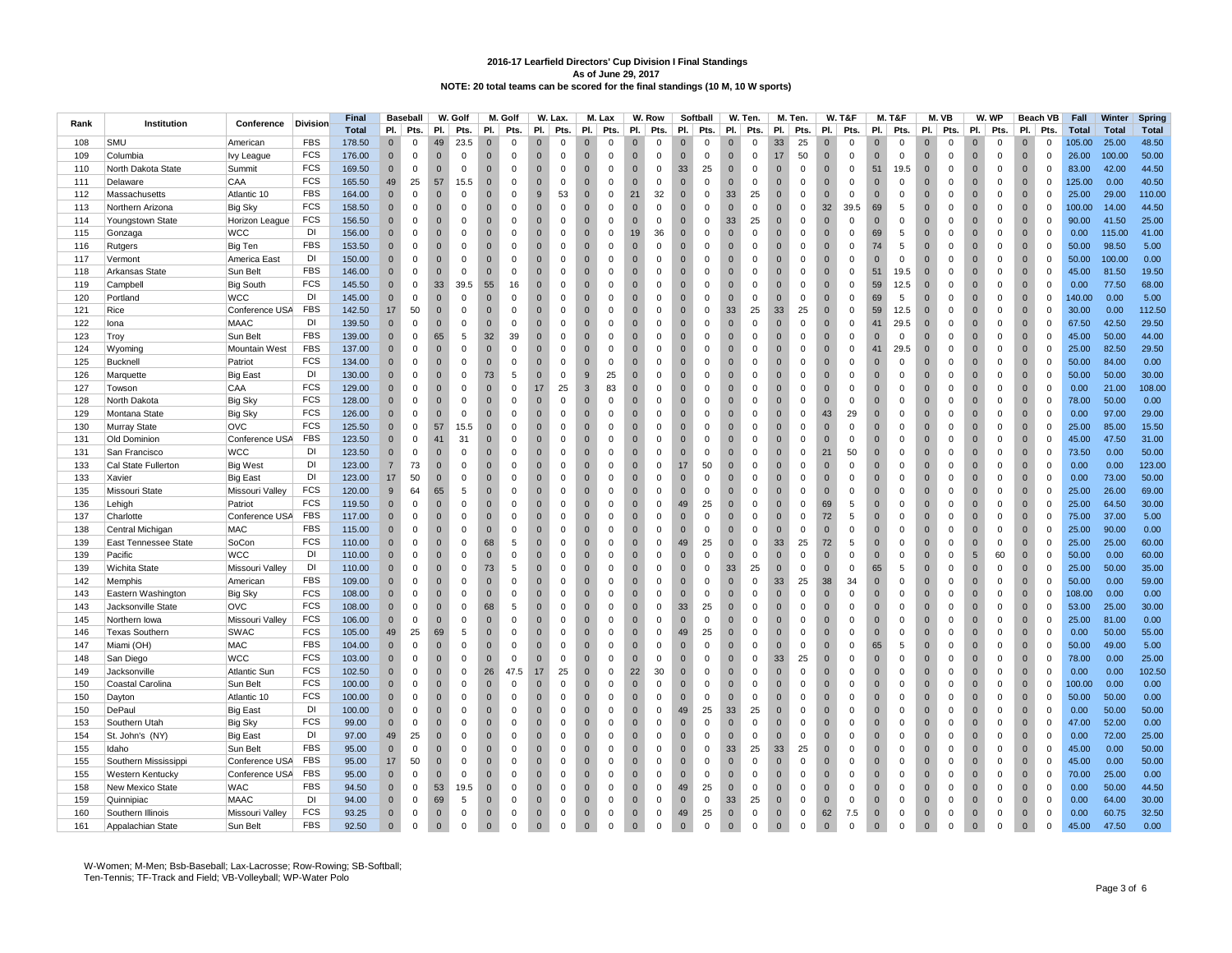|      |                             |                              |                 | Final        |                | <b>Baseball</b> |                | W. Golf      |                | M. Golf      |                | W. Lax.     |                | M. Lax      |              | W. Row      |                | Softball    |                | W. Ten.     |                | M. Ten.     |              | <b>W. T&amp;F</b> |                | M. T&F      |                | M.VB        |              | W. WP        |                | Beach VB    | Fall         | Winter       | Spring       |
|------|-----------------------------|------------------------------|-----------------|--------------|----------------|-----------------|----------------|--------------|----------------|--------------|----------------|-------------|----------------|-------------|--------------|-------------|----------------|-------------|----------------|-------------|----------------|-------------|--------------|-------------------|----------------|-------------|----------------|-------------|--------------|--------------|----------------|-------------|--------------|--------------|--------------|
| Rank | Institution                 | Conference                   | <b>Division</b> | <b>Total</b> | PI.            | Pts.            | PI.            | Pts.         | PI.            | Pts.         | PI.            | Pts.        | PI.            | Pts.        | PI.          | Pts.        | PI.            | Pts.        | PI.            | Pts.        | PI.            | Pts.        | PI.          | Pts.              | PI.            | Pts.        | PI.            | Pts.        | PI.          | Pts.         | PI.            | Pts.        | <b>Total</b> | <b>Total</b> | <b>Total</b> |
| 108  | <b>SMU</b>                  | American                     | <b>FBS</b>      | 178.50       | $\Omega$       | $\Omega$        | 49             | 23.5         | $\Omega$       | $\Omega$     | $\Omega$       | $\Omega$    | $\Omega$       | $\Omega$    | $\Omega$     | $\Omega$    | $\Omega$       | $\Omega$    | $\Omega$       | $\Omega$    | 33             | 25          | $\Omega$     | $\Omega$          | $\Omega$       | $\Omega$    | $\Omega$       | $\Omega$    | $\Omega$     | $\Omega$     | $\Omega$       | $\Omega$    | 105.00       | 25.00        | 48.50        |
| 109  | Columbia                    | lvy League                   | FCS             | 176.00       | $\mathbf{0}$   | $\mathbf 0$     | $\overline{0}$ | $\mathbf 0$  | $\mathbf{0}$   | $\mathbf{0}$ | $\Omega$       | $\mathbf 0$ | $\overline{0}$ | $\Omega$    | $\Omega$     | $\mathbf 0$ | $\mathbf{0}$   | $\mathbf 0$ | $\Omega$       | $\mathbf 0$ | 17             | 50          | $\Omega$     | $\Omega$          | $\Omega$       | $\mathbf 0$ | $\overline{0}$ | $\Omega$    | $\Omega$     | $\mathbf 0$  | $\Omega$       | $\mathbf 0$ | 26.00        | 100.00       | 50.00        |
| 110  | North Dakota State          | Summit                       | FCS             | 169.50       | $\mathbf{0}$   | $\mathsf 0$     | $\mathbf{0}$   | $\mathbf 0$  | $\mathbf 0$    | $\mathbf 0$  | $\mathbf 0$    | $\mathsf 0$ | $\overline{0}$ | $\mathbf 0$ | $\mathbf{0}$ | $\,0\,$     | 33             | 25          | $\mathbf{0}$   | $\mathsf 0$ | $\mathbf 0$    | $\mathbf 0$ | $\mathbf{0}$ | $\mathbf 0$       | 51             | 19.5        | $\bf{0}$       | $\mathbf 0$ | $\mathbf{0}$ | $\mathsf 0$  | $\mathbf{0}$   | $\mathbf 0$ | 83.00        | 42.00        | 44.50        |
| 111  | Delaware                    | CAA                          | <b>FCS</b>      | 165.50       | 49             | 25              | 57             | 15.5         | $\Omega$       | $\Omega$     | $\Omega$       | $\Omega$    | $\Omega$       | $\Omega$    | $\Omega$     | $\Omega$    | $\Omega$       | $\Omega$    | $\Omega$       | $\Omega$    | $\overline{0}$ | $\Omega$    | $\Omega$     | $\Omega$          | $\Omega$       | $\mathbf 0$ | $\mathbf{0}$   | $\Omega$    | $\Omega$     | $\Omega$     | $\Omega$       | $\mathbf 0$ | 125.00       | 0.00         | 40.50        |
| 112  | Massachusetts               | Atlantic 10                  | <b>FBS</b>      | 164.00       | $\mathbf{0}$   | $\mathbf 0$     | $\overline{0}$ | $\mathbf 0$  | $\Omega$       | 0            | 9              | 53          | $\overline{0}$ | $\Omega$    | 21           | 32          | $\mathbf 0$    | 0           | 33             | 25          | $\mathbf{0}$   | 0           | $\Omega$     | $\mathbf 0$       | $\Omega$       | 0           | $\overline{0}$ | $\mathbf 0$ | $\Omega$     | 0            | $\Omega$       | $\mathbf 0$ | 25.00        | 29.00        | 110.00       |
| 113  |                             |                              | FCS             | 158.50       | $\mathbf{0}$   | $\mathsf 0$     | $\overline{0}$ | $\mathbf 0$  | $\mathbf 0$    | $\mathbf 0$  | $\mathbf 0$    | $\mathsf 0$ | $\mathbf{0}$   | $\mathbf 0$ | $\mathbf{0}$ | $\mathbf 0$ | $\mathbf{0}$   | $\mathbf 0$ | $\pmb{0}$      | $\mathsf 0$ | $\mathbf 0$    | $\mathbf 0$ | 32           | 39.5              | 69             | 5           | $\overline{0}$ | $\mathbf 0$ | $\mathbf{0}$ | $\mathsf 0$  | $\mathbf{0}$   | $\mathbf 0$ | 100.00       | 14.00        | 44.50        |
| 114  | Northern Arizona            | <b>Big Sky</b>               | <b>FCS</b>      | 156.50       | $\Omega$       | $\Omega$        | $\Omega$       | $\Omega$     | $\Omega$       | $\Omega$     | $\Omega$       | $\Omega$    | $\overline{0}$ | $\Omega$    | $\Omega$     | $\Omega$    | $\Omega$       | $\Omega$    | 33             | 25          | $\overline{0}$ | $\Omega$    | $\Omega$     | $\Omega$          | $\Omega$       | $\Omega$    | $\mathbf{0}$   | $\Omega$    | $\Omega$     | $\Omega$     | $\Omega$       | $\mathbf 0$ | 90.00        | 41.50        | 25.00        |
|      | Youngstown State            | Horizon League<br><b>WCC</b> | DI              |              | $\mathbf{0}$   | $\mathsf 0$     | $\overline{0}$ | $\mathbf 0$  | $\mathbf{0}$   |              | $\mathbf 0$    | $\mathbf 0$ | $\overline{0}$ | $\Omega$    | 19           |             | $\mathbf{0}$   |             | $\mathbf 0$    | $\mathbf 0$ | $\overline{0}$ | 0           | $\Omega$     | $\mathbf 0$       |                | 5           | $\mathbf{0}$   | $\mathbf 0$ | $\Omega$     |              | $\mathbf{0}$   | $\mathsf 0$ |              | 115.00       | 41.00        |
| 115  | Gonzaga                     |                              | <b>FBS</b>      | 156.00       |                |                 |                |              |                | $\mathbf 0$  |                |             |                |             | $\Omega$     | 36          | $\Omega$       | $\mathbf 0$ |                |             |                |             | $\Omega$     |                   | 69             |             |                |             | $\Omega$     | $\mathbf 0$  |                |             | 0.00         |              |              |
| 116  | Rutgers                     | Big Ten                      |                 | 153.50       | $\Omega$       | $\mathbf 0$     | $\overline{0}$ | $\mathbf 0$  | $\mathbf{0}$   | $\mathbf 0$  | $\Omega$       | $\mathbf 0$ | $\mathbf 0$    | $\Omega$    |              | $\mathbf 0$ |                | $\mathbf 0$ | $\mathbf 0$    | $\mathbf 0$ | $\overline{0}$ | $\mathbf 0$ |              | $\mathbf 0$       | 74             | 5           | $\overline{0}$ | $\mathbf 0$ |              | $\mathsf 0$  | $\Omega$       | $\mathbf 0$ | 50.00        | 98.50        | 5.00         |
| 117  | Vermont                     | America East                 | DI              | 150.00       | $\Omega$       | $\Omega$        | $\overline{0}$ | $\Omega$     | $\Omega$       | $\Omega$     | $\Omega$       | $\Omega$    | $\overline{0}$ | $\Omega$    | $\Omega$     | $\Omega$    | $\Omega$       | $\Omega$    | $\Omega$       | $\Omega$    | $\overline{0}$ | $\Omega$    | $\Omega$     | $\Omega$          | $\mathbf{0}$   | $\mathbf 0$ | $\mathbf{0}$   | $\Omega$    | $\Omega$     | $\mathbf 0$  | $\mathbf{0}$   | $\mathbf 0$ | 50.00        | 100.00       | 0.00         |
| 118  | Arkansas State              | Sun Belt                     | <b>FBS</b>      | 146.00       | $\mathbf{0}$   | $\overline{0}$  | $\overline{0}$ | $\mathbf 0$  | $\mathbf{0}$   | $\mathbf 0$  | $\Omega$       | $\mathbf 0$ | $\overline{0}$ | $\mathbf 0$ | $\mathbf{0}$ | $\mathbf 0$ | $\overline{0}$ | $\mathbf 0$ | $\overline{0}$ | $\mathbf 0$ | $\overline{0}$ | $\mathbf 0$ | $\Omega$     | $\mathbf 0$       | 51             | 19.5        | $\overline{0}$ | $\mathbf 0$ | $\Omega$     | $\mathsf 0$  | $\overline{0}$ | $\mathsf 0$ | 45.00        | 81.50        | 19.50        |
| 119  | Campbell                    | <b>Big South</b>             | FCS             | 145.50       | $\Omega$       | $\mathbf 0$     | 33             | 39.5         | 55             | 16           | $\Omega$       | $\mathbf 0$ | $\overline{0}$ | $\Omega$    | $\mathbf 0$  | $\mathbf 0$ | $\Omega$       | $\Omega$    | $\mathbf{0}$   | $\mathsf 0$ | $\overline{0}$ | $\mathbf 0$ | $\Omega$     | $\mathbf 0$       | 59             | 12.5        | $\overline{0}$ | $\mathbf 0$ | $\Omega$     | $\mathbf 0$  | $\mathbf{0}$   | $\mathbf 0$ | 0.00         | 77.50        | 68.00        |
| 120  | Portland                    | <b>WCC</b>                   | DI              | 145.00       | $\Omega$       | $\mathbf 0$     | $\Omega$       | $\Omega$     | $\Omega$       | $\Omega$     | $\Omega$       | $\Omega$    | $\Omega$       | $\Omega$    | $\Omega$     | $\Omega$    | $\Omega$       | $\Omega$    | $\Omega$       | $\Omega$    | $\mathbf{0}$   | $\Omega$    | $\Omega$     | $\Omega$          | 69             | 5           | $\Omega$       | $\Omega$    | $\Omega$     | $\Omega$     | $\Omega$       | $\mathbf 0$ | 140.00       | 0.00         | 5.00         |
| 121  | Rice                        | Conference USA               | <b>FBS</b>      | 142.50       | 17             | 50              | $\overline{0}$ | $\mathbf 0$  | $\mathbf{0}$   | $\mathbf 0$  | $\overline{0}$ | $\mathbf 0$ | $\overline{0}$ | $\mathbf 0$ | $\mathbf 0$  | $\pmb{0}$   | $\mathbf{0}$   | $\mathbf 0$ | 33             | 25          | 33             | 25          | $\mathbf{0}$ | $\mathbf 0$       | 59             | 12.5        | $\overline{0}$ | $\mathbf 0$ | $\mathbf 0$  | $\mathsf{O}$ | $\mathbf{0}$   | $\mathsf 0$ | 30.00        | 0.00         | 112.50       |
| 122  | lona                        | <b>MAAC</b>                  | DI              | 139.50       | $\Omega$       | $\Omega$        | $\Omega$       | $\Omega$     | $\Omega$       | $\mathbf 0$  | $\Omega$       | $\Omega$    | $\Omega$       | $\Omega$    | $\Omega$     | $\mathbf 0$ | $\Omega$       | $\Omega$    | $\Omega$       | $\mathbf 0$ | $\overline{0}$ | $\Omega$    | $\Omega$     | $\Omega$          | 41             | 29.5        | $\Omega$       | $\Omega$    | $\Omega$     | $\mathbf 0$  | $\Omega$       | $\mathbf 0$ | 67.50        | 42.50        | 29.50        |
| 123  | Troy                        | Sun Belt                     | FBS             | 139.00       | $\Omega$       | $\mathbf{0}$    | 65             | 5            | 32             | 39           | $\Omega$       | $\Omega$    | $\overline{0}$ | $\Omega$    | $\Omega$     | 0           | $\Omega$       | $\Omega$    | $\Omega$       | $\Omega$    | $\overline{0}$ | $\Omega$    | $\Omega$     | $\mathbf 0$       | $\Omega$       | $\Omega$    | $\mathbf{0}$   | $\Omega$    | $\Omega$     | $\mathbf 0$  | $\Omega$       | $\mathbf 0$ | 45.00        | 50.00        | 44.00        |
| 124  | Wyoming                     | Mountain West                | <b>FBS</b>      | 137.00       | $\mathbf 0$    | $\mathsf 0$     | $\overline{0}$ | $\mathbf 0$  | $\mathbf{0}$   | $\mathbf 0$  | $\overline{0}$ | $\mathbf 0$ | $\overline{0}$ | $\mathbf 0$ | $\mathbf{0}$ | $\pmb{0}$   | $\mathbf{0}$   | $\mathbf 0$ | $\mathbf{0}$   | $\mathbf 0$ | $\overline{0}$ | $\mathbf 0$ | $\mathbf{0}$ | $\mathsf 0$       | 41             | 29.5        | $\overline{0}$ | $\mathbf 0$ | $\mathbf{0}$ | $\mathsf 0$  | $\mathbf{0}$   | $\mathsf 0$ | 25.00        | 82.50        | 29.50        |
| 125  | Bucknell                    | Patriot                      | FCS             | 134.00       | $\Omega$       | $\Omega$        | $\overline{0}$ | $\mathbf 0$  | $\Omega$       | $\mathbf 0$  | $\Omega$       | $\Omega$    | $\overline{0}$ | $\Omega$    | $\Omega$     | $\mathbf 0$ | $\Omega$       | $\Omega$    | $\Omega$       | $\Omega$    | $\overline{0}$ | $\mathbf 0$ | $\Omega$     | $\Omega$          | $\Omega$       | $\Omega$    | $\Omega$       | $\Omega$    | $\Omega$     | $\mathbf 0$  | $\Omega$       | $\mathbf 0$ | 50.00        | 84.00        | 0.00         |
| 126  | Marquette                   | <b>Big East</b>              | DI              | 130.00       | $\Omega$       | $\mathbf{0}$    | $\overline{0}$ | $\mathbf 0$  | 73             | 5            | $\Omega$       | $\Omega$    | 9              | 25          | $\Omega$     | $\Omega$    | $\Omega$       | $\Omega$    | $\Omega$       | $\Omega$    | $\overline{0}$ | $\Omega$    | $\Omega$     | $\Omega$          | $\Omega$       | $\Omega$    | $\overline{0}$ | $\Omega$    | $\Omega$     | $\Omega$     | $\Omega$       | $\mathbf 0$ | 50.00        | 50.00        | 30.00        |
| 127  | Towson                      | CAA                          | <b>FCS</b>      | 129.00       | $\mathbf 0$    | $\mathsf 0$     | $\overline{0}$ | $\mathbf 0$  | $\overline{0}$ | 0            | 17             | 25          | 3              | 83          | $\mathbf{0}$ | $\mathbf 0$ | $\mathbf 0$    | $\mathbf 0$ | $\pmb{0}$      | $\pmb{0}$   | $\overline{0}$ | $\mathbf 0$ | $\mathbf{0}$ | $\mathbf 0$       | $\bf{0}$       | $\mathbf 0$ | $\mathbf 0$    | $\mathbf 0$ | $\mathbf{0}$ | $\mathsf 0$  | $\mathbf{0}$   | $\mathsf 0$ | 0.00         | 21.00        | 108.00       |
| 128  | North Dakota                | Big Sky                      | <b>FCS</b>      | 128.00       | $\Omega$       | $\Omega$        | $\overline{0}$ | $\mathbf 0$  | $\Omega$       | $\Omega$     | $\Omega$       | $\Omega$    | $\overline{0}$ | $\Omega$    | $\Omega$     | $\mathbf 0$ | $\Omega$       | $\Omega$    | $\Omega$       | $\Omega$    | $\overline{0}$ | $\mathbf 0$ | $\Omega$     | $\mathbf 0$       | $\Omega$       | $\Omega$    | $\mathbf{0}$   | $\Omega$    | $\Omega$     | $\mathbf 0$  | $\Omega$       | $\mathbf 0$ | 78.00        | 50.00        | 0.00         |
| 129  | Montana State               | <b>Big Sky</b>               | FCS             | 126.00       | $\Omega$       | $\mathbf 0$     | $\overline{0}$ | $\mathbf 0$  | $\Omega$       | $\Omega$     | $\Omega$       | $\mathbf 0$ | $\overline{0}$ | $\Omega$    | $\Omega$     | $\mathbf 0$ | $\Omega$       | $\Omega$    | $\overline{0}$ | $\mathbf 0$ | $\overline{0}$ | $\Omega$    | 43           | 29                | $\overline{0}$ | 0           | $\overline{0}$ | $\mathbf 0$ | $\Omega$     | $\mathbf 0$  | $\mathbf{0}$   | $\mathbf 0$ | 0.00         | 97.00        | 29.00        |
| 130  | Murray State                | OVC                          | <b>FCS</b>      | 125.50       | $\mathbf{0}$   | $\mathbf 0$     | 57             | 15.5         | $\overline{0}$ | $\mathbf 0$  | $\mathbf{0}$   | $\Omega$    | $\overline{0}$ | $\Omega$    | $\mathbf{0}$ | $\mathbf 0$ | $\mathbf{0}$   | $\Omega$    | $\mathbf{0}$   | $\mathbf 0$ | $\mathbf 0$    | $\mathbf 0$ | $\Omega$     | $\mathbf 0$       | $\mathbf{0}$   | $\mathbf 0$ | $\mathbf{0}$   | $\mathbf 0$ | $\Omega$     | $\mathbf 0$  | $\mathbf{0}$   | $\mathbf 0$ | 25.00        | 85.00        | 15.50        |
| 131  | Old Dominion                | Conference USA               | <b>FBS</b>      | 123.50       | $\Omega$       | $\Omega$        | 41             | 31           | $\Omega$       | $\Omega$     | $\Omega$       | $\Omega$    | $\overline{0}$ | $\Omega$    | $\Omega$     | $\mathbf 0$ | $\Omega$       | $\Omega$    | $\Omega$       | $\Omega$    | $\overline{0}$ | $\Omega$    | $\Omega$     | $\mathbf 0$       | $\Omega$       | $\Omega$    | $\mathbf{0}$   | $\Omega$    | $\Omega$     | $\mathbf 0$  | $\Omega$       | $\mathbf 0$ | 45.00        | 47.50        | 31.00        |
| 131  | San Francisco               | <b>WCC</b>                   | DI              | 123.50       | $\Omega$       | $\mathbf 0$     | $\overline{0}$ | $\mathbf 0$  | $\overline{0}$ | $\Omega$     | $\overline{0}$ | $\mathbf 0$ | $\overline{0}$ | $\mathbf 0$ | $\mathbf{0}$ | $\mathbf 0$ | $\mathbf{0}$   | $\Omega$    | $\overline{0}$ | $\mathsf 0$ | $\overline{0}$ | $\mathbf 0$ | 21           | 50                | $\overline{0}$ | $\mathbf 0$ | $\mathbf{0}$   | $\mathbf 0$ | $\Omega$     | $\mathbf 0$  | $\mathbf{0}$   | $\mathsf 0$ | 73.50        | 0.00         | 50.00        |
| 133  | Cal State Fullerton         | <b>Big West</b>              | DI              | 123.00       | $\overline{7}$ | 73              | $\overline{0}$ | $\Omega$     | $\Omega$       | $\Omega$     | $\Omega$       | $\Omega$    | $\overline{0}$ | $\Omega$    | $\Omega$     | $\mathbf 0$ | 17             | 50          | $\Omega$       | $\Omega$    | $\overline{0}$ | $\Omega$    | $\Omega$     | $\mathbf 0$       | $\Omega$       | $\Omega$    | $\mathbf{0}$   | $\Omega$    | $\Omega$     | $\mathbf 0$  | $\Omega$       | $\mathbf 0$ | 0.00         | 0.00         | 123.00       |
| 133  | Xavier                      | <b>Big East</b>              | DI              | 123.00       | 17             | 50              | $\overline{0}$ | $\mathbf 0$  | $\Omega$       | $\Omega$     | $\Omega$       | $\Omega$    | $\overline{0}$ | $\Omega$    | $\Omega$     | $\mathbf 0$ | $\mathbf{0}$   | $\Omega$    | $\Omega$       | $\mathbf 0$ | $\mathbf 0$    | $\Omega$    | $\Omega$     | $\mathbf 0$       | $\Omega$       | $\Omega$    | $\mathbf{0}$   | $\Omega$    | $\Omega$     | $\mathbf 0$  | $\Omega$       | $\mathbf 0$ | 0.00         | 73.00        | 50.00        |
| 135  | Missouri State              | Missouri Valley              | FCS             | 120.00       | 9              | 64              | 65             | 5            | $\overline{0}$ | $\mathbf 0$  | $\overline{0}$ | $\mathbf 0$ | $\overline{0}$ | $\mathbf 0$ | $\mathbf{0}$ | $\mathbf 0$ | $\mathbf{0}$   | $\mathbf 0$ | $\overline{0}$ | $\mathbf 0$ | $\overline{0}$ | 0           | $\mathbf{0}$ | $\mathbf 0$       | $\mathbf{0}$   | $\mathbf 0$ | $\mathbf{0}$   | $\mathbf 0$ | $\Omega$     | $\mathbf 0$  | $\mathbf{0}$   | $\mathbf 0$ | 25.00        | 26.00        | 69.00        |
| 136  | Lehigh                      | Patriot                      | FCS             | 119.50       | $\Omega$       | $\Omega$        | $\overline{0}$ | $\mathbf 0$  | $\Omega$       | $\mathbf 0$  | $\Omega$       | $\Omega$    | $\overline{0}$ | $\Omega$    | $\Omega$     | $\mathbf 0$ | 49             | 25          | $\Omega$       | $\Omega$    | $\overline{0}$ | $\mathbf 0$ | 69           | 5                 | $\Omega$       | $\Omega$    | $\mathbf{0}$   | $\Omega$    | $\Omega$     | $\mathbf 0$  | $\Omega$       | $\mathbf 0$ | 25.00        | 64.50        | 30.00        |
| 137  | Charlotte                   | Conference USA               | <b>FBS</b>      | 117.00       | $\Omega$       | $\mathbf 0$     | $\overline{0}$ | $\mathbf 0$  | $\Omega$       | $\mathbf{0}$ | $\Omega$       | $\Omega$    | $\overline{0}$ | $\Omega$    | $\Omega$     | $\mathbf 0$ | $\Omega$       | $\Omega$    | $\Omega$       | $\mathbf 0$ | $\mathbf 0$    | $\mathbf 0$ | 72           | 5                 | $\Omega$       | $\Omega$    | $\overline{0}$ | $\Omega$    | $\Omega$     | $\mathbf 0$  | $\Omega$       | $\mathbf 0$ | 75.00        | 37.00        | 5.00         |
| 138  | Central Michigan            | MAC                          | <b>FBS</b>      | 115.00       | $\Omega$       | $\mathsf 0$     | $\overline{0}$ | $\mathbf 0$  | $\overline{0}$ | $\mathbf 0$  | $\overline{0}$ | $\mathbf 0$ | $\overline{0}$ | $\mathbf 0$ | $\mathbf{0}$ | $\mathbf 0$ | $\mathbf{0}$   | $\mathbf 0$ | $\overline{0}$ | $\mathsf 0$ | $\mathbf{0}$   | $\mathbf 0$ | $\mathbf{0}$ | $\mathbf 0$       | $\overline{0}$ | $\mathbf 0$ | $\mathbf{0}$   | $\mathbf 0$ | $\mathbf{0}$ | $\mathbf 0$  | $\mathbf{0}$   | $\mathbf 0$ | 25.00        | 90.00        | 0.00         |
| 139  | <b>East Tennessee State</b> | SoCon                        | <b>FCS</b>      | 110.00       | $\mathbf 0$    | $\mathbf 0$     | $\overline{0}$ | $\mathbf 0$  | 68             | 5            | $\Omega$       | $\Omega$    | $\overline{0}$ | $\Omega$    | $\Omega$     | $\mathbf 0$ | 49             | 25          | $\overline{0}$ | $\mathbf 0$ | 33             | 25          | 72           | 5                 | $\Omega$       | $\Omega$    | $\mathbf{0}$   | $\Omega$    | $\Omega$     | $\mathbf 0$  | $\mathbf{0}$   | $\mathbf 0$ | 25.00        | 25.00        | 60.00        |
| 139  | Pacific                     | <b>WCC</b>                   | DI              | 110.00       | $\Omega$       | $\mathbf 0$     | $\overline{0}$ | $\mathbf 0$  | $\overline{0}$ | $\Omega$     | $\Omega$       | $\Omega$    | $\overline{0}$ | $\Omega$    | $\mathbf{0}$ | $\mathbf 0$ | $\mathbf{0}$   | $\Omega$    | $\mathbf{0}$   | $\mathbf 0$ | $\mathbf{0}$   | $\mathbf 0$ | $\Omega$     | $\mathbf 0$       | $\mathbf{0}$   | 0           | $\mathbf{0}$   | $\mathbf 0$ | 5            | 60           | $\mathbf{0}$   | $\mathbf 0$ | 50.00        | 0.00         | 60.00        |
| 139  | Wichita State               | Missouri Valley              | DI              | 110.00       | $\mathbf 0$    | $\mathsf 0$     | $\overline{0}$ | $\mathbf 0$  | 73             | 5            | $\overline{0}$ | $\mathbf 0$ | $\overline{0}$ | $\mathbf 0$ | $\mathbf 0$  | $\mathbf 0$ | $\mathbf{0}$   | $\mathbf 0$ | 33             | 25          | $\mathbf 0$    | $\mathbf 0$ | $\mathbf{0}$ | $\mathbf 0$       | 65             | 5           | $\mathbf{0}$   | $\mathbf 0$ | $\mathbf 0$  | $\mathbf 0$  | $\mathbf{0}$   | $\mathsf 0$ | 25.00        | 50.00        | 35.00        |
| 142  | Memphis                     | American                     | <b>FBS</b>      | 109.00       | $\Omega$       | $\mathbf 0$     | $\overline{0}$ | $\mathbf 0$  | $\Omega$       | $\Omega$     | $\mathbf 0$    | $\Omega$    | $\overline{0}$ | $\Omega$    | $\mathbf 0$  | $\mathbf 0$ | $\Omega$       | $\Omega$    | $\mathbf 0$    | $\mathbf 0$ | 33             | 25          | 38           | 34                | $\mathbf 0$    | $\Omega$    | $\mathbf{0}$   | $\Omega$    | $\Omega$     | $\mathbf 0$  | $\mathbf{0}$   | $\mathbf 0$ | 50.00        | 0.00         | 59.00        |
| 143  | Eastern Washington          | <b>Big Sky</b>               | FCS             | 108.00       | $\mathbf{0}$   | $\mathsf 0$     | $\overline{0}$ | $\mathbf 0$  | $\overline{0}$ | 0            | $\mathbf{0}$   | $\Omega$    | $\overline{0}$ | $\Omega$    | $\mathbf 0$  | $\mathbf 0$ | $\overline{0}$ | $\mathbf 0$ | $\mathbf{0}$   | $\mathsf 0$ | $\overline{0}$ | $\mathbf 0$ | $\mathbf{0}$ | $\mathbf 0$       | $\mathbf{0}$   | $\mathbf 0$ | $\mathbf{0}$   | $\mathbf 0$ | $\mathbf{0}$ | $\mathsf 0$  | $\mathbf{0}$   | $\mathbf 0$ | 108.00       | 0.00         | 0.00         |
| 143  | Jacksonville State          | <b>OVC</b>                   | <b>FCS</b>      | 108.00       | $\Omega$       | $\Omega$        | $\Omega$       | $\mathbf 0$  | 68             | 5            | $\Omega$       | $\Omega$    | $\Omega$       | $\Omega$    | $\Omega$     | $\Omega$    | 33             | 25          | $\Omega$       | $\Omega$    | $\Omega$       | $\Omega$    | $\Omega$     | $\Omega$          | $\Omega$       | $\Omega$    | $\Omega$       | $\Omega$    | $\Omega$     | $\Omega$     | $\Omega$       | $\mathbf 0$ | 53.00        | 25.00        | 30.00        |
| 145  | Northern Iowa               | Missouri Valley              | <b>FCS</b>      | 106.00       | $\Omega$       | $\mathbf 0$     | $\mathbf{0}$   | $\mathbf 0$  | $\Omega$       | $\mathbf{0}$ | $\Omega$       | $\Omega$    | $\overline{0}$ | $\Omega$    | $\Omega$     | $\mathbf 0$ | $\overline{0}$ | $\mathbf 0$ | $\Omega$       | $\Omega$    | $\mathbf{0}$   | $\Omega$    | $\Omega$     | 0                 | $\Omega$       | $\Omega$    | $\overline{0}$ | $\Omega$    | $\Omega$     | $\mathbf 0$  | $\mathbf{0}$   | $\mathbf 0$ | 25.00        | 81.00        | 0.00         |
| 146  | <b>Texas Southern</b>       | <b>SWAC</b>                  | <b>FCS</b>      | 105.00       | 49             | 25              | 69             | 5            | $\overline{0}$ | $\mathbf 0$  | $\mathbf{0}$   | $\mathbf 0$ | $\overline{0}$ | $\Omega$    | $\mathbf{0}$ | $\mathbf 0$ | 49             | 25          | $\mathbf{0}$   | $\mathbf 0$ | $\mathbf 0$    | $\mathbf 0$ | $\mathbf{0}$ | $\mathbf 0$       | $\mathbf{0}$   | $\mathbf 0$ | $\overline{0}$ | $\mathbf 0$ | $\mathbf 0$  | $\mathbf 0$  | $\mathbf{0}$   | $\mathsf 0$ | 0.00         | 50.00        | 55.00        |
| 147  | Miami (OH)                  | <b>MAC</b>                   | <b>FBS</b>      | 104.00       | $\Omega$       | $\Omega$        | $\Omega$       | $\Omega$     | $\Omega$       | $\Omega$     | $\Omega$       | $\Omega$    | $\Omega$       | $\Omega$    | $\Omega$     | $\Omega$    | $\Omega$       | $\Omega$    | $\Omega$       | $\Omega$    | $\Omega$       | $\Omega$    | $\Omega$     | $\Omega$          | 65             | 5           | $\Omega$       | $\Omega$    | $\Omega$     | $\Omega$     | $\Omega$       | $\mathbf 0$ | 50.00        | 49.00        | 5.00         |
| 148  | San Diego                   | <b>WCC</b>                   | FCS             | 103.00       | $\Omega$       | $\mathbf 0$     | $\mathbf 0$    | $\Omega$     | $\Omega$       | $\mathbf 0$  | $\Omega$       | $\mathbf 0$ | $\mathbf{0}$   | $\Omega$    | $\mathbf{0}$ | $\mathbf 0$ | $\Omega$       | $\mathbf 0$ | $\Omega$       | $\mathbf 0$ | 33             | 25          | $\Omega$     | 0                 | $\mathbf{0}$   | $\Omega$    | $\overline{0}$ | $\Omega$    | $\Omega$     | $\mathbf 0$  | $\mathbf{0}$   | $\mathbf 0$ | 78.00        | 0.00         | 25.00        |
| 149  | Jacksonville                | <b>Atlantic Sun</b>          | <b>FCS</b>      | 102.50       | $\mathbf{0}$   | $\mathsf 0$     | $\overline{0}$ | $\mathbf 0$  | 26             | 47.5         | 17             | 25          | $\overline{0}$ | $\mathbf 0$ | 22           | 30          | $\overline{0}$ | $\mathbf 0$ | $\mathbf{0}$   | $\mathsf 0$ | $\overline{0}$ | $\mathbf 0$ | $\mathbf 0$  | $\mathbf 0$       | $\bf{0}$       | $\mathbf 0$ | $\overline{0}$ | $\mathbf 0$ | $\mathbf 0$  | $\mathbf 0$  | $\mathbf{0}$   | $\mathsf 0$ | 0.00         | 0.00         | 102.50       |
| 150  | Coastal Carolina            | Sun Belt                     | <b>FCS</b>      | 100.00       | $\Omega$       | $\Omega$        | $\Omega$       | $\mathbf 0$  | $\Omega$       | $\Omega$     | $\Omega$       | $\Omega$    | $\Omega$       | $\Omega$    | $\Omega$     | $\Omega$    | $\Omega$       | $\Omega$    | $\Omega$       | $\Omega$    | $\overline{0}$ | $\Omega$    | $\Omega$     | $\Omega$          | $\Omega$       | $\Omega$    | $\Omega$       | $\Omega$    | $\Omega$     | $\Omega$     | $\Omega$       | $\mathbf 0$ | 100.00       | 0.00         | 0.00         |
| 150  | Dayton                      | Atlantic 10                  | FCS             | 100.00       | $\Omega$       | $\mathbf 0$     | $\overline{0}$ | $\mathbf{0}$ | $\Omega$       | $\mathbf{0}$ | $\Omega$       | $\Omega$    | $\overline{0}$ | $\Omega$    | $\mathbf{0}$ | 0           | $\overline{0}$ | $\mathbf 0$ | $\mathbf{0}$   | $\mathbf 0$ | $\mathbf 0$    | $\Omega$    | $\Omega$     | 0                 | $\mathbf{0}$   | $\Omega$    | $\overline{0}$ | $\mathbf 0$ | $\Omega$     | 0            | $\mathbf{0}$   | $\mathbf 0$ | 50.00        | 50.00        | 0.00         |
| 150  | DePaul                      | <b>Big East</b>              | DI              | 100.00       | $\mathbf{0}$   | $\mathsf 0$     | $\overline{0}$ | $\mathbf 0$  | $\mathbf{0}$   | $\mathbf 0$  | $\mathbf{0}$   | $\mathsf 0$ | $\overline{0}$ | $\mathbf 0$ | $\mathbf{0}$ | $\mathbf 0$ | 49             | 25          | 33             | 25          | $\mathbf 0$    | $\mathbf 0$ | $\mathbf{0}$ | $\mathbf 0$       | $\bf{0}$       | $\mathbf 0$ | $\overline{0}$ | $\mathbf 0$ | $\mathbf{0}$ | $\pmb{0}$    | $\mathbf{0}$   | $\mathsf 0$ | 0.00         | 50.00        | 50.00        |
| 153  |                             |                              | <b>FCS</b>      | 99.00        | $\Omega$       | $\Omega$        | $\Omega$       | $\mathbf 0$  | $\Omega$       | $\Omega$     | $\Omega$       | $\Omega$    | $\Omega$       | $\Omega$    | $\Omega$     | $\mathbf 0$ | $\Omega$       | $\Omega$    | $\Omega$       | $\Omega$    | $\overline{0}$ | $\Omega$    | $\Omega$     | $\Omega$          | $\Omega$       | $\Omega$    | $\mathbf{0}$   | $\Omega$    | $\Omega$     | $\Omega$     | $\Omega$       | $\mathbf 0$ | 47.00        | 52.00        | 0.00         |
|      | Southern Utah               | <b>Big Sky</b>               | DI              | 97.00        | 49             |                 | $\overline{0}$ | $\mathbf 0$  | $\overline{0}$ | $\mathbf 0$  | $\mathbf{0}$   | $\mathbf 0$ | $\overline{0}$ | $\mathbf 0$ | $\mathbf{0}$ |             | $\mathbf{0}$   |             | $\mathbf{0}$   | $\mathbf 0$ |                | $\mathbf 0$ | $\mathbf{0}$ | $\mathbf 0$       | $\mathbf{0}$   | $\mathbf 0$ | $\overline{0}$ | $\mathbf 0$ | $\mathbf{0}$ |              | $\mathbf{0}$   | $\mathbf 0$ | 0.00         | 72.00        | 25.00        |
| 154  | St. John's (NY)             | <b>Big East</b>              | <b>FBS</b>      |              |                | 25              |                |              |                |              |                |             |                |             |              | $\,0\,$     |                | 0           |                |             | $\mathbf 0$    |             |              |                   |                |             |                |             |              | $\mathsf 0$  |                |             |              |              |              |
| 155  | Idaho                       | Sun Belt                     | <b>FBS</b>      | 95.00        | $\mathbf{0}$   | $\overline{0}$  | $\overline{0}$ | $\mathbf 0$  | $\mathbf{0}$   | $\mathbf 0$  | $\overline{0}$ | $\mathbf 0$ | $\overline{0}$ | $\mathbf 0$ | $\mathbf{0}$ | $\mathbf 0$ | $\overline{0}$ | $\mathbf 0$ | 33             | 25          | 33             | 25          | $\mathbf{0}$ | $\mathbf 0$       | $\mathbf{0}$   | $\mathbf 0$ | $\mathbf{0}$   | $\mathbf 0$ | $\mathbf{0}$ | $\mathbf 0$  | $\mathbf{0}$   | $\mathsf 0$ | 45.00        | 0.00         | 50.00        |
| 155  | Southern Mississippi        | Conference USA               | <b>FBS</b>      | 95.00        | 17             | 50              | $\Omega$       | 0            | $\Omega$       | $\mathbf 0$  | $\Omega$       | $\Omega$    | $\Omega$       | $\Omega$    | $\Omega$     | $\Omega$    | $\Omega$       | $\Omega$    | $\Omega$       | $\Omega$    | $\overline{0}$ | $\Omega$    | $\Omega$     | $\Omega$          | $\Omega$       | $\Omega$    | $\mathbf{0}$   | $\Omega$    | $\Omega$     | $\mathbf 0$  | $\Omega$       | $\mathbf 0$ | 45.00        | 0.00         | 50.00        |
| 155  | Western Kentucky            | Conference USA               |                 | 95.00        | $\mathbf{0}$   | $\mathbf 0$     | $\mathbf{0}$   | $\mathbf 0$  | $\mathbf 0$    | $\mathsf 0$  | $\mathbf{0}$   | $\mathsf 0$ | $\mathbf{0}$   | $\mathbf 0$ | $\mathbf{0}$ | $\mathbf 0$ | $\overline{0}$ | $\mathbf 0$ | $\mathbf{0}$   | $\mathsf 0$ | $\mathbf{0}$   | $\mathbf 0$ | $\mathbf{0}$ | 0                 | $\mathbf{0}$   | $\mathbf 0$ | $\overline{0}$ | $\mathbf 0$ | $\mathbf{0}$ | $\mathsf{O}$ | $\mathbf{0}$   | $\mathsf 0$ | 70.00        | 25.00        | 0.00         |
| 158  | <b>New Mexico State</b>     | <b>WAC</b>                   | <b>FBS</b>      | 94.50        | $\Omega$       | $\Omega$        | 53             | 19.5         | $\Omega$       | $\Omega$     | $\Omega$       | $\Omega$    | $\Omega$       | $\Omega$    | $\Omega$     | $\Omega$    | 49             | 25          | $\Omega$       | $\Omega$    | $\overline{0}$ | $\Omega$    | $\Omega$     | $\Omega$          | $\Omega$       | $\Omega$    | $\mathbf{0}$   | $\Omega$    | $\Omega$     | $\Omega$     | $\Omega$       | $\mathbf 0$ | 0.00         | 50.00        | 44.50        |
| 159  | Quinnipiac                  | <b>MAAC</b>                  | DI              | 94.00        | $\Omega$       | $\mathbf 0$     | 69             | 5            | $\Omega$       | $\Omega$     | $\Omega$       | $\Omega$    | $\Omega$       | $\Omega$    | $\Omega$     | $\Omega$    | $\Omega$       | $^{\circ}$  | 33             | 25          | $\overline{0}$ | $\Omega$    | $\Omega$     | $\Omega$          | $\Omega$       | $\Omega$    | $\mathbf{0}$   | $\Omega$    | $\Omega$     | $\Omega$     | $\Omega$       | $\mathbf 0$ | 0.00         | 64.00        | 30.00        |
| 160  | Southern Illinois           | Missouri Valley              | FCS             | 93.25        | $\mathbf{0}$   | $\mathbf 0$     | $\mathbf 0$    | $\mathbf 0$  | $\mathbf 0$    | $\mathsf 0$  | $\mathbf{0}$   | $\mathbf 0$ | $\overline{0}$ | $\mathbf 0$ | $\mathbf 0$  | $\mathbf 0$ | 49             | 25          | $\mathbf 0$    | $\mathsf 0$ | $\mathbf 0$    | $\mathbf 0$ | 62           | 7.5               | $\mathbf{0}$   | $\mathbf 0$ | $\mathbf 0$    | $\mathbf 0$ | $\mathbf{0}$ | $\mathbf 0$  | $\mathbf{0}$   | $\mathbf 0$ | 0.00         | 60.75        | 32.50        |
| 161  | Appalachian State           | Sun Belt                     | <b>FBS</b>      | 92.50        | $\Omega$       | $\Omega$        | $\Omega$       | $\Omega$     | $\Omega$       | $\Omega$     | $\Omega$       | $\Omega$    | $\Omega$       | $\Omega$    | $\Omega$     | $\Omega$    | $\Omega$       | $\Omega$    | $\Omega$       | $\Omega$    | $\Omega$       | $\Omega$    | $\Omega$     | $\Omega$          | $\Omega$       | $\Omega$    | $\Omega$       | $\Omega$    | $\Omega$     | $\Omega$     | $\Omega$       | $\Omega$    | 45.00        | 47.50        | 0.00         |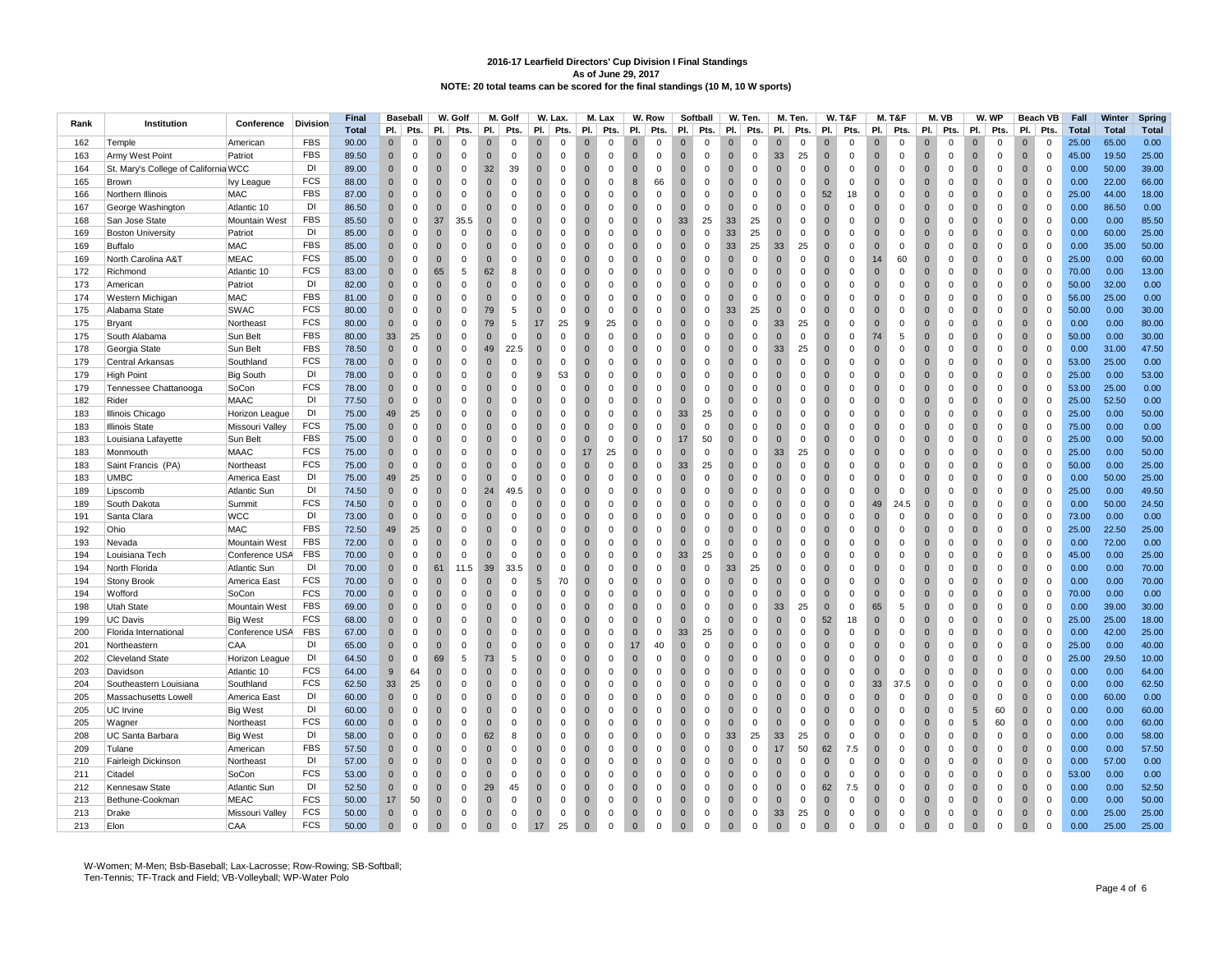|      |                                      |                      |            | <b>Final</b> |              | <b>Baseball</b> |                | W. Golf     |              | M. Golf      |                | W. Lax.     |                | M. Lax       |                | W. Row      | Softball                      |              | W. Ten.     |                | M. Ten.     |              | <b>W. T&amp;F</b> |                | M. T&F       |                | M.VB         |                | W. WP       |                | Beach VB    | Fall         | Winter       | Spring       |
|------|--------------------------------------|----------------------|------------|--------------|--------------|-----------------|----------------|-------------|--------------|--------------|----------------|-------------|----------------|--------------|----------------|-------------|-------------------------------|--------------|-------------|----------------|-------------|--------------|-------------------|----------------|--------------|----------------|--------------|----------------|-------------|----------------|-------------|--------------|--------------|--------------|
| Rank | Institution                          | Conference           | Division   | <b>Total</b> | PI.          | Pts.            | PI.            | Pts.        | PI.          | Pts.         | PI.            | Pts.        | PI.            | Pts.         | PI.            | Pts.        | PI.<br>Pts.                   | PI.          | Pts.        | PI.            | Pts.        | PI.          | Pts.              | PI.            | Pts.         | PI.            | Pts.         | PI.            | Pts.        | PI.            | Pts.        | <b>Total</b> | <b>Total</b> | <b>Total</b> |
| 162  | Temple                               | American             | <b>FBS</b> | 90.00        | $\Omega$     | $\Omega$        | $\Omega$       | $\Omega$    | $\Omega$     | $\Omega$     | $\Omega$       | $\Omega$    | $\Omega$       | $\Omega$     | $\Omega$       | $\Omega$    | $\Omega$<br>$\Omega$          | $\Omega$     | $\Omega$    | $\Omega$       | $\Omega$    | $\Omega$     | $\Omega$          | $\Omega$       | $\Omega$     | $\Omega$       | $\Omega$     |                | $\Omega$    | $\Omega$       | $\Omega$    | 25.00        | 65.00        | 0.00         |
|      |                                      |                      | <b>FBS</b> |              |              |                 |                |             | $\Omega$     | $\Omega$     | $\Omega$       |             |                |              | $\Omega$       |             |                               |              |             |                |             | $\Omega$     |                   |                |              | $\Omega$       | $\Omega$     |                |             |                |             |              |              |              |
| 163  | Army West Point                      | Patriot              |            | 89.50        | $\mathbf{0}$ | $\mathbf 0$     | $\overline{0}$ | $\Omega$    |              |              |                | $\mathbf 0$ | $\overline{0}$ | $\mathbf{0}$ |                | $\mathbf 0$ | $\mathbf{0}$<br>$\mathbf 0$   | $\Omega$     | $\mathbf 0$ | 33             | 25          |              | $\mathbf 0$       | $\Omega$       | $\mathbf 0$  |                |              | $\Omega$       | $\mathbf 0$ | $\overline{0}$ | $\mathbf 0$ | 45.00        | 19.50        | 25.00        |
| 164  | St. Mary's College of California WCC |                      | DI         | 89.00        | $\mathbf 0$  | $\mathsf 0$     | $\overline{0}$ | $\mathbf 0$ | 32           | 39           | $\mathbf{0}$   | $\mathsf 0$ | $\overline{0}$ | $\mathbf 0$  | $\mathbf{0}$   | $\mathbf 0$ | $\mathbf{0}$<br>$\mathbf 0$   | $\mathbf{0}$ | $\mathbf 0$ | $\overline{0}$ | 0           | $\mathbf{0}$ | $\mathbf 0$       | $\mathbf{0}$   | $\mathsf 0$  | $\mathbf{0}$   | $\mathbf 0$  | $\mathbf{0}$   | 0           | $\mathbf 0$    | $\mathsf 0$ | 0.00         | 50.00        | 39.00        |
| 165  | Brown                                | <b>Ivy League</b>    | <b>FCS</b> | 88.00        | $\Omega$     | $\Omega$        | $\overline{0}$ | $\Omega$    | $\Omega$     | $\Omega$     | $\Omega$       | $\Omega$    | $\overline{0}$ | $\Omega$     | 8              | 66          | $\overline{0}$<br>$\mathbf 0$ | $\Omega$     | $\mathbf 0$ | $\overline{0}$ | $\Omega$    | $\Omega$     | $\Omega$          | $\Omega$       | $\mathbf 0$  | $\mathbf{0}$   | $\Omega$     | $\overline{0}$ | $\Omega$    | $\Omega$       | $\mathbf 0$ | 0.00         | 22.00        | 66.00        |
| 166  | Northern Illinois                    | MAC                  | <b>FBS</b> | 87.00        | $\mathbf{0}$ | $\mathbf 0$     | $\overline{0}$ | $\mathbf 0$ | $\mathbf{0}$ | $^{\circ}$   | $\Omega$       | $\mathbf 0$ | $\mathbf 0$    | 0            | $\Omega$       | 0           | $\mathbf 0$<br>0              | $\Omega$     | $\mathbf 0$ | $\overline{0}$ | 0           | 52           | 18                | $\mathbf 0$    | $\mathbf 0$  | $\mathbf{0}$   | $\mathbf 0$  | $\Omega$       | 0           | $\mathbf 0$    | $\mathbf 0$ | 25.00        | 44.00        | 18.00        |
| 167  | George Washington                    | Atlantic 10          | DI         | 86.50        | $\mathbf{0}$ | $\mathbf 0$     | $\overline{0}$ | $\mathbf 0$ | $\mathbf{0}$ | $\mathbf 0$  | $\mathbf 0$    | $\mathbf 0$ | $\overline{0}$ | $\mathbf 0$  | $\mathbf{0}$   | 0           | $\mathbf{0}$<br>$\mathbf 0$   | $\mathbf 0$  | $\mathbf 0$ | $\overline{0}$ | $\mathbf 0$ | $\mathbf{0}$ | $\mathsf 0$       | $\overline{0}$ | $\mathsf 0$  | $\overline{0}$ | $\mathbf 0$  | $\mathbf{0}$   | 0           | $\mathbf 0$    | $\mathsf 0$ | 0.00         | 86.50        | 0.00         |
| 168  | San Jose State                       | <b>Mountain West</b> | <b>FBS</b> | 85.50        | $\Omega$     | $\mathbf 0$     | 37             | 35.5        | $\Omega$     | $\Omega$     | $\Omega$       | $\Omega$    | $\overline{0}$ | $\Omega$     | $\Omega$       | 0           | 25<br>33                      | 33           | 25          | $\overline{0}$ | $\Omega$    | $\Omega$     | $\Omega$          | $\Omega$       | $\Omega$     | $\overline{0}$ | $\Omega$     | $\Omega$       | $\Omega$    | $\mathbf 0$    | $\mathbf 0$ | 0.00         | 0.00         | 85.50        |
| 169  | <b>Boston University</b>             | Patriot              | DI         | 85.00        | $\mathbf{0}$ | $\mathbf 0$     | $\overline{0}$ | $\mathbf 0$ | $\Omega$     | $\mathbf 0$  | $\Omega$       | $\mathbf 0$ | $\overline{0}$ | $\mathbf 0$  | $\Omega$       | 0           | $\mathbf 0$<br>$\mathbf 0$    | 33           | 25          | $\overline{0}$ | $\mathbf 0$ | $\Omega$     | $\mathbf 0$       | $\overline{0}$ | $\mathbf 0$  | $\mathbf{0}$   | $\mathbf 0$  | $\Omega$       | $\mathsf 0$ | $\overline{0}$ | $\mathsf 0$ | 0.00         | 60.00        | 25.00        |
| 169  | Buffalo                              | MAC                  | <b>FBS</b> | 85.00        | $\Omega$     | $\Omega$        | $\overline{0}$ | $\Omega$    | $\Omega$     | $\Omega$     | $\Omega$       | $\Omega$    | $\overline{0}$ | $\mathbf 0$  | $\mathbf{0}$   | $\mathbf 0$ | $\Omega$<br>$\mathbf 0$       | 33           | 25          | 33             | 25          | $\Omega$     | $\mathbf 0$       | $\mathbf{0}$   | $\mathbf{0}$ | $\Omega$       | $\Omega$     | $\Omega$       | $\mathsf 0$ | $\mathbf{0}$   | $\mathbf 0$ | 0.00         | 35.00        | 50.00        |
| 169  | North Carolina A&T                   | <b>MEAC</b>          | <b>FCS</b> | 85.00        | $\Omega$     | $\Omega$        | $\overline{0}$ | $\Omega$    | $\Omega$     | $\Omega$     | $\Omega$       | $\Omega$    | $\overline{0}$ | $\Omega$     | $\Omega$       | $\Omega$    | $\overline{0}$<br>$\mathbf 0$ | $\Omega$     | $\mathbf 0$ | $\overline{0}$ | $\Omega$    | $\Omega$     | $\Omega$          | 14             | 60           | $\mathbf{0}$   | $\Omega$     | $\Omega$       | $\Omega$    | $\mathbf 0$    | $\mathbf 0$ | 25.00        | 0.00         | 60.00        |
| 172  | Richmond                             | Atlantic 10          | <b>FCS</b> | 83.00        | $\mathbf{0}$ | $\mathbf 0$     | 65             | 5           | 62           | 8            | $\Omega$       | $\mathbf 0$ | $\overline{0}$ | $\mathbf 0$  | $\overline{0}$ | 0           | $\overline{0}$<br>$\mathbf 0$ | $\mathbf{0}$ | $\mathbf 0$ | $\overline{0}$ | $\mathbf 0$ | $\Omega$     | $\mathsf 0$       | $\overline{0}$ | $\mathbf 0$  | $\mathbf{0}$   | $\mathbf 0$  | $\Omega$       | $\mathsf 0$ | $\overline{0}$ | $\mathsf 0$ | 70.00        | 0.00         | 13.00        |
| 173  | American                             | Patriot              | <b>DI</b>  | 82.00        | $\Omega$     | $\Omega$        | $\overline{0}$ | $\Omega$    | $\Omega$     | $\mathbf 0$  | $\Omega$       | $\Omega$    | $\overline{0}$ | $\mathbf 0$  | $\mathbf{0}$   | $\mathbf 0$ | $\mathbf{0}$<br>$\mathbf 0$   | $\mathbf{0}$ | $\mathbf 0$ | $\overline{0}$ | $\mathbf 0$ | $\Omega$     | $\mathbf 0$       | $\overline{0}$ | $\mathbf{0}$ | $\overline{0}$ | $\Omega$     | $\Omega$       | $\mathsf 0$ | $\mathbf 0$    | $\mathbf 0$ | 50.00        | 32.00        | 0.00         |
| 174  | Western Michigan                     | <b>MAC</b>           | <b>FBS</b> | 81.00        | $\Omega$     | $\Omega$        | $\overline{0}$ | $\Omega$    | $\Omega$     | $\Omega$     | $\Omega$       | $\Omega$    | $\Omega$       | $\Omega$     | $\Omega$       | $\Omega$    | $\Omega$<br>$\Omega$          | $\Omega$     | $\mathbf 0$ | $\Omega$       | $\Omega$    | $\Omega$     | $\Omega$          | $\Omega$       | $\Omega$     | $\Omega$       | $\Omega$     | $\Omega$       | $\Omega$    | $\Omega$       | $\mathbf 0$ | 56.00        | 25.00        | 0.00         |
| 175  | Alabama State                        | SWAC                 | <b>FCS</b> | 80.00        | $\pmb{0}$    | $\mathbf 0$     | $\overline{0}$ | $\mathbf 0$ | 79           | $\,$ 5 $\,$  | $\mathbf{0}$   | $\mathbf 0$ | $\overline{0}$ | $\mathbf 0$  | $\overline{0}$ | $\mathbf 0$ | $\mathbf 0$<br>$\mathbf 0$    | 33           | 25          | $\overline{0}$ | $\mathbf 0$ | $\mathbf{0}$ | $\mathsf 0$       | $\overline{0}$ | $\mathsf 0$  | $\mathbf 0$    | $\mathbf 0$  | $\mathbf{0}$   | $\mathsf 0$ | $\mathbf 0$    | $\mathsf 0$ | 50.00        | 0.00         | 30.00        |
| 175  |                                      |                      | FCS        | 80.00        | $\Omega$     | $\Omega$        | $\overline{0}$ | $\Omega$    | 79           | 5            | 17             | 25          | $\overline{9}$ | 25           | $\Omega$       | $\mathbf 0$ | $\Omega$<br>$\mathbf 0$       | $\Omega$     | $\mathbf 0$ | 33             | 25          | $\Omega$     | $\Omega$          | $\Omega$       | $\mathbf{0}$ | $\Omega$       | $\Omega$     | $\Omega$       | $\Omega$    | $\Omega$       | $\mathbf 0$ | 0.00         | 0.00         | 80.00        |
|      | Bryant                               | Northeast            |            |              |              |                 |                |             |              |              |                |             |                |              |                |             |                               |              |             |                |             |              |                   |                |              |                |              |                |             |                |             |              |              |              |
| 175  | South Alabama                        | Sun Belt             | <b>FBS</b> | 80.00        | 33           | 25              | $\overline{0}$ | $\Omega$    | $\Omega$     | $\Omega$     | $\Omega$       | $\Omega$    | $\Omega$       | $\Omega$     | $\Omega$       | $\Omega$    | $\overline{0}$<br>$\mathbf 0$ | $\Omega$     | $\mathbf 0$ | $\overline{0}$ | $\Omega$    | $\Omega$     | $\Omega$          | 74             | 5            | $\mathbf{0}$   | $\Omega$     | $\Omega$       | $\Omega$    | $\mathbf{0}$   | $\mathbf 0$ | 50.00        | 0.00         | 30.00        |
| 178  | Georgia State                        | Sun Belt             | <b>FBS</b> | 78.50        | $\mathbf 0$  | $\mathsf 0$     | $\overline{0}$ | $\mathbf 0$ | 49           | 22.5         | $\overline{0}$ | $\mathbf 0$ | $\overline{0}$ | $\mathbf 0$  | $\overline{0}$ | 0           | $\mathbf 0$<br>$\mathbf 0$    | $\mathbf{0}$ | $\mathsf 0$ | 33             | 25          | $\mathbf{0}$ | $\mathsf 0$       | $\mathbf 0$    | $\mathbf 0$  | $\mathbf 0$    | $\mathbf 0$  | $\mathbf{0}$   | $\mathsf 0$ | $\mathbf 0$    | $\mathsf 0$ | 0.00         | 31.00        | 47.50        |
| 179  | Central Arkansas                     | Southland            | <b>FCS</b> | 78.00        | $\Omega$     | $\Omega$        | $\overline{0}$ | $\Omega$    | $\Omega$     | $\Omega$     | $\Omega$       | $\Omega$    | $\overline{0}$ | $\mathbf 0$  | $\Omega$       | 0           | $\Omega$<br>$\mathbf 0$       | $\Omega$     | $\mathbf 0$ | $\overline{0}$ | $\Omega$    | $\Omega$     | $\Omega$          | $\Omega$       | $\mathbf 0$  | $\overline{0}$ | $\Omega$     | $\Omega$       | $\mathbf 0$ | $\Omega$       | $\mathbf 0$ | 53.00        | 25.00        | 0.00         |
| 179  | <b>High Point</b>                    | <b>Big South</b>     | DI         | 78.00        | $\Omega$     | $\mathbf 0$     | $\overline{0}$ | $\Omega$    | $\Omega$     | $\Omega$     | 9              | 53          | $\overline{0}$ | $\Omega$     | $\Omega$       | $\Omega$    | $\mathbf 0$<br>$\Omega$       | $\Omega$     | $\mathbf 0$ | $\overline{0}$ | 0           | $\Omega$     | $\Omega$          | $\Omega$       | $\Omega$     | $\mathbf{0}$   | $\Omega$     | $\Omega$       | 0           | $\mathbf{0}$   | $\mathbf 0$ | 25.00        | 0.00         | 53.00        |
| 179  | Tennessee Chattanooga                | SoCon                | <b>FCS</b> | 78.00        | $\mathbf 0$  | $\pmb{0}$       | $\overline{0}$ | $\mathbf 0$ | $\pmb{0}$    | $\mathbf 0$  | $\overline{0}$ | $\mathbf 0$ | $\overline{0}$ | $\mathbf 0$  | $\overline{0}$ | 0           | $\mathbf 0$<br>$\mathbf 0$    | $\mathbf{0}$ | $\mathsf 0$ | $\overline{0}$ | 0           | $\mathbf{0}$ | $\mathsf 0$       | $\mathbf 0$    | $\mathbf 0$  | $\mathbf 0$    | $\mathbf 0$  | $\mathbf{0}$   | $\mathsf 0$ | $\mathbf 0$    | $\mathsf 0$ | 53.00        | 25.00        | 0.00         |
| 182  | Rider                                | <b>MAAC</b>          | DI         | 77.50        | $\Omega$     | $\Omega$        | $\overline{0}$ | $\Omega$    | $\Omega$     | $\Omega$     | $\Omega$       | $\Omega$    | $\overline{0}$ | $\mathbf 0$  | $\Omega$       | 0           | $\Omega$<br>$\mathbf 0$       | $\Omega$     | $\mathbf 0$ | $\overline{0}$ | $\Omega$    | $\Omega$     | $\Omega$          | $\Omega$       | $\Omega$     | $\mathbf{0}$   | $\Omega$     | $\Omega$       | $\mathbf 0$ | $\Omega$       | $\mathbf 0$ | 25.00        | 52.50        | 0.00         |
| 183  | Illinois Chicago                     | Horizon League       | DI         | 75.00        | 49           | 25              | $\overline{0}$ | $\Omega$    | $\Omega$     | $\Omega$     | $\Omega$       | $\Omega$    | $\overline{0}$ | $\Omega$     | $\Omega$       | $\mathbf 0$ | 33<br>25                      | $\Omega$     | $\mathbf 0$ | $\overline{0}$ | $\Omega$    | $\Omega$     | $\Omega$          | $\Omega$       | $\Omega$     | $\mathbf{0}$   | $\Omega$     | $\Omega$       | $\mathbf 0$ | $\mathbf 0$    | $\mathbf 0$ | 25.00        | 0.00         | 50.00        |
| 183  | <b>Illinois State</b>                | Missouri Valley      | FCS        | 75.00        | $\mathbf{0}$ | $\mathsf 0$     | $\overline{0}$ | $\Omega$    | $\mathbf{0}$ | $\mathbf 0$  | $\Omega$       | $\mathbf 0$ | $\overline{0}$ | $\mathbf 0$  | $\Omega$       | $\mathbf 0$ | $\overline{0}$<br>$\mathbf 0$ | $\Omega$     | $\mathbf 0$ | $\overline{0}$ | $\mathbf 0$ | $\Omega$     | $\mathbf 0$       | $\mathbf 0$    | $\mathbf{0}$ | $\mathbf{0}$   | $\Omega$     | $\Omega$       | $\mathbf 0$ | $\mathbf 0$    | $\mathbf 0$ | 75.00        | 0.00         | 0.00         |
| 183  | Louisiana Lafayette                  | Sun Belt             | <b>FBS</b> | 75.00        | $\Omega$     | $\Omega$        | $\overline{0}$ | $\Omega$    | $\Omega$     | $\Omega$     | $\Omega$       | $\Omega$    | $\overline{0}$ | $\mathbf 0$  | $\Omega$       | $\mathbf 0$ | 50<br>17                      | $\Omega$     | $\mathbf 0$ | $\overline{0}$ | $\Omega$    | $\Omega$     | $\mathbf 0$       | $\Omega$       | $\Omega$     | $\mathbf{0}$   | $\Omega$     | $\Omega$       | $\mathbf 0$ | $\mathbf 0$    | $\mathbf 0$ | 25.00        | 0.00         | 50.00        |
| 183  | Monmouth                             | <b>MAAC</b>          | <b>FCS</b> | 75.00        | $\Omega$     | $\mathbf 0$     | $\overline{0}$ | $\Omega$    | $\Omega$     | $\mathbf 0$  | $\mathbf{0}$   | $\mathbf 0$ | 17             | 25           | $\mathbf{0}$   | $\mathbf 0$ | $\overline{0}$<br>$\mathbf 0$ | $\mathbf{0}$ | $\mathbf 0$ | 33             | 25          | $\Omega$     | $\mathbf 0$       | $\overline{0}$ | $\mathsf 0$  | $\overline{0}$ | $\Omega$     | $\Omega$       | $\mathbf 0$ | $\mathbf 0$    | $\mathsf 0$ | 25.00        | 0.00         | 50.00        |
| 183  | Saint Francis (PA)                   | Northeast            | <b>FCS</b> | 75.00        | $\mathbf{0}$ | $\mathbf{0}$    | $\overline{0}$ | $\Omega$    | $\Omega$     | $\Omega$     | $\Omega$       | $\Omega$    | $\overline{0}$ | $\mathbf 0$  | $\Omega$       | $\mathbf 0$ | 33<br>25                      | $\Omega$     | $\mathbf 0$ | $\overline{0}$ | $\Omega$    | $\Omega$     | $\Omega$          | $\Omega$       | $\mathbf{0}$ | $\mathbf{0}$   | $\Omega$     | $\Omega$       | $\mathbf 0$ | $\Omega$       | $\mathbf 0$ | 50.00        | 0.00         | 25.00        |
| 183  | UMBC                                 | America East         | DI         | 75.00        | 49           | 25              | $\overline{0}$ | $\Omega$    | $\Omega$     | $\Omega$     | $\Omega$       | $\Omega$    | $\overline{0}$ | $\Omega$     | $\Omega$       | 0           | $\mathbf{0}$<br>$\mathbf 0$   | $\Omega$     | $\mathbf 0$ | $\overline{0}$ | $\Omega$    | $\Omega$     | $\mathbf 0$       | $\Omega$       | $\Omega$     | $\overline{0}$ | $\Omega$     | $\Omega$       | $\mathbf 0$ | $\mathbf 0$    | $\mathbf 0$ | 0.00         | 50.00        | 25.00        |
| 189  | Lipscomb                             | Atlantic Sun         | DI         | 74.50        | $\Omega$     | $\mathbf 0$     | $\overline{0}$ | $\Omega$    | 24           | 49.5         | $\overline{0}$ | $\mathbf 0$ | $\overline{0}$ | $\mathbf 0$  | $\mathbf{0}$   | $\mathbf 0$ | $\mathbf{0}$<br>$\mathbf 0$   | $\mathbf{0}$ | $\mathbf 0$ | $\overline{0}$ | $\mathbf 0$ | $\Omega$     | $\mathbf 0$       | $\overline{0}$ | $\mathsf 0$  | $\overline{0}$ | $\Omega$     | $\Omega$       | $\mathbf 0$ | $\mathbf 0$    | $\mathsf 0$ | 25.00        | 0.00         | 49.50        |
| 189  | South Dakota                         | Summit               | <b>FCS</b> | 74.50        | $\Omega$     | $\Omega$        | $\overline{0}$ | $\Omega$    | $\Omega$     | $\mathbf 0$  | $\Omega$       | $\Omega$    | $\overline{0}$ | $\Omega$     | $\Omega$       | $\mathbf 0$ | $\overline{0}$<br>$\mathbf 0$ | $\Omega$     | $\mathbf 0$ | $\overline{0}$ | $\Omega$    | $\Omega$     | $\mathbf 0$       | 49             | 24.5         | $\mathbf{0}$   | $\Omega$     | $\Omega$       | $\mathbf 0$ | $\overline{0}$ | $\mathbf 0$ | 0.00         | 50.00        | 24.50        |
| 191  | Santa Clara                          | <b>WCC</b>           | DI         | 73.00        | $\mathbf{0}$ | $\mathbf 0$     | $\overline{0}$ | $\Omega$    | $\Omega$     | $\Omega$     | $\Omega$       | $\Omega$    | $\mathbf 0$    | $\Omega$     | $\overline{0}$ | 0           | $\overline{0}$<br>$\mathbf 0$ | $\Omega$     | $\mathbf 0$ | $\overline{0}$ | $\mathbf 0$ | $\Omega$     | 0                 | $\overline{0}$ | $\mathbf 0$  | $\mathbf{0}$   | $\mathbf{0}$ | $\Omega$       | $\mathbf 0$ | $\mathbf 0$    | $\mathbf 0$ | 73.00        | 0.00         | 0.00         |
| 192  | Ohio                                 | MAC                  | <b>FBS</b> | 72.50        | 49           | 25              | $\overline{0}$ | $\Omega$    | $\mathbf{0}$ | $\mathbf 0$  | $\overline{0}$ | $\mathbf 0$ | $\overline{0}$ | $\mathbf 0$  | $\mathbf{0}$   | $\mathbf 0$ | $\overline{0}$<br>$\mathbf 0$ | $\mathbf{0}$ | $\mathbf 0$ | $\overline{0}$ | $\mathbf 0$ | $\mathbf{0}$ | $\mathbf 0$       | $\overline{0}$ | $\mathsf 0$  | $\mathbf{0}$   | $\mathbf 0$  | $\mathbf{0}$   | $\mathbf 0$ | $\mathbf 0$    | $\mathsf 0$ | 25.00        | 22.50        | 25.00        |
| 193  | Nevada                               | <b>Mountain West</b> | <b>FBS</b> | 72.00        | $\mathbf{0}$ | $\Omega$        | $\overline{0}$ | $\Omega$    | $\Omega$     | 0            | $\Omega$       | $\Omega$    | $\overline{0}$ | $\Omega$     | $\Omega$       | 0           | $\overline{0}$<br>$\mathbf 0$ | $\Omega$     | $\mathbf 0$ | $\overline{0}$ | $\Omega$    | $\Omega$     | $\mathbf 0$       | $\Omega$       | $\Omega$     | $\mathbf{0}$   | $\Omega$     | $\Omega$       | $\mathbf 0$ | $\overline{0}$ | $\mathbf 0$ | 0.00         | 72.00        | 0.00         |
| 194  | Louisiana Tech                       | Conference USA       | <b>FBS</b> | 70.00        | $\Omega$     | $\Omega$        | $\overline{0}$ | $\mathbf 0$ | $\mathbf{0}$ | $\Omega$     | $\Omega$       | $\Omega$    | $\overline{0}$ | $\Omega$     | $\overline{0}$ | $\mathbf 0$ | 33<br>25                      | $\mathbf{0}$ | $\mathbf 0$ | $\overline{0}$ | $\Omega$    | $\Omega$     | 0                 | $\Omega$       | $\Omega$     | $\overline{0}$ | $\Omega$     | $\Omega$       | $\mathbf 0$ | $\mathbf 0$    | $\mathbf 0$ | 45.00        | 0.00         | 25.00        |
| 194  | North Florida                        |                      | DI         | 70.00        | $\mathbf{0}$ | $\mathbf 0$     | 61             | 11.5        | 39           | 33.5         | $\overline{0}$ | $\mathbf 0$ | $\overline{0}$ | $\mathbf 0$  | $\mathbf{0}$   | $\mathbf 0$ | $\overline{0}$<br>$\mathbf 0$ | 33           | 25          | $\overline{0}$ | $\mathbf 0$ | $\Omega$     | $\mathbf 0$       | $\overline{0}$ | $\mathsf 0$  | $\mathbf{0}$   | $\mathbf 0$  | $\mathbf{0}$   | $\mathbf 0$ | $\mathbf 0$    | $\mathsf 0$ | 0.00         | 0.00         | 70.00        |
|      |                                      | Atlantic Sun         | <b>FCS</b> |              |              | $\mathbf 0$     | $\overline{0}$ | $\Omega$    | $\Omega$     | $\mathbf 0$  | 5              | 70          | $\overline{0}$ | $\Omega$     | $\Omega$       |             | $\overline{0}$                |              | $\mathbf 0$ | $\overline{0}$ | $\Omega$    | $\Omega$     | $\mathbf 0$       |                | $\Omega$     | $\overline{0}$ | $\mathbf 0$  | $\Omega$       | $\mathbf 0$ |                | $\mathbf 0$ |              |              | 70.00        |
| 194  | <b>Stony Brook</b>                   | America East         | <b>FCS</b> | 70.00        | $\mathbf{0}$ |                 |                |             |              |              |                |             |                |              |                | $\mathbf 0$ | 0                             | $\mathbf 0$  |             |                |             |              |                   | $\mathbf 0$    |              |                |              |                |             | $\mathbf 0$    |             | 0.00         | 0.00         |              |
| 194  | Wofford                              | SoCon                |            | 70.00        | $\mathbf{0}$ | $\mathbf 0$     | $\overline{0}$ | $\mathbf 0$ | $\mathbf{0}$ | $\mathbf 0$  | $\overline{0}$ | $\mathbf 0$ | $\overline{0}$ | $\mathbf 0$  | $\overline{0}$ | $\mathbf 0$ | $\overline{0}$<br>0           | $\mathbf 0$  | $\mathbf 0$ | $\overline{0}$ | $\mathbf 0$ | $\mathbf{0}$ | $\mathbf 0$       | $\mathbf{0}$   | $\mathsf 0$  | $\mathbf 0$    | $\mathbf 0$  | $\mathbf{0}$   | $\mathbf 0$ | $\mathbf 0$    | $\mathsf 0$ | 70.00        | 0.00         | 0.00         |
| 198  | <b>Utah State</b>                    | Mountain West        | <b>FBS</b> | 69.00        | $\Omega$     | $\Omega$        | $\Omega$       | $\Omega$    | $\Omega$     | $\Omega$     | $\Omega$       | $\Omega$    | $\Omega$       | $\Omega$     | $\Omega$       | $\Omega$    | $\Omega$<br>$\mathbf 0$       | $\Omega$     | $\mathbf 0$ | 33             | 25          | $\Omega$     | $\Omega$          | 65             | 5            | $\Omega$       | $\Omega$     | $\Omega$       | $\Omega$    | $\Omega$       | $\mathbf 0$ | 0.00         | 39.00        | 30.00        |
| 199  | UC Davis                             | <b>Big West</b>      | FCS        | 68.00        | $\Omega$     | $\Omega$        | $\overline{0}$ | $\Omega$    | $\Omega$     | $\Omega$     | $\Omega$       | $\Omega$    | $\overline{0}$ | $\Omega$     | $\Omega$       | $\mathbf 0$ | $\mathbf{0}$<br>$\mathbf 0$   | $\Omega$     | $\mathbf 0$ | $\overline{0}$ | $\Omega$    | 52           | 18                | $\Omega$       | $\Omega$     | $\overline{0}$ | $\Omega$     | $\Omega$       | $\mathbf 0$ | $\mathbf 0$    | $\mathbf 0$ | 25.00        | 25.00        | 18.00        |
| 200  | Florida International                | Conference USA       | <b>FBS</b> | 67.00        | $\mathbf{0}$ | $\mathbf 0$     | $\overline{0}$ | $\Omega$    | $\mathbf{0}$ | $\mathbf 0$  | $\mathbf{0}$   | $\mathbf 0$ | $\overline{0}$ | $\mathsf 0$  | $\overline{0}$ | $\mathbf 0$ | 33<br>25                      | $\mathbf{0}$ | $\mathbf 0$ | $\overline{0}$ | $\mathbf 0$ | $\mathbf{0}$ | $\mathbf 0$       | $\overline{0}$ | $\mathsf 0$  | $\mathbf 0$    | $\mathbf 0$  | $\mathbf{0}$   | $\mathbf 0$ | $\mathbf 0$    | $\mathsf 0$ | 0.00         | 42.00        | 25.00        |
| 201  | Northeastern                         | <b>CAA</b>           | DI         | 65.00        | $\Omega$     | $\Omega$        | $\Omega$       | $\Omega$    | $\Omega$     | $\Omega$     | $\Omega$       | $\Omega$    | $\Omega$       | $\Omega$     | 17             | 40          | $\Omega$<br>$\mathbf 0$       | $\Omega$     | $\mathbf 0$ | $\Omega$       | $\Omega$    | $\Omega$     | $\Omega$          | $\Omega$       | $\Omega$     | $\Omega$       | $\Omega$     | $\Omega$       | $\Omega$    | $\Omega$       | $\mathbf 0$ | 25.00        | 0.00         | 40.00        |
| 202  | <b>Cleveland State</b>               | Horizon League       | DI         | 64.50        | $\Omega$     | $\mathbf 0$     | 69             | 5           | 73           | 5            | $\Omega$       | $\mathbf 0$ | $\overline{0}$ | $\Omega$     | $\overline{0}$ | $\mathbf 0$ | $\mathbf{0}$<br>0             | $\Omega$     | $\mathbf 0$ | $\mathbf{0}$   | $\mathbf 0$ | $\Omega$     | 0                 | $\Omega$       | $\Omega$     | $\mathbf{0}$   | $\Omega$     | $\Omega$       | $\mathbf 0$ | $\mathbf{0}$   | $\mathbf 0$ | 25.00        | 29.50        | 10.00        |
| 203  | Davidson                             | Atlantic 10          | <b>FCS</b> | 64.00        | 9            | 64              | $\overline{0}$ | $\mathbf 0$ | $\mathbf{0}$ | $\mathbf 0$  | $\mathbf{0}$   | $\mathbf 0$ | $\overline{0}$ | $\mathsf 0$  | $\overline{0}$ | $\mathbf 0$ | $\mathbf 0$<br>$\mathbf 0$    | $\mathbf{0}$ | $\mathbf 0$ | $\overline{0}$ | $\mathbf 0$ | $\mathbf{0}$ | $\mathbf 0$       | $\overline{0}$ | $\mathsf 0$  | $\mathbf 0$    | $\mathbf 0$  | $\mathbf{0}$   | $\mathbf 0$ | $\mathbf 0$    | $\mathsf 0$ | 0.00         | 0.00         | 64.00        |
| 204  | Southeastern Louisiana               | Southland            | <b>FCS</b> | 62.50        | 33           | 25              | $\overline{0}$ | $\Omega$    | $\Omega$     | $\Omega$     | $\Omega$       | $\Omega$    | $\Omega$       | $\Omega$     | $\Omega$       | 0           | $\Omega$<br>$\mathbf 0$       | $\Omega$     | $\mathbf 0$ | $\Omega$       | $\Omega$    | $\Omega$     | $\Omega$          | 33             | 37.5         | $\Omega$       | $\Omega$     | $\Omega$       | $\mathbf 0$ | $\Omega$       | $\mathbf 0$ | 0.00         | 0.00         | 62.50        |
| 205  | Massachusetts Lowell                 | America East         | DI         | 60.00        | $\Omega$     | $\mathbf 0$     | $\overline{0}$ | $\Omega$    | $\Omega$     | 0            | $\Omega$       | $\mathbf 0$ | $\overline{0}$ | $\Omega$     | $\Omega$       | $\mathbf 0$ | $\mathbf{0}$<br>0             | $\Omega$     | $\mathbf 0$ | $\mathbf{0}$   | $\mathbf 0$ | $\Omega$     | 0                 | $\mathbf 0$    | $\Omega$     | $\mathbf{0}$   | $\Omega$     | $\Omega$       | $\mathbf 0$ | $\mathbf 0$    | $\mathbf 0$ | 0.00         | 60.00        | 0.00         |
| 205  | UC Irvine                            | <b>Big West</b>      | DI         | 60.00        | $\mathbf{0}$ | $\mathbf 0$     | $\overline{0}$ | $\Omega$    | $\mathbf{0}$ | $\mathbf 0$  | $\mathbf{0}$   | $\mathbf 0$ | $\overline{0}$ | $\mathbf 0$  | $\overline{0}$ | 0           | $\mathbf 0$<br>$\mathbf 0$    | $\mathbf{0}$ | $\mathbf 0$ | $\overline{0}$ | $\mathbf 0$ | $\mathbf{0}$ | $\mathbf 0$       | $\mathbf{0}$   | $\mathsf 0$  | $\mathbf 0$    | $\mathbf 0$  | $\overline{5}$ | 60          | $\mathbf 0$    | $\mathsf 0$ | 0.00         | 0.00         | 60.00        |
| 205  | Wagner                               | Northeast            | <b>FCS</b> | 60.00        | $\Omega$     | $\Omega$        | $\overline{0}$ | $\Omega$    | $\Omega$     | $\Omega$     | $\Omega$       | $\Omega$    | $\Omega$       | $\Omega$     | $\Omega$       | 0           | $\Omega$<br>$\mathbf 0$       | $\Omega$     | $\mathbf 0$ | $\Omega$       | $\Omega$    | $\Omega$     | $\Omega$          | $\Omega$       | $\Omega$     | $\Omega$       | $\Omega$     | $\overline{5}$ | 60          | $\Omega$       | $\mathbf 0$ | 0.00         | 0.00         | 60.00        |
| 208  | UC Santa Barbara                     | <b>Big West</b>      | DI         | 58.00        | $\mathbf{0}$ | $\mathbf 0$     | $\overline{0}$ | $\mathbf 0$ | 62           | 8            | $\mathbf 0$    | $\mathbf 0$ | $\overline{0}$ | $\mathbf 0$  | $\overline{0}$ | 0           | $\mathbf{0}$<br>0             | 33           | 25          | 33             | 25          | $\mathbf 0$  | $\mathbf 0$       | $\mathbf 0$    | $\mathbf 0$  | $\mathbf{0}$   | $\mathbf 0$  | $\mathbf{0}$   | 0           | $\mathbf{0}$   | $\mathbf 0$ | 0.00         | 0.00         | 58.00        |
| 209  | Tulane                               | American             | <b>FBS</b> | 57.50        |              | $\mathbf 0$     | $\overline{0}$ | $\Omega$    | $\mathbf{0}$ | $\mathbf 0$  | $\mathbf{0}$   | $\mathbf 0$ | $\overline{0}$ | $\mathbf 0$  | $\overline{0}$ | $\mathbf 0$ | $\overline{0}$<br>$\mathbf 0$ | $\mathbf{0}$ | $\mathbf 0$ | 17             | 50          | 62           | 7.5               | $\overline{0}$ | $\mathbf 0$  | $\overline{0}$ | $\mathbf 0$  | $\mathbf{0}$   | $\mathbf 0$ | $\mathbf 0$    | $\mathsf 0$ | 0.00         | 0.00         | 57.50        |
| 210  | Fairleigh Dickinson                  | Northeast            | DI         | 57.00        | $\Omega$     | $\Omega$        | $\overline{0}$ | $\Omega$    | $\Omega$     | $\Omega$     | $\Omega$       | $\Omega$    | $\overline{0}$ | $\Omega$     | $\Omega$       | 0           | $\mathbf 0$<br>$\Omega$       | $\Omega$     | $\mathbf 0$ | $\overline{0}$ | $\Omega$    | $\Omega$     | $\Omega$          | $\Omega$       | $\Omega$     | $\mathbf{0}$   | $\Omega$     | $\Omega$       | $\mathbf 0$ | $\Omega$       | $\mathbf 0$ | 0.00         | 57.00        | 0.00         |
| 211  | Citadel                              | SoCon                | <b>FCS</b> | 53.00        | $\mathbf{0}$ | $\mathsf 0$     | $\overline{0}$ | $\mathbf 0$ | $\mathbf{0}$ | $\mathbf 0$  | $\mathbf{0}$   | $\mathbf 0$ | $\overline{0}$ | $\mathsf 0$  | $\mathbf{0}$   | $\mathbf 0$ | $\mathbf{0}$<br>0             | $\mathbf{0}$ | $\mathbf 0$ | $\mathbf 0$    | $\mathbf 0$ | $\mathbf{0}$ | $\mathsf 0$       | $\mathbf 0$    | $\mathsf 0$  | $\overline{0}$ | $\mathbf 0$  | $\mathbf{0}$   | $\mathsf 0$ | $\mathbf{0}$   | $\mathsf 0$ | 53.00        | 0.00         | 0.00         |
| 212  | Kennesaw State                       | <b>Atlantic Sun</b>  | DI         | 52.50        |              | $\Omega$        | $\Omega$       | $\Omega$    | 29           | 45           | $\Omega$       | $\Omega$    | $\Omega$       | $\Omega$     | $\Omega$       | $\Omega$    | $\Omega$<br>$\mathbf 0$       | $\Omega$     | $\mathbf 0$ | $\overline{0}$ | $\Omega$    | 62           | 7.5               | $\Omega$       | $\Omega$     | $\Omega$       | $\Omega$     | $\Omega$       | $\Omega$    | $\Omega$       | $\mathbf 0$ | 0.00         | 0.00         | 52.50        |
| 213  | Bethune-Cookman                      | <b>MEAC</b>          | <b>FCS</b> | 50.00        | 17           | 50              | $\Omega$       | $\Omega$    | $\Omega$     | $\Omega$     | $\Omega$       | $\Omega$    | $\Omega$       | $\Omega$     | $\Omega$       | $\Omega$    | $\Omega$<br>$\mathbf 0$       | $\Omega$     | $\mathbf 0$ | $\overline{0}$ | $\Omega$    | $\Omega$     | $\Omega$          | $\Omega$       | $\Omega$     | $\Omega$       | $\Omega$     | $\Omega$       | $\Omega$    | $\Omega$       | $\mathbf 0$ | 0.00         | 0.00         | 50.00        |
| 213  | Drake                                | Missouri Valley      | <b>FCS</b> | 50.00        | $\mathbf{0}$ | $\mathsf 0$     | $\overline{0}$ | $\mathbf 0$ | $\mathbf{0}$ | 0            | $\mathbf{0}$   | $\mathsf 0$ | $\overline{0}$ | $\mathsf 0$  | $\mathbf{0}$   | $\mathbf 0$ | $\mathbf{0}$<br>$\mathbf 0$   | $\mathbf{0}$ | $\mathbf 0$ | 33             | 25          | $\mathbf 0$  | $\mathbf 0$       | $\mathbf{0}$   | $\mathsf 0$  | $\overline{0}$ | $\mathbf 0$  | $\Omega$       | $\mathbf 0$ | $\mathbf 0$    | $\mathsf 0$ | 0.00         | 25.00        | 25.00        |
| 213  | Elon                                 | CAA                  | <b>FCS</b> | 50.00        |              | $\Omega$        | $\Omega$       | $\Omega$    | $\Omega$     | $\mathbf{0}$ | 17             | 25          | $\Omega$       |              |                | $\Omega$    | $\Omega$                      |              | $\Omega$    | $\Omega$       | $\Omega$    |              | $\Omega$          |                | $\Omega$     | $\Omega$       | $\Omega$     |                | $\Omega$    |                | $\Omega$    | 0.00         | 25.00        | 25.00        |
|      |                                      |                      |            |              |              |                 |                |             |              |              |                |             |                |              |                |             |                               |              |             |                |             |              |                   |                |              |                |              |                |             |                |             |              |              |              |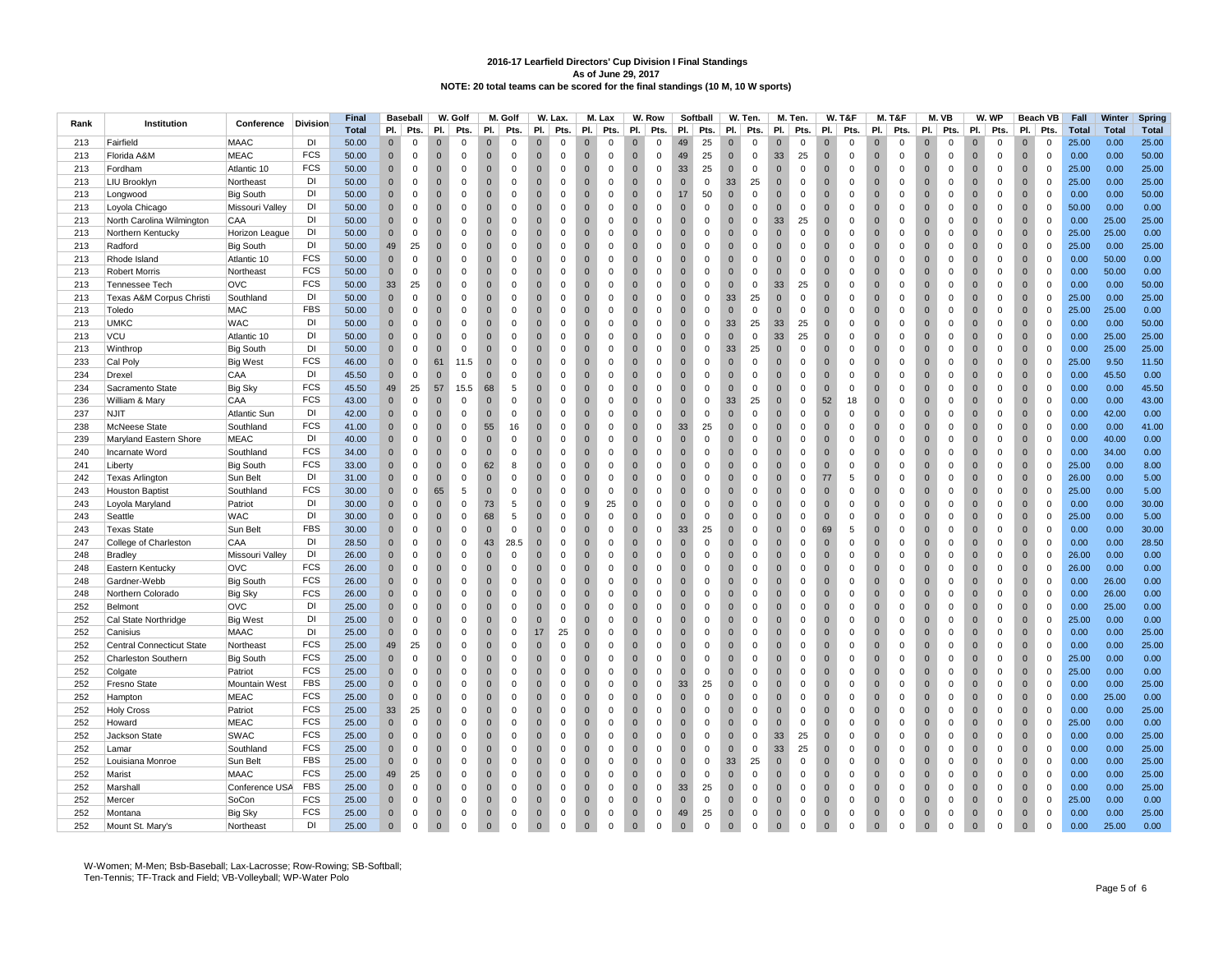|      |                                  |                          |                 | <b>Final</b> |              | <b>Baseball</b> |                | W. Golf                 |                | M. Golf     |                | W. Lax.     |                | M. Lax       |                                | W. Row      |                | Softball    |              | W. Ten.                    |                               | M. Ten.     | <b>W. T&amp;F</b> |             | <b>M. T&amp;F</b> |              |                | M. VB       |                | W. WP       |              | Beach VB     | Fall         | Winter       | Spring       |
|------|----------------------------------|--------------------------|-----------------|--------------|--------------|-----------------|----------------|-------------------------|----------------|-------------|----------------|-------------|----------------|--------------|--------------------------------|-------------|----------------|-------------|--------------|----------------------------|-------------------------------|-------------|-------------------|-------------|-------------------|--------------|----------------|-------------|----------------|-------------|--------------|--------------|--------------|--------------|--------------|
| Rank | Institution                      | Conference               | <b>Division</b> | <b>Total</b> | PI.          | Pts.            | PI.            | Pts.                    | PI.            | Pts.        | PI.            | Pts.        | PI.            | Pts.         | PI.                            | Pts.        | PI.            | Pts.        | PI.          | Pts.                       | PI.                           | Pts.        | PI.               | Pts.        | PI.               | Pts.         | PI.            | Pts.        | PI.            | Pts.        | PI.          | Pts.         | <b>Total</b> | <b>Total</b> | <b>Total</b> |
| 213  | Fairfield                        | <b>MAAC</b>              | DI              | 50.00        | $\mathbf 0$  | $\mathbf 0$     | $\Omega$       | $\Omega$                | $\mathbf{0}$   | $\Omega$    | $\mathbf 0$    | $\Omega$    | $\Omega$       | $\Omega$     | 0                              | $\Omega$    | 49             | 25          | $\mathbf{0}$ | $\mathbf 0$                | $\overline{0}$                | $\Omega$    | $\Omega$          |             | $\Omega$          | $\mathbf 0$  | $\mathbf 0$    | $\Omega$    | $\Omega$       |             | $\Omega$     | $\Omega$     | 25.00        | 0.00         | 25.00        |
| 213  | Florida A&M                      | <b>MEAC</b>              | <b>FCS</b>      | 50.00        | $\mathbf{0}$ | $\mathbf 0$     | $\overline{0}$ | $\mathbf 0$             | $\overline{0}$ | $\mathbf 0$ | $\overline{0}$ | $\mathbf 0$ | $\overline{0}$ | $\mathbf 0$  | $\mathbf{0}$                   | $\mathbf 0$ | 49             | 25          | $\mathbf 0$  | $\mathsf 0$                | 33                            | 25          | $\mathbf{0}$      | $\mathbf 0$ | $\overline{0}$    | $\mathbf 0$  | $\overline{0}$ | $\mathbf 0$ | $\overline{0}$ | $\mathbf 0$ | $\mathbf{0}$ | $\mathbf 0$  | 0.00         | 0.00         | 50.00        |
| 213  | Fordham                          | Atlantic 10              | <b>FCS</b>      | 50.00        | $\mathbf{0}$ | $\mathbf{0}$    | $\overline{0}$ | $\mathbf 0$             | $\Omega$       | $\mathbf 0$ | $\Omega$       | $\mathbf 0$ | $\overline{0}$ | $\mathbf 0$  | $\Omega$                       | $\mathbf 0$ | 33             | 25          | $\mathbf{0}$ | $\mathsf 0$                | $\mathbf{0}$                  | $\mathbf 0$ | $\Omega$          | $\Omega$    | $\Omega$          | $\Omega$     | $\mathbf{0}$   | $\mathbf 0$ | $\Omega$       | $\Omega$    | $\mathbf{0}$ | $\mathbf 0$  | 25.00        | 0.00         | 25.00        |
| 213  | LIU Brooklyn                     | Northeast                | DI              | 50.00        | $\Omega$     | $\mathbf 0$     | $\overline{0}$ | $\Omega$                | $\mathbf{0}$   | $\mathbf 0$ | $\mathbf{0}$   | $\mathbf 0$ | $\overline{0}$ | $\mathbf 0$  | $\mathbf{0}$                   | $\mathbf 0$ | $\mathbf{0}$   | $\mathbf 0$ | 33           | 25                         | $\mathbf 0$                   | $\mathbf 0$ | $\Omega$          | $\Omega$    | $\mathbf{0}$      | 0            | $\mathbf{0}$   | $\mathbf 0$ | $\Omega$       | $\Omega$    | $\mathbf{0}$ | $\mathbf 0$  | 25.00        | 0.00         | 25.00        |
| 213  | Longwood                         | <b>Big South</b>         | DI              | 50.00        | $\mathbf{0}$ | $\mathbf 0$     | $\overline{0}$ | $\mathbf 0$             | $\mathbf{0}$   | $\mathbf 0$ | $\Omega$       | $\mathbf 0$ | $\overline{0}$ | $\mathbf 0$  | $\mathbf{0}$                   | $\mathbf 0$ | 17             | 50          | $\mathbf 0$  | $\mathbf 0$                | $\overline{0}$                | $\mathbf 0$ | $\Omega$          | $\mathbf 0$ | $\mathbf{0}$      | $\mathbf 0$  | $\overline{0}$ | $\mathbf 0$ | $\Omega$       | $\mathbf 0$ | $\mathbf{0}$ | $\mathbf 0$  | 0.00         | 0.00         | 50.00        |
| 213  | Loyola Chicago                   | Missouri Valley          | DI              | 50.00        | $\mathbf{0}$ | $\mathbf 0$     | $\overline{0}$ | 0                       | $\Omega$       | $\mathbf 0$ | $\mathbf 0$    | $\mathbf 0$ | $\overline{0}$ | $\mathbf 0$  | $\mathbf{0}$                   | $\mathbf 0$ | $\Omega$       | $\mathbf 0$ | $\mathbf{0}$ | $\mathbf 0$                | $\mathbf 0$                   | $\mathbf 0$ | $\Omega$          | $\mathbf 0$ | $\mathbf{0}$      | $\Omega$     | $\mathbf{0}$   | $\mathbf 0$ | $\Omega$       | $\mathbf 0$ | $\mathbf{0}$ | $\mathbf{0}$ | 50.00        | 0.00         | 0.00         |
| 213  | North Carolina Wilmington        | CAA                      | DI              | 50.00        | $\Omega$     | $\mathbf 0$     | $\overline{0}$ | $\Omega$                | $\overline{0}$ | $\mathbf 0$ | $\mathbf{0}$   | $\mathbf 0$ | $\overline{0}$ | $\Omega$     | $\overline{0}$                 | $\mathbf 0$ | $\mathbf{0}$   | $\mathbf 0$ | $\mathbf{0}$ | $\mathsf 0$                | 33                            | 25          | $\mathbf{0}$      | $\mathbf 0$ | $\overline{0}$    | $\mathbf 0$  | $\overline{0}$ | $\mathsf 0$ | $\overline{0}$ | $\mathbf 0$ | $\mathbf{0}$ | $\mathsf 0$  | 0.00         | 25.00        | 25.00        |
| 213  |                                  | Horizon League           | DI              | 50.00        | $\Omega$     | $\Omega$        | $\overline{0}$ | $\Omega$                | $\Omega$       | $\Omega$    | $\Omega$       | $\Omega$    | $\Omega$       | $\Omega$     | $\Omega$                       | $\Omega$    | $\overline{0}$ | $\Omega$    | $\Omega$     | $\Omega$                   | $\overline{0}$                | $\Omega$    | $\Omega$          | $\Omega$    | $\Omega$          | $\mathbf{0}$ | $\overline{0}$ | $\Omega$    | $\Omega$       | $\Omega$    | $\Omega$     | $\mathbf 0$  | 25.00        | 25.00        | 0.00         |
|      | Northern Kentucky                |                          | DI              |              |              |                 |                |                         |                |             |                |             |                |              |                                |             |                |             |              |                            |                               |             |                   |             |                   |              |                |             |                |             |              |              |              |              |              |
| 213  | Radford                          | <b>Big South</b>         |                 | 50.00        | 49           | 25              | $\overline{0}$ | $\mathbf 0$             | $\mathbf 0$    | $\mathbf 0$ | $\mathbf{0}$   | $\mathbf 0$ | $\overline{0}$ | $\mathbf 0$  | $\mathbf{0}$<br>$\overline{0}$ | $\mathbf 0$ | $\mathbf{0}$   | $\mathbf 0$ | $\mathbf{0}$ | $\mathbf 0$<br>$\mathbf 0$ | $\mathbf 0$                   | $\mathbf 0$ | $\mathbf{0}$      | $\mathbf 0$ | $\mathbf{0}$      | 0            | $\mathbf 0$    | $\mathbf 0$ | $\overline{0}$ | $\mathbf 0$ | $\mathbf 0$  | $\mathbf 0$  | 25.00        | 0.00         | 25.00        |
| 213  | Rhode Island                     | Atlantic 10              | <b>FCS</b>      | 50.00        | $\mathbf 0$  | $\mathbf 0$     | $\overline{0}$ | $\Omega$                | $\mathbf{0}$   | $\mathbf 0$ | $\mathbf{0}$   | $\mathbf 0$ | $\overline{0}$ | $\mathbf 0$  |                                | $\mathbf 0$ | $\mathbf{0}$   | $\mathbf 0$ | $\mathbf{0}$ |                            | $\overline{0}$                | $\mathbf 0$ | $\mathbf{0}$      | $\mathbf 0$ | $\overline{0}$    | $\mathbf 0$  | $\mathbf 0$    | $\mathsf 0$ | $\overline{0}$ | $\mathbf 0$ | $\mathbf{0}$ | $\mathsf 0$  | 0.00         | 50.00        | 0.00         |
| 213  | <b>Robert Morris</b>             | Northeast                | <b>FCS</b>      | 50.00        | $\Omega$     | $\Omega$        | $\overline{0}$ | $\mathbf 0$             | $\Omega$       | $\Omega$    | $\Omega$       | $\Omega$    | $\Omega$       | $\Omega$     | $\Omega$                       | $\mathbf 0$ | $\overline{0}$ | $\Omega$    | $\Omega$     | $\Omega$                   | $\overline{0}$                | $\Omega$    | $\Omega$          | $\Omega$    | $\Omega$          | $\mathbf{0}$ | $\overline{0}$ | $\Omega$    | $\Omega$       | $\Omega$    | $\Omega$     | $\mathbf 0$  | 0.00         | 50.00        | 0.00         |
| 213  | <b>Tennessee Tech</b>            | <b>OVC</b>               | <b>FCS</b>      | 50.00        | 33           | 25              | $\overline{0}$ | $\mathbf 0$             | $\mathbf{0}$   | $\mathbf 0$ | $\mathbf{0}$   | $\mathbf 0$ | $\mathbf{0}$   | $\mathbf 0$  | $\mathbf{0}$                   | $\,0\,$     | $\mathbf{0}$   | $\mathbf 0$ | $\mathbf{0}$ | $\mathbf 0$                | 33                            | 25          | $\mathbf{0}$      | $\mathbf 0$ | $\mathbf{0}$      | 0            | $\mathbf 0$    | $\mathbf 0$ | $\overline{0}$ | $\mathbf 0$ | $\mathbf 0$  | $\mathbf 0$  | 0.00         | 0.00         | 50.00        |
| 213  | Texas A&M Corpus Christi         | Southland                | DI              | 50.00        | $\Omega$     | $\Omega$        | $\Omega$       | $\Omega$                | $\Omega$       | $\Omega$    | $\Omega$       | $\Omega$    | $\Omega$       | $\Omega$     | $\Omega$                       | $\Omega$    | $\Omega$       | $\Omega$    | 33           | 25                         | $\Omega$                      | $\Omega$    | $\Omega$          | $\Omega$    | $\Omega$          | $\Omega$     | $\Omega$       | $\Omega$    | $\Omega$       | $\Omega$    | $\Omega$     | $\Omega$     | 25.00        | 0.00         | 25.00        |
| 213  | Toledo                           | <b>MAC</b>               | <b>FBS</b>      | 50.00        | $\mathbf{0}$ | $\mathbf 0$     | $\overline{0}$ | $\mathbf 0$             | $\mathbf{0}$   | $\mathbf 0$ | $\mathbf 0$    | $\mathbf 0$ | $\overline{0}$ | $\mathbf 0$  | $\mathbf{0}$                   | $\mathbf 0$ | $\mathbf{0}$   | $\mathbf 0$ | $\mathbf 0$  | $\mathbf 0$                | $\overline{0}$                | $\mathbf 0$ | $\Omega$          | $\mathbf 0$ | $\mathbf{0}$      | 0            | $\mathbf 0$    | $\mathbf 0$ | $\Omega$       | $\mathbf 0$ | $\mathbf 0$  | $\mathbf 0$  | 25.00        | 25.00        | 0.00         |
| 213  | <b>UMKC</b>                      | <b>WAC</b>               | DI              | 50.00        | $\mathbf{0}$ | $\mathbf 0$     | $\overline{0}$ | $\mathbf 0$             | $\overline{0}$ | $\mathbf 0$ | $\mathbf{0}$   | $\mathsf 0$ | $\overline{0}$ | $\mathsf 0$  | $\mathbf 0$                    | $\mathbf 0$ | $\mathbf{0}$   | $\mathbf 0$ | 33           | 25                         | 33                            | 25          | $\mathbf 0$       | $\mathbf 0$ | $\overline{0}$    | $\mathbf 0$  | $\overline{0}$ | $\mathsf 0$ | $\overline{0}$ | $\mathbf 0$ | $\mathbf{0}$ | $\mathsf 0$  | 0.00         | 0.00         | 50.00        |
| 213  | VCU                              | Atlantic 10              | DI              | 50.00        | $\Omega$     | $\Omega$        | $\Omega$       | $\Omega$                | $\Omega$       | $\Omega$    | $\Omega$       | $\Omega$    | $\Omega$       | $\Omega$     | $\Omega$                       | $\Omega$    | $\Omega$       | $\Omega$    | $\Omega$     | $\Omega$                   | 33                            | 25          | $\Omega$          | $\Omega$    | $\Omega$          | $\Omega$     | $\overline{0}$ | $\Omega$    | $\Omega$       | $\Omega$    | $\Omega$     | $\Omega$     | 0.00         | 25.00        | 25.00        |
| 213  | Winthrop                         | <b>Big South</b>         | DI              | 50.00        | $\mathbf{0}$ | $\mathbf 0$     | $\overline{0}$ | $\mathbf 0$             | $\mathbf{0}$   | $\mathbf 0$ | $\mathbf 0$    | $\mathbf 0$ | $\mathbf 0$    | 0            | $\mathbf{0}$                   | $\mathbf 0$ | $\mathbf{0}$   | 0           | 33           | 25                         | $\overline{0}$                | $\mathbf 0$ | $\overline{0}$    | $\mathbf 0$ | $\mathbf{0}$      | $\mathbf 0$  | $\mathbf 0$    | $\mathbf 0$ | $\overline{0}$ | $\mathbf 0$ | $\mathbf 0$  | $\mathbf 0$  | 0.00         | 25.00        | 25.00        |
| 233  | Cal Poly                         | <b>Big West</b>          | <b>FCS</b>      | 46.00        | $\mathbf{0}$ | $\mathbf 0$     | 61             | 11.5                    | $\mathbf{0}$   | $\mathbf 0$ | $\mathbf{0}$   | $\mathbf 0$ | $\overline{0}$ | $\mathsf 0$  | $\mathbf 0$                    | $\mathbf 0$ | $\mathbf{0}$   | $\mathbf 0$ | $\mathbf{0}$ | $\mathsf 0$                | $\overline{0}$                | $\mathbf 0$ | $\mathbf{0}$      | $\mathbf 0$ | $\overline{0}$    | $\mathbf 0$  | $\mathbf 0$    | $\mathsf 0$ | $\overline{0}$ | $\mathbf 0$ | $\mathbf 0$  | $\mathsf 0$  | 25.00        | 9.50         | 11.50        |
| 234  | Drexel                           | CAA                      | DI              | 45.50        | $\mathbf{0}$ | $\Omega$        | $\overline{0}$ | $\Omega$                | $\Omega$       | $\Omega$    | $\Omega$       | $\Omega$    | $\Omega$       | $\Omega$     | $\Omega$                       | $\Omega$    | $\Omega$       | $\Omega$    | $\Omega$     | $\Omega$                   | $\Omega$                      | $\Omega$    | $\Omega$          | $\Omega$    | $\Omega$          | $\Omega$     | $\overline{0}$ | $\Omega$    | $\Omega$       | $\Omega$    | $\Omega$     | $\Omega$     | 0.00         | 45.50        | 0.00         |
| 234  | Sacramento State                 | <b>Big Sky</b>           | <b>FCS</b>      | 45.50        | 49           | 25              | 57             | 15.5                    | 68             | $\,$ 5 $\,$ | $\overline{0}$ | $\mathbf 0$ | $\overline{0}$ | $\mathbf 0$  | $\mathbf{0}$                   | $\pmb{0}$   | $\mathbf 0$    | $\mathbf 0$ | $\mathbf 0$  | $\mathsf 0$                | $\overline{0}$                | $\mathbf 0$ | $\mathbf{0}$      | $\mathbf 0$ | $\mathbf{0}$      | $\mathbf 0$  | $\mathbf 0$    | $\mathsf 0$ | $\overline{0}$ | $\mathbf 0$ | $\mathbf{0}$ | $\mathsf 0$  | 0.00         | 0.00         | 45.50        |
| 236  | William & Mary                   | CAA                      | <b>FCS</b>      | 43.00        | $\Omega$     | $\Omega$        | $\overline{0}$ | $\Omega$                | $\Omega$       | $\Omega$    | $\Omega$       | $\mathbf 0$ | $\overline{0}$ | $\mathbf{0}$ | $\Omega$                       | $\mathbf 0$ | $\Omega$       | $\mathbf 0$ | 33           | 25                         | $\mathbf 0$                   | $\mathbf 0$ | 52                | 18          | $\Omega$          | $\mathbf{0}$ | $\overline{0}$ | $\mathbf 0$ | $\Omega$       | $\Omega$    | $\Omega$     | $\mathbf 0$  | 0.00         | 0.00         | 43.00        |
| 237  | <b>NJIT</b>                      | <b>Atlantic Sun</b>      | DI              | 42.00        | $\Omega$     | $\mathbf 0$     | $\overline{0}$ | $\Omega$                | $\Omega$       | $\Omega$    | $\Omega$       | $\Omega$    | $\overline{0}$ | $\Omega$     | $\Omega$                       | $\Omega$    | $\mathbf{0}$   | $\Omega$    | $\Omega$     | $\Omega$                   | $\overline{0}$                | $\Omega$    | $\Omega$          | $\Omega$    | $\Omega$          | $\Omega$     | $\overline{0}$ | $\Omega$    | $\Omega$       | $\Omega$    | $\mathbf 0$  | $\mathbf 0$  | 0.00         | 42.00        | 0.00         |
| 238  | McNeese State                    | Southland                | <b>FCS</b>      | 41.00        | $\mathbf 0$  | $\mathsf 0$     | $\overline{0}$ | $\mathbf 0$             | 55             | 16          | $\mathbf{0}$   | $\mathbf 0$ | $\mathbf 0$    | $\mathbf 0$  | $\mathbf{0}$                   | $\mathbf 0$ | 33             | 25          | $\mathbf{0}$ | $\mathsf{O}\xspace$        | $\overline{0}$                | $\mathbf 0$ | $\mathbf{0}$      | $\mathbf 0$ | $\mathbf{0}$      | 0            | $\mathbf 0$    | $\mathbf 0$ | $\overline{0}$ | $\mathbf 0$ | $\mathbf 0$  | $\mathsf 0$  | 0.00         | 0.00         | 41.00        |
| 239  | Maryland Eastern Shore           | <b>MEAC</b>              | DI              | 40.00        | $\Omega$     | $\Omega$        | $\overline{0}$ | $\Omega$                | $\Omega$       | $\Omega$    | $\Omega$       | $\Omega$    | $\overline{0}$ | $\mathbf 0$  | $\Omega$                       | $\mathbf 0$ | $\mathbf{0}$   | $\Omega$    | $\Omega$     | $\Omega$                   | $\overline{0}$                | $\Omega$    | $\Omega$          | $\Omega$    | $\Omega$          | $\mathbf{0}$ | $\mathbf{0}$   | $\mathbf 0$ | $\Omega$       | $\Omega$    | $\Omega$     | $\mathbf 0$  | 0.00         | 40.00        | 0.00         |
| 240  | Incarnate Word                   | Southland                | <b>FCS</b>      | 34.00        |              | $\mathbf 0$     | $\overline{0}$ | $\Omega$                | $\overline{0}$ | $\mathbf 0$ | $\Omega$       | $\mathbf 0$ | $\overline{0}$ | $\Omega$     | $\Omega$                       | $\mathbf 0$ | $\mathbf{0}$   | $\Omega$    | $\mathbf 0$  | $\mathsf 0$                | $\overline{0}$                | $\Omega$    | $\mathbf{0}$      | $\Omega$    | $\overline{0}$    | $\mathbf 0$  | $\overline{0}$ | $\mathbf 0$ | $\overline{0}$ | $\Omega$    | $\mathbf{0}$ | $\mathsf 0$  | 0.00         | 34.00        | 0.00         |
| 241  | Liberty                          | <b>Big South</b>         | <b>FCS</b>      | 33.00        | $\Omega$     | $\Omega$        | $\overline{0}$ | $\Omega$                | 62             | 8           | $\Omega$       | $\Omega$    | $\overline{0}$ | $\mathbf 0$  | $\Omega$                       | $\mathbf 0$ | $\mathbf{0}$   | $\Omega$    | $\Omega$     | $\Omega$                   | $\overline{0}$                | $\mathbf 0$ | $\Omega$          | $\Omega$    | $\Omega$          | $\mathbf{0}$ | $\overline{0}$ | $\mathbf 0$ | $\Omega$       | $\mathbf 0$ | $\Omega$     | $\mathbf 0$  | 25.00        | 0.00         | 8.00         |
| 242  | Texas Arlington                  | Sun Belt                 | DI              | 31.00        | $\Omega$     | $\mathbf 0$     | $\overline{0}$ | $\mathbf 0$             | $\Omega$       | $\Omega$    | $\Omega$       | $\Omega$    | $\overline{0}$ | $\Omega$     | $\mathbf{0}$                   | $\mathbf 0$ | $\mathbf{0}$   | $\Omega$    | $\mathbf{0}$ | $\mathbf 0$                | $\mathbf 0$                   | 0           | 77                | 5           | $\mathbf{0}$      | $\mathbf{0}$ | $\mathbf 0$    | $\Omega$    | $\Omega$       | $\Omega$    | $\mathbf{0}$ | $\mathbf 0$  | 26.00        | 0.00         | 5.00         |
| 243  | <b>Houston Baptist</b>           | Southland                | <b>FCS</b>      | 30.00        | $\Omega$     | $\mathbf 0$     | 65             | 5                       | $\mathbf{0}$   | $\mathbf 0$ | $\mathbf{0}$   | $\mathbf 0$ | $\overline{0}$ | $\mathbf 0$  | $\mathbf 0$                    | $\mathbf 0$ | $\mathbf{0}$   | $\mathbf 0$ | $\mathbf 0$  | $\mathsf 0$                | $\overline{0}$                | $\mathbf 0$ | $\mathbf 0$       | $\Omega$    | $\overline{0}$    | $\mathbf 0$  | $\overline{0}$ | $\mathbf 0$ | $\overline{0}$ | $\mathbf 0$ | $\mathbf{0}$ | $\mathsf 0$  | 25.00        | 0.00         | 5.00         |
| 243  | Loyola Maryland                  | Patriot                  | DI              | 30.00        | $\Omega$     | $\Omega$        | $\overline{0}$ | $\Omega$                | 73             | 5           | $\Omega$       | $\Omega$    | 9              | 25           | $\mathbf{0}$                   | $\mathbf 0$ | $\mathbf{0}$   | $\Omega$    | $\Omega$     | $\Omega$                   | $\overline{0}$                | $\Omega$    | $\Omega$          | $\mathbf 0$ | $\Omega$          | $\mathbf{0}$ | $\overline{0}$ | $\mathbf 0$ | $\Omega$       | $\mathbf 0$ | $\mathbf 0$  | $\mathbf 0$  | 0.00         | 0.00         | 30.00        |
| 243  | Seattle                          | <b>WAC</b>               | DI              | 30.00        | $\Omega$     | $\mathbf 0$     | $\overline{0}$ | $\mathbf 0$             | 68             | 5           | $\Omega$       | $\Omega$    | $\overline{0}$ | $\mathbf{0}$ | $\mathbf{0}$                   | $\mathbf 0$ | $\mathbf{0}$   | $\Omega$    | $\mathbf{0}$ | $\mathbf 0$                | $\mathbf 0$                   | $\Omega$    | $\mathbf{0}$      | $\mathbf 0$ | $\mathbf{0}$      | $\mathbf{0}$ | $\mathbf 0$    | $\mathbf 0$ | $\Omega$       | $\mathbf 0$ | $\mathbf 0$  | $\mathsf 0$  | 25.00        | 0.00         | 5.00         |
| 243  | <b>Texas State</b>               | Sun Belt                 | <b>FBS</b>      | 30.00        | $\Omega$     | $\Omega$        | $\Omega$       | $\Omega$                | $\Omega$       | $\mathbf 0$ | $\Omega$       | $\mathbf 0$ | $\Omega$       | $\Omega$     | $\Omega$                       | $\Omega$    | 33             | 25          | $\Omega$     | $\Omega$                   | $\Omega$                      | $\Omega$    | 69                | 5           | $\Omega$          | $\mathbf{0}$ | $\overline{0}$ | $\mathbf 0$ | $\Omega$       | $\Omega$    | $\Omega$     | $\mathbf 0$  | 0.00         | 0.00         | 30.00        |
| 247  | College of Charleston            | CAA                      | DI              | 28.50        | $\Omega$     | $\mathbf 0$     | $\overline{0}$ | $\mathbf 0$             | 43             | 28.5        | $\mathbf{0}$   | $\Omega$    | $\overline{0}$ | $\mathbf 0$  | $\mathbf{0}$                   | $\mathbf 0$ | $\mathbf{0}$   | $\mathbf 0$ | $\mathbf{0}$ | $\mathbf 0$                | $\overline{0}$                | $\mathbf 0$ | $\Omega$          | $\mathbf 0$ | $\Omega$          | $\mathbf{0}$ | $\overline{0}$ | $\mathbf 0$ | $\Omega$       | $\mathbf 0$ | $\mathbf 0$  | $\mathsf 0$  | 0.00         | 0.00         | 28.50        |
| 248  | Bradley                          | Missouri Valley          | DI              | 26.00        | $\Omega$     | $\mathbf 0$     | $\overline{0}$ | $\mathbf 0$             | $\mathbf{0}$   | $\mathbf 0$ | $\overline{0}$ | $\mathbf 0$ | $\overline{0}$ | $\Omega$     | $\mathbf 0$                    | $\mathbf 0$ | $\mathbf{0}$   | $\mathbf 0$ | $\mathbf 0$  | $\mathbf 0$                | $\mathbf 0$                   | $\mathbf 0$ | $\mathbf{0}$      | $\mathbf 0$ | $\overline{0}$    | $\mathbf 0$  | $\mathbf 0$    | $\mathbf 0$ | $\overline{0}$ | $\mathbf 0$ | $\mathbf{0}$ | $\mathsf 0$  | 26.00        | 0.00         | $0.00\,$     |
| 248  | Eastern Kentucky                 | <b>OVC</b>               | <b>FCS</b>      | 26.00        | $\Omega$     | $\Omega$        | $\overline{0}$ | $\Omega$                | $\Omega$       | $\mathbf 0$ | $\Omega$       | $\mathbf 0$ | $\Omega$       | $\Omega$     | $\Omega$                       | $\mathbf 0$ | $\Omega$       | $\Omega$    | $\Omega$     | $\mathbf 0$                | $\overline{0}$                | $\Omega$    | $\Omega$          | $\Omega$    | $\Omega$          | $\mathbf 0$  | $\overline{0}$ | $\mathbf 0$ | $\Omega$       | $\Omega$    | $\mathbf{0}$ | $\mathsf 0$  | 26.00        | 0.00         | 0.00         |
| 248  | Gardner-Webb                     | <b>Big South</b>         | <b>FCS</b>      | 26.00        | $\mathbf{0}$ | $\mathbf 0$     | $\overline{0}$ | $^{\circ}$              | $\mathbf{0}$   | $\mathbf 0$ | $\mathbf 0$    | $\Omega$    | $\overline{0}$ | $\mathbf 0$  | $\mathbf 0$                    | 0           | $\mathbf{0}$   | 0           | $\mathbf 0$  | $\mathbf 0$                | $\mathbf{0}$                  | $\mathbf 0$ | $\overline{0}$    | $\mathbf 0$ | $\mathbf{0}$      | 0            | $\mathbf{0}$   | $\mathbf 0$ | $\overline{0}$ | $\mathbf 0$ | $\mathbf 0$  | $\mathbf 0$  | 0.00         | 26.00        | 0.00         |
| 248  | Northern Colorado                | <b>Big Sky</b>           | <b>FCS</b>      | 26.00        | $\Omega$     | $\Omega$        | $\overline{0}$ | $\Omega$                | $\mathbf 0$    | $\mathbf 0$ | $\Omega$       | $\mathbf 0$ | $\overline{0}$ | $\mathsf 0$  | $\Omega$                       | $\pmb{0}$   | $\mathbf 0$    | $\Omega$    | $\mathbf 0$  | $\mathsf 0$                | $\overline{0}$                | $\mathbf 0$ | $\Omega$          | $\Omega$    | $\mathbf 0$       | $\mathbf 0$  | $\overline{0}$ | $\mathsf 0$ | $\Omega$       | $\Omega$    | $\mathbf 0$  | $\mathsf 0$  | 0.00         | 26.00        | 0.00         |
| 252  | Belmont                          | OVC                      | DI              | 25.00        |              | $\Omega$        | $\Omega$       | $\Omega$                | $\Omega$       | $\Omega$    | $\Omega$       | $\Omega$    | $\Omega$       | $\Omega$     | $\Omega$                       | $\mathbf 0$ | $\Omega$       | $\Omega$    | $\Omega$     | $\mathbf 0$                | $\overline{0}$                | $\Omega$    | $\Omega$          | $\Omega$    | $\Omega$          | $\mathbf{0}$ | $\overline{0}$ | $\Omega$    | $\Omega$       | $\Omega$    | $\Omega$     | $\mathsf 0$  | 0.00         | 25.00        | 0.00         |
| 252  | Cal State Northridge             | <b>Big West</b>          | DI              | 25.00        | $\mathbf{0}$ | $\mathbf 0$     | $\overline{0}$ | $\mathbf 0$             | $\overline{0}$ | $\mathbf 0$ | $\mathbf{0}$   | $\mathbf 0$ | $\overline{0}$ | $\mathbf 0$  | $\mathbf{0}$                   | $\,0\,$     | $\mathbf{0}$   | $\mathbf 0$ | $\mathbf 0$  | $\mathbf 0$                | $\mathbf 0$                   | $\mathbf 0$ | $\mathbf{0}$      | $\mathbf 0$ | $\overline{0}$    | $\mathbf 0$  | $\mathbf{0}$   | $\mathbf 0$ | $\overline{0}$ | $\mathbf 0$ | $\mathbf 0$  | $\mathsf 0$  | 25.00        | 0.00         | 0.00         |
| 252  | Canisius                         | <b>MAAC</b>              | DI              | 25.00        | $\Omega$     | $\mathbf 0$     | $\overline{0}$ | $\Omega$                | $\overline{0}$ | $\mathbf 0$ | 17             | 25          | $\overline{0}$ | $\Omega$     | $\mathbf{0}$                   | $\mathbf 0$ | $\mathbf{0}$   | $\Omega$    | $\Omega$     | $\mathbf 0$                | $\overline{0}$                | $\Omega$    | $\Omega$          | $\Omega$    | $\overline{0}$    | $\mathbf{0}$ | $\overline{0}$ | $\mathbf 0$ | $\Omega$       | $\Omega$    | $\mathbf 0$  | $\mathsf 0$  | 0.00         | 0.00         | 25.00        |
| 252  | <b>Central Connecticut State</b> | Northeast                | <b>FCS</b>      | 25.00        | 49           | 25              | $\overline{0}$ | $^{\circ}$              | $\mathbf 0$    | $\mathbf 0$ | $\Omega$       | $\mathbf 0$ | $\Omega$       | $\Omega$     | $\Omega$                       | $\mathbf 0$ | $\overline{0}$ | $\mathbf 0$ | $\Omega$     | $\mathbf 0$                | $\overline{0}$                | $\mathbf 0$ | $\Omega$          | $\Omega$    | $\Omega$          | 0            | $\overline{0}$ | $\mathbf 0$ | $\Omega$       | $\mathbf 0$ | $\mathbf 0$  | $\mathbf 0$  | 0.00         | 0.00         | 25.00        |
| 252  | Charleston Southern              |                          | FCS             | 25.00        | $\mathbf{0}$ | $\mathbf 0$     | $\overline{0}$ | $\mathbf 0$             | $\mathbf{0}$   | $\mathbf 0$ | $\mathbf{0}$   | $\mathbf 0$ | $\overline{0}$ | $\mathbf 0$  | $\mathbf{0}$                   | $\,0\,$     | $\mathbf{0}$   | $\mathbf 0$ | $\mathbf 0$  | $\mathbf 0$                | $\mathbf 0$                   | $\mathbf 0$ | $\mathbf{0}$      | $\mathbf 0$ | $\overline{0}$    | $\mathbf 0$  | $\mathbf 0$    | $\mathbf 0$ | $\overline{0}$ | $\mathbf 0$ | $\mathbf 0$  | $\mathsf 0$  | 25.00        | 0.00         | 0.00         |
| 252  |                                  | <b>Big South</b>         | <b>FCS</b>      | 25.00        | $\Omega$     | $\mathbf 0$     | $\overline{0}$ | $\Omega$                | $\mathbf{0}$   | $\mathbf 0$ | $\mathbf{0}$   | $\mathbf 0$ | $\overline{0}$ | $\Omega$     | $\mathbf{0}$                   | $\mathbf 0$ | $\mathbf{0}$   | $\Omega$    | $\mathbf{0}$ | $\mathbf 0$                | $\overline{0}$                | $\Omega$    | $\Omega$          | $\Omega$    | $\mathbf{0}$      | $\mathbf{0}$ | $\overline{0}$ | $\mathbf 0$ | $\Omega$       | $\Omega$    | $\mathbf 0$  | $\mathsf 0$  | 25.00        | 0.00         | 0.00         |
| 252  | Colgate<br>Fresno State          | Patriot<br>Mountain West | <b>FBS</b>      | 25.00        | $\mathbf 0$  | $\mathbf 0$     | $\overline{0}$ | $\mathbf 0$             | $\mathbf{0}$   | $\mathbf 0$ | $\Omega$       | $\mathbf 0$ | $\overline{0}$ | $\mathbf 0$  | $\mathbf{0}$                   | $\mathbf 0$ | 33             | 25          | $\Omega$     | $\mathbf 0$                | $\overline{0}$                | $\mathbf 0$ | $\Omega$          | $\mathbf 0$ | $\overline{0}$    | $\mathbf 0$  | $\overline{0}$ | $\mathbf 0$ | $\Omega$       | $\mathbf 0$ | $\mathbf{0}$ | $\mathbf 0$  | 0.00         | 0.00         | 25.00        |
|      |                                  | <b>MEAC</b>              | <b>FCS</b>      | 25.00        |              | $\mathbf 0$     | $\overline{0}$ |                         | $\Omega$       |             | $\mathbf{0}$   | $\Omega$    | $\overline{0}$ | $\mathbf 0$  | $\Omega$                       |             | $\Omega$       | $\mathbf 0$ | $\mathbf 0$  | $\Omega$                   |                               | $\mathbf 0$ | $\Omega$          | $\mathbf 0$ |                   | $\Omega$     |                | $\mathbf 0$ | $\Omega$       | $\mathbf 0$ |              | $\mathbf 0$  | 0.00         | 25.00        | 0.00         |
| 252  | Hampton                          |                          | <b>FCS</b>      |              | $\mathbf{0}$ |                 |                | $\mathbf 0$<br>$\Omega$ |                | $\mathbf 0$ |                |             |                | $\Omega$     | $\mathbf{0}$                   | $\mathbf 0$ |                |             |              | $\mathbf 0$                | $\mathbf 0$<br>$\overline{0}$ |             |                   |             | $\mathbf{0}$      |              | $\mathbf 0$    |             |                | $\Omega$    | $\mathbf 0$  |              |              |              |              |
| 252  | <b>Holy Cross</b>                | Patriot                  |                 | 25.00        | 33           | 25              | $\overline{0}$ |                         | $\mathbf{0}$   | $\mathbf 0$ | $\mathbf{0}$   | $\mathbf 0$ | $\overline{0}$ |              |                                | $\mathbf 0$ | $\mathbf{0}$   | $\mathbf 0$ | $\mathbf{0}$ |                            | $\overline{0}$                | $\mathbf 0$ | $\mathbf{0}$      | $\mathbf 0$ | $\overline{0}$    | 0            | $\overline{0}$ | $\mathbf 0$ | $\overline{0}$ |             | $\mathbf{0}$ | $\mathbf 0$  | 0.00         | 0.00         | 25.00        |
| 252  | Howard                           | <b>MEAC</b>              | <b>FCS</b>      | 25.00        | $\mathbf 0$  | $\mathbf 0$     | $\overline{0}$ | $\mathbf 0$             | $\overline{0}$ | $\mathbf 0$ | $\overline{0}$ | $\mathbf 0$ | $\overline{0}$ | $\mathbf 0$  | $\mathbf{0}$                   | $\mathbf 0$ | $\overline{0}$ | $\mathbf 0$ | $\mathbf 0$  | $\mathbf 0$                |                               | 0           | $\overline{0}$    | $\mathbf 0$ | $\mathbf{0}$      | $\mathbf 0$  | $\mathbf 0$    | $\mathbf 0$ | $\overline{0}$ | $\mathbf 0$ | $\mathbf{0}$ | $\mathbf 0$  | 25.00        | 0.00         | 0.00         |
| 252  | Jackson State                    | SWAC                     | <b>FCS</b>      | 25.00        | $\mathbf{0}$ | $\mathbf 0$     | $\overline{0}$ | $\mathbf 0$             | $\Omega$       | $\mathbf 0$ | $\mathbf{0}$   | $\mathbf 0$ | $\overline{0}$ | $\mathbf 0$  | $\mathbf{0}$                   | $\mathbf 0$ | $\Omega$       | $\mathbf 0$ | $\mathbf{0}$ | $\mathsf 0$                | 33                            | 25          | $\Omega$          | $\Omega$    | $\mathbf{0}$      | $\mathbf{0}$ | $\mathbf{0}$   | $\mathbf 0$ | $\overline{0}$ | $\mathbf 0$ | $\mathbf 0$  | $\mathbf 0$  | 0.00         | 0.00         | 25.00        |
| 252  | Lamar                            | Southland                | <b>FCS</b>      | 25.00        | $\Omega$     | $\mathbf 0$     | $\overline{0}$ | $\Omega$                | $\overline{0}$ | $\mathbf 0$ | $\Omega$       | $\Omega$    | $\overline{0}$ | $\Omega$     | $\mathbf{0}$                   | $\mathbf 0$ | $\mathbf{0}$   | $\Omega$    | $\mathbf{0}$ | $\mathbf 0$                | 33                            | 25          | $\Omega$          | $\Omega$    | $\overline{0}$    | $\Omega$     | $\overline{0}$ | $\Omega$    | $\Omega$       | $\Omega$    | $\mathbf{0}$ | $\mathbf 0$  | 0.00         | 0.00         | 25.00        |
| 252  | Louisiana Monroe                 | Sun Belt                 | <b>FBS</b>      | 25.00        | $\Omega$     | $\Omega$        | $\Omega$       | $\Omega$                | $\Omega$       | $\Omega$    | $\Omega$       | $\Omega$    | $\Omega$       | $\Omega$     | $\Omega$                       | $\mathbf 0$ | $\Omega$       | $\mathbf 0$ | 33           | 25                         | $\overline{0}$                | $\mathbf 0$ | $\Omega$          | $\Omega$    | $\Omega$          | $\mathbf 0$  | $\overline{0}$ | $\mathbf 0$ | $\Omega$       | $\Omega$    | $\mathbf{0}$ | $\mathsf 0$  | 0.00         | 0.00         | 25.00        |
| 252  | Marist                           | <b>MAAC</b>              | <b>FCS</b>      | 25.00        | 49           | 25              | $\overline{0}$ | $\mathbf 0$             | $\overline{0}$ | $\mathbf 0$ | $\mathbf{0}$   | $\mathbf 0$ | $\overline{0}$ | $\mathbf 0$  | $\mathbf{0}$                   | $\mathbf 0$ | $\mathbf{0}$   | $\mathbf 0$ | $\mathbf{0}$ | $\mathsf 0$                | $\overline{0}$                | $\mathbf 0$ | $\mathbf{0}$      | $\mathbf 0$ | $\mathbf{0}$      | $\mathbf 0$  | $\mathbf{0}$   | $\mathbf 0$ | $\overline{0}$ | $\mathbf 0$ | $\mathbf 0$  | $\mathsf 0$  | 0.00         | 0.00         | 25.00        |
| 252  | Marshall                         | Conference USA           | <b>FBS</b>      | 25.00        |              | $\mathbf 0$     | $\overline{0}$ |                         | $\mathbf{0}$   | $\mathbf 0$ | $\overline{0}$ | $\mathbf 0$ | $\overline{0}$ | $\Omega$     | $\mathbf{0}$                   | $\mathbf 0$ | 33             | 25          | $\Omega$     | $\mathbf 0$                | $\overline{0}$                | $\mathbf 0$ | $\overline{0}$    | $\Omega$    | $\mathbf{0}$      | $\mathbf 0$  | $\overline{0}$ | $\Omega$    | $\overline{0}$ | $\Omega$    | $\mathbf 0$  | $\mathbf 0$  | 0.00         | 0.00         | 25.00        |
| 252  | Mercer                           | SoCon                    | <b>FCS</b>      | 25.00        |              | $\Omega$        | $\Omega$       | $\Omega$                | $\mathbf{0}$   | $\Omega$    | $\Omega$       | $\Omega$    | $\Omega$       | $\Omega$     | $\Omega$                       | 0           | $\Omega$       | $\Omega$    | $\Omega$     | $\mathbf 0$                | $\overline{0}$                | $\Omega$    | $\Omega$          | $\Omega$    | $\Omega$          | 0            | $\overline{0}$ | $\Omega$    | $\Omega$       | $\Omega$    | $\Omega$     | $\mathbf 0$  | 25.00        | 0.00         | 0.00         |
| 252  | Montana                          | Big Sky                  | <b>FCS</b>      | 25.00        | $\mathbf{0}$ | $\mathbf 0$     | $\overline{0}$ | 0                       | $\overline{0}$ | $\mathsf 0$ | $\mathbf{0}$   | $\mathbf 0$ | $\mathbf 0$    | $\mathsf 0$  | $\mathbf 0$                    | $\mathbf 0$ | 49             | 25          | $\mathbf{0}$ | $\mathsf 0$                | $\mathbf 0$                   | $\mathbf 0$ | $\Omega$          | $\mathbf 0$ | $\mathbf{0}$      | $\mathbf 0$  | $\mathbf{0}$   | $\mathbf 0$ | $\Omega$       | $\Omega$    | $\mathbf{0}$ | $\mathsf 0$  | 0.00         | 0.00         | 25.00        |
| 252  | Mount St. Mary's                 | Northeast                | DI              | 25.00        |              | $\Omega$        | $\Omega$       | $\Omega$                | $\Omega$       | $\Omega$    | $\Omega$       | $\Omega$    | $\Omega$       | $\Omega$     | $\Omega$                       | $\Omega$    |                | $\Omega$    |              | $\Omega$                   | $\Omega$                      | $\Omega$    | $\Omega$          | $\Omega$    |                   | $\Omega$     | $\Omega$       |             |                |             |              | $\Omega$     | 0.00         | 25.00        | 0.00         |